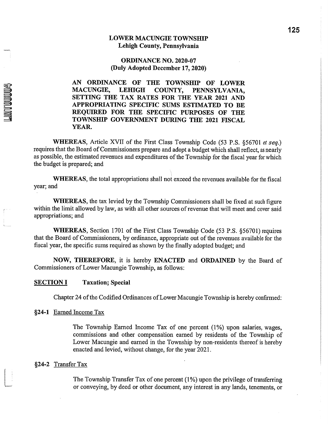### **LOWER MACUNGIE TOWNSHIP** Lehigh County, Pennsylvania

### **ORDINANCE NO. 2020-07** (Duly Adopted December 17, 2020)

AN ORDINANCE OF THE TOWNSHIP OF LOWER MACUNGIE, **LEHIGH** COUNTY, PENNSYLVANIA. SETTING THE TAX RATES FOR THE YEAR 2021 AND APPROPRIATING SPECIFIC SUMS ESTIMATED TO BE REQUIRED FOR THE SPECIFIC PURPOSES OF THE TOWNSHIP GOVERNMENT DURING THE 2021 FISCAL YEAR.

WHEREAS, Article XVII of the First Class Township Code (53 P.S. §56701 et seq.) requires that the Board of Commissioners prepare and adopt a budget which shall reflect, as nearly as possible, the estimated revenues and expenditures of the Township for the fiscal year for which the budget is prepared; and

**WHEREAS**, the total appropriations shall not exceed the revenues available for the fiscal year; and

**WHEREAS**, the tax levied by the Township Commissioners shall be fixed at such figure within the limit allowed by law, as with all other sources of revenue that will meet and cover said appropriations; and

WHEREAS, Section 1701 of the First Class Township Code (53 P.S. §56701) requires that the Board of Commissioners, by ordinance, appropriate out of the revenues available for the fiscal year, the specific sums required as shown by the finally adopted budget; and

NOW, THEREFORE, it is hereby ENACTED and ORDAINED by the Board of Commissioners of Lower Macungie Township, as follows:

#### **SECTION I Taxation; Special**

Chapter 24 of the Codified Ordinances of Lower Macungie Township is hereby confirmed:

### §24-1 Earned Income Tax

**MITUDUUM** 

The Township Earned Income Tax of one percent (1%) upon salaries, wages, commissions and other compensation earned by residents of the Township of Lower Macungie and earned in the Township by non-residents thereof is hereby enacted and levied, without change, for the year 2021.

### §24-2 Transfer Tax

The Township Transfer Tax of one percent (1%) upon the privilege of transferring or conveying, by deed or other document, any interest in any lands, tenements, or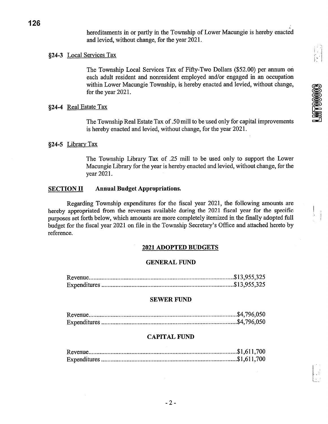**LMT00003** 

hereditaments in or partly in the Township of Lower Macungie is hereby enacted and levied, without change, for the year 2021.

## §24-3 Local Services Tax

The Township Local Services Tax of Fifty-Two Dollars (\$52.00) per annum on each adult resident and nonresident employed and/or engaged in an occupation within Lower Macungie Township, is hereby enacted and levied, without change, for the year 2021.

## §24-4 Real Estate Tax

The Township Real Estate Tax of .50 mill to be used only for capital improvements is hereby enacted and levied, without change, for the year 2021.

## §24-5 Library Tax

The Township Library Tax of .25 mill to be used only to support the Lower Macungie Library for the year is hereby enacted and levied, without change, for the year 2021.

#### **Annual Budget Appropriations. SECTION II**

Regarding Township expenditures for the fiscal year 2021, the following amounts are hereby appropriated from the revenues available during the 2021 fiscal year for the specific purposes set forth below, which amounts are more completely itemized in the finally adopted full budget for the fiscal year 2021 on file in the Township Secretary's Office and attached hereto by reference.

## **2021 ADOPTED BUDGETS**

## **GENERAL FUND**

## **SEWER FUND**

## **CAPITAL FUND**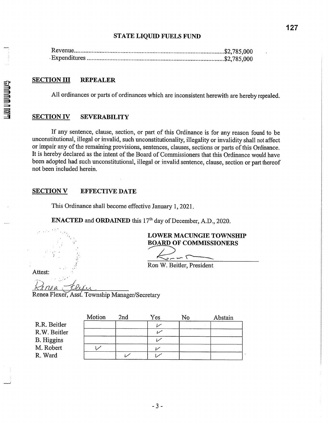## **STATE LIQUID FUELS FUND**

#### **SECTION III REPEALER**

All ordinances or parts of ordinances which are inconsistent herewith are hereby repealed.

#### **SECTION IV SEVERABILITY**

If any sentence, clause, section, or part of this Ordinance is for any reason found to be unconstitutional, illegal or invalid, such unconstitutionality, illegality or invalidity shall not affect or impair any of the remaining provisions, sentences, clauses, sections or parts of this Ordinance. It is hereby declared as the intent of the Board of Commissioners that this Ordinance would have been adopted had such unconstitutional, illegal or invalid sentence, clause, section or part thereof not been included herein.

#### **SECTION V EFFECTIVE DATE**

This Ordinance shall become effective January 1, 2021.

**ENACTED** and **ORDAINED** this 17<sup>th</sup> day of December, A.D., 2020.

**LOWER MACUNGIE TOWNSHIP BOARD OF COMMISSIONERS** 

 $\overline{\phantom{a}}$   $\overline{\phantom{a}}$ Ron W. Beitler, President

Attest:

Renea Flexer, Asst. Township Manager/Secretary

|                   | Motion | 2nd | Yes | No | Abstain |
|-------------------|--------|-----|-----|----|---------|
| R.R. Beitler      |        |     |     |    |         |
| R.W. Beitler      |        |     |     |    |         |
| <b>B.</b> Higgins |        |     |     |    |         |
| M. Robert         |        |     |     |    |         |
| R. Ward           |        |     |     |    |         |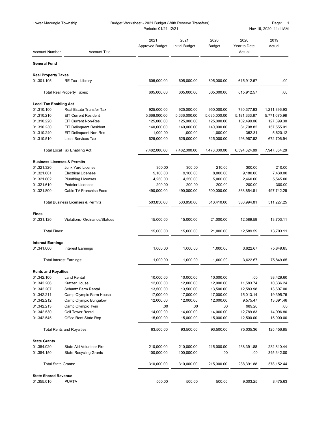| Lower Macungie Township                   |                                               | Budget Worksheet - 2021 Budget (With Reserve Transfers)<br>Periods: 01/21-12/21 |                               |                       |                                | Page:<br>1<br>Nov 16, 2020 11:11AM |
|-------------------------------------------|-----------------------------------------------|---------------------------------------------------------------------------------|-------------------------------|-----------------------|--------------------------------|------------------------------------|
| <b>Account Number</b>                     | <b>Account Title</b>                          | 2021<br><b>Approved Budget</b>                                                  | 2021<br><b>Initial Budget</b> | 2020<br><b>Budget</b> | 2020<br>Year to Date<br>Actual | 2019<br>Actual                     |
| <b>General Fund</b>                       |                                               |                                                                                 |                               |                       |                                |                                    |
| <b>Real Property Taxes</b>                |                                               |                                                                                 |                               |                       |                                |                                    |
| 01.301.105                                | RE Tax - Library                              | 605,000.00                                                                      | 605,000.00                    | 605,000.00            | 615,912.57                     | .00.                               |
|                                           | <b>Total Real Property Taxes:</b>             | 605,000.00                                                                      | 605.000.00                    | 605,000.00            | 615,912.57                     | .00.                               |
| <b>Local Tax Enabling Act</b>             |                                               |                                                                                 |                               |                       |                                |                                    |
| 01.310.100                                | Real Estate Transfer Tax                      | 925,000.00                                                                      | 925,000.00                    | 950,000.00            | 730,377.93                     | 1,211,896.93                       |
| 01.310.210                                | <b>EIT Current Resident</b>                   | 5,666,000.00                                                                    | 5,666,000.00                  | 5,635,000.00          | 5,181,333.87                   | 5,771,675.98                       |
| 01.310.220                                | <b>EIT Current Non-Res</b>                    | 125,000.00                                                                      | 125,000.00                    | 125,000.00            | 102,499.06                     | 127,899.30                         |
| 01.310.230                                | <b>EIT Delinquent Resident</b>                | 140,000.00                                                                      | 140,000.00                    | 140,000.00            | 81,798.82                      | 157,555.01                         |
| 01.310.240                                | <b>EIT Delinquent Non-Res</b>                 | 1,000.00                                                                        | 1,000.00                      | 1,000.00              | 352.31-                        | 5,620.12                           |
| 01.310.510                                | <b>Local Services Tax</b>                     | 625,000.00                                                                      | 625,000.00                    | 625,000.00            | 498,967.52                     | 672,706.94                         |
|                                           |                                               |                                                                                 |                               |                       |                                |                                    |
|                                           | Total Local Tax Enabling Act:                 | 7,482,000.00                                                                    | 7,482,000.00                  | 7,476,000.00          | 6,594,624.89                   | 7,947,354.28                       |
| <b>Business Licenses &amp; Permits</b>    |                                               |                                                                                 |                               |                       |                                |                                    |
| 01.321.320                                | Junk Yard License                             | 300.00                                                                          | 300.00                        | 210.00                | 300.00                         | 210.00                             |
| 01.321.601                                | <b>Electrical Licenses</b>                    | 9,100.00                                                                        | 9,100.00                      | 8,000.00              | 9,180.00                       | 7,430.00                           |
| 01.321.602                                | <b>Plumbing Licenses</b>                      | 4,250.00                                                                        | 4,250.00                      | 5,000.00              | 2,460.00                       | 5,545.00                           |
| 01.321.610                                | <b>Peddler Licenses</b>                       | 200.00                                                                          | 200.00                        | 200.00                | 200.00                         | 300.00                             |
| 01.321.800                                | Cable TV Franchise Fees                       | 490,000.00                                                                      | 490,000.00                    | 500,000.00            | 368,854.81                     | 497,742.25                         |
|                                           | <b>Total Business Licenses &amp; Permits:</b> | 503,850.00                                                                      | 503,850.00                    | 513,410.00            | 380,994.81                     | 511,227.25                         |
| <b>Fines</b>                              |                                               |                                                                                 |                               |                       |                                |                                    |
| 01.331.120                                | <b>Violations- Ordinance/Statues</b>          | 15,000.00                                                                       | 15,000.00                     | 21,000.00             | 12,589.59                      | 13,703.11                          |
| <b>Total Fines:</b>                       |                                               | 15.000.00                                                                       | 15,000.00                     | 21,000.00             | 12,589.59                      | 13,703.11                          |
| <b>Interest Earnings</b>                  |                                               |                                                                                 |                               |                       |                                |                                    |
| 01.341.000                                | <b>Interest Earnings</b>                      | 1,000.00                                                                        | 1,000.00                      | 1,000.00              | 3,622.67                       | 75,849.65                          |
|                                           | <b>Total Interest Earnings:</b>               | 1,000.00                                                                        | 1,000.00                      | 1,000.00              | 3,622.67                       | 75,849.65                          |
|                                           |                                               |                                                                                 |                               |                       |                                |                                    |
| <b>Rents and Royalties</b>                |                                               |                                                                                 |                               |                       |                                |                                    |
| 01.342.100                                | <b>Land Rental</b>                            | 10,000.00                                                                       | 10,000.00                     | 10,000.00             | .00                            | 38,429.60                          |
| 01.342.206                                | Kratzer House                                 | 12,000.00                                                                       | 12,000.00                     | 12,000.00             | 11,583.74                      | 10,336.24                          |
| 01.342.207                                | <b>Schantz Farm Rental</b>                    | 13,500.00                                                                       | 13,500.00                     | 13,500.00             | 12,583.98                      | 13,607.00                          |
| 01.342.211                                | Camp Olympic Farm House                       | 17,000.00                                                                       | 17,000.00                     | 17,000.00             | 15,013.14                      | 19,395.75                          |
| 01.342.212                                | Camp Olympic Bungalow                         | 12,000.00                                                                       | 12,000.00                     | 12,000.00             | 9,575.47                       | 13,691.46                          |
| 01.342.213                                | Camp Olympic Twin                             | .00                                                                             | .00                           | .00                   | 989.20                         | .00                                |
| 01.342.530                                | <b>Cell Tower Rental</b>                      | 14,000.00                                                                       | 14,000.00                     | 14,000.00             | 12,789.83                      | 14,996.80                          |
| 01.342.545                                | Office Rent State Rep                         | 15,000.00                                                                       | 15,000.00                     | 15,000.00             | 12,500.00                      | 15,000.00                          |
|                                           | <b>Total Rents and Royalties:</b>             | 93,500.00                                                                       | 93,500.00                     | 93,500.00             | 75,035.36                      | 125,456.85                         |
| <b>State Grants</b>                       |                                               |                                                                                 |                               |                       |                                |                                    |
| 01.354.020                                | <b>State Aid Volunteer Fire</b>               | 210,000.00                                                                      | 210,000.00                    | 215,000.00            | 238,391.88                     | 232,810.44                         |
| 01.354.150                                | <b>State Recycling Grants</b>                 | 100,000.00                                                                      | 100,000.00                    | .00                   | .00                            | 345,342.00                         |
| <b>Total State Grants:</b>                |                                               | 310,000.00                                                                      | 310,000.00                    | 215,000.00            | 238,391.88                     | 578,152.44                         |
|                                           |                                               |                                                                                 |                               |                       |                                |                                    |
| <b>State Shared Revenue</b><br>01.355.010 | <b>PURTA</b>                                  | 500.00                                                                          | 500.00                        | 500.00                | 9,303.25                       | 8,475.63                           |
|                                           |                                               |                                                                                 |                               |                       |                                |                                    |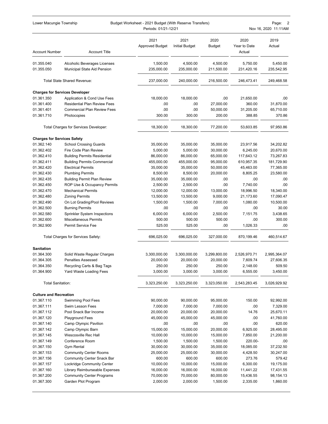| 2021<br>2021<br>2020<br>2020<br>2019<br><b>Approved Budget</b><br><b>Initial Budget</b><br>Year to Date<br><b>Budget</b><br>Actual<br><b>Account Title</b><br>Actual<br><b>Account Number</b><br>1,500.00<br>4,500.00<br>4,500.00<br>01.355.040<br>Alcoholic Beverages Licenses<br>5,750.00<br>5,450.00<br>235,000.00<br>235,000.00<br>211,500.00<br>235,542.95<br>01.355.050<br>Municipal State Aid Pension<br>231,420.16<br>Total State Shared Revenue:<br>237,000.00<br>240,000.00<br>216,500.00<br>249,468.58<br>246,473.41<br><b>Charges for Services Developer</b><br>01.361.350<br>Application & Cond Use Fees<br>18,000.00<br>18,000.00<br>.00<br>21,650.00<br>.00<br><b>Residential Plan Review Fees</b><br>360.00<br>31,870.00<br>01.361.400<br>.00<br>.00<br>27,000.00<br>65,710.00<br>01.361.401<br>Commercial Plan Review Fees<br>.00<br>.00<br>50,000.00<br>31,205.00<br>300.00<br>01.361.710<br>Photocopies<br>300.00<br>200.00<br>388.85<br>370.86<br>18,300.00<br>Total Charges for Services Developer:<br>18,300.00<br>77,200.00<br>53,603.85<br>97,950.86<br><b>Charges for Services Safety</b><br>01.362.140<br><b>School Crossing Guards</b><br>35,000.00<br>35,000.00<br>35,000.00<br>23,917.56<br>34,202.82<br>01.362.402<br>Fire Code Plan Review<br>5,000.00<br>5,000.00<br>30,000.00<br>6,245.00<br>20,670.00<br>01.362.410<br>86,000.00<br>86,000.00<br>65,000.00<br>117,643.12<br>73,267.83<br><b>Building Permits Residential</b><br>181,729.90<br>01.362.411<br><b>Building Permits Commercial</b><br>455,000.00<br>455,000.00<br>95,000.00<br>610,957.35<br>01.362.420<br><b>Electrical Permits</b><br>35,000.00<br>35,000.00<br>50,000.00<br>45,463.00<br>77,365.00<br>01.362.430<br><b>Plumbing Permits</b><br>8,500.00<br>8,500.00<br>20,000.00<br>8,805.25<br>23,580.00<br>01.362.435<br><b>Building Permit Plan Review</b><br>35,000.00<br>35,000.00<br>.00<br>.00<br>.00<br>01.362.450<br>ROP Use & Occupancy Permits<br>2,500.00<br>2,500.00<br>.00<br>7,740.00<br>.00<br>18,996.50<br>01.362.470<br><b>Mechanical Permits</b><br>12,000.00<br>12,000.00<br>13,000.00<br>18,340.00<br>01.362.480<br><b>Zoning Permits</b><br>13,500.00<br>13,500.00<br>9,000.00<br>21,173.60<br>17,090.47<br>10,500.00<br>01.362.490<br>On Lot Grading/Pool Reviews<br>1,500.00<br>1,500.00<br>7,000.00<br>1,080.00<br>30.00<br>01.362.500<br><b>Burning Permits</b><br>.00<br>.00<br>.00<br>.00<br>01.362.580<br>6,000.00<br>6,000.00<br>2,500.00<br>7,151.75<br>3,438.65<br>Sprinkler System Inspections<br>01.362.600<br>500.00<br>500.00<br>300.00<br><b>Miscellaneous Permits</b><br>500.00<br>.00<br>525.00<br>1,026.33<br>01.362.900<br>Permit Service Fee<br>525.00<br>.00<br>.00<br>Total Charges for Services Safety:<br>696,025.00<br>696,025.00<br>327,000.00<br>870,199.46<br>460,514.67<br><b>Sanitation</b><br>01.364.300<br>Solid Waste Regular Charges<br>3,300,000.00<br>3,300,000.00<br>3,299,800.00<br>2,526,970.71<br>2,995,364.07<br>7,609.74<br>01.364.305<br>20,000.00<br>20,000.00<br>20,000.00<br>27,606.35<br>Penalties Assessed<br>509.50<br>01.364.350<br>Recycling Carts & Bag Tags<br>250.00<br>250.00<br>250.00<br>2,148.00<br>01.364.900<br>3,000.00<br>3,000.00<br>3,000.00<br>6,555.00<br>3,450.00<br>Yard Waste Loading Fees<br><b>Total Sanitation:</b><br>2,543,283.45<br>3,323,250.00<br>3,323,250.00<br>3,323,050.00<br>3,026,929.92<br><b>Culture and Recreation</b><br>01.367.110<br>90,000.00<br>90,000.00<br>150.00<br><b>Swimming Pool Fees</b><br>95,000.00<br>92,992.00<br>01.367.111<br>Swim Lesson Fees<br>7,000.00<br>7,000.00<br>7,000.00<br>.00<br>7,329.00<br>01.367.112<br>Pool Snack Bar Income<br>20,000.00<br>20,000.00<br>20,000.00<br>14.76<br>25,670.11<br>01.367.120<br><b>Playground Fees</b><br>45,000.00<br>45,000.00<br>45,000.00<br>.00<br>41,760.00<br>620.00<br>01.367.140<br>Camp Olympic Pavilion<br>.00<br>.00<br>.00<br>.00<br>01.367.142<br>Camp Olympic Barn<br>15,000.00<br>15,000.00<br>20,000.00<br>28,495.00<br>6,925.00<br>7,850.00<br>21,200.00<br>01.367.145<br>Wescosville Rec Hall<br>10,000.00<br>10,000.00<br>15,000.00<br>01.367.149<br>Conference Room<br>1,500.00<br>1,500.00<br>1,500.00<br>220.00-<br>.00<br>37,232.50<br>01.367.150<br>Gym Rental<br>30,000.00<br>30,000.00<br>35,000.00<br>18,085.00<br>30,247.00<br>01.367.153<br><b>Community Center Rooms</b><br>25,000.00<br>25,000.00<br>30,000.00<br>4,428.50<br>01.367.156<br>600.00<br>600.00<br>600.00<br>273.76<br>579.42<br>Community Center Snack Bar<br>6,300.00<br>19,175.00<br>01.367.157<br>Lockridge Community Center<br>10,000.00<br>10,000.00<br>15,000.00<br>01.367.160<br>Library Reimburseable Expenses<br>16,000.00<br>16,000.00<br>16,000.00<br>11,441.22<br>17,431.55<br>01.367.200<br><b>Community Center Programs</b><br>70,000.00<br>70,000.00<br>80,000.00<br>15,436.55<br>98,154.13<br>1,860.00<br>01.367.300<br>Garden Plot Program<br>2,000.00<br>2,000.00<br>1,500.00<br>2,335.00 | Lower Macungie Township<br>Budget Worksheet - 2021 Budget (With Reserve Transfers)<br>Periods: 01/21-12/21 |  |  |  |  | Page:<br>2<br>Nov 16, 2020 11:11AM |  |
|--------------------------------------------------------------------------------------------------------------------------------------------------------------------------------------------------------------------------------------------------------------------------------------------------------------------------------------------------------------------------------------------------------------------------------------------------------------------------------------------------------------------------------------------------------------------------------------------------------------------------------------------------------------------------------------------------------------------------------------------------------------------------------------------------------------------------------------------------------------------------------------------------------------------------------------------------------------------------------------------------------------------------------------------------------------------------------------------------------------------------------------------------------------------------------------------------------------------------------------------------------------------------------------------------------------------------------------------------------------------------------------------------------------------------------------------------------------------------------------------------------------------------------------------------------------------------------------------------------------------------------------------------------------------------------------------------------------------------------------------------------------------------------------------------------------------------------------------------------------------------------------------------------------------------------------------------------------------------------------------------------------------------------------------------------------------------------------------------------------------------------------------------------------------------------------------------------------------------------------------------------------------------------------------------------------------------------------------------------------------------------------------------------------------------------------------------------------------------------------------------------------------------------------------------------------------------------------------------------------------------------------------------------------------------------------------------------------------------------------------------------------------------------------------------------------------------------------------------------------------------------------------------------------------------------------------------------------------------------------------------------------------------------------------------------------------------------------------------------------------------------------------------------------------------------------------------------------------------------------------------------------------------------------------------------------------------------------------------------------------------------------------------------------------------------------------------------------------------------------------------------------------------------------------------------------------------------------------------------------------------------------------------------------------------------------------------------------------------------------------------------------------------------------------------------------------------------------------------------------------------------------------------------------------------------------------------------------------------------------------------------------------------------------------------------------------------------------------------------------------------------------------------------------------------------------------------------------------------------------------------------------------------------------------------------------------------------------------------------------------------------------------------------------------------------------------------------------------------------------------------------------------------------------------------------------------------------------------------------------------------------------------------------------------------------------------------------------------------------------------------------------------------------------------------------------------------------------------------------------------------------------------------------------------------------------------------------------------------------------|------------------------------------------------------------------------------------------------------------|--|--|--|--|------------------------------------|--|
|                                                                                                                                                                                                                                                                                                                                                                                                                                                                                                                                                                                                                                                                                                                                                                                                                                                                                                                                                                                                                                                                                                                                                                                                                                                                                                                                                                                                                                                                                                                                                                                                                                                                                                                                                                                                                                                                                                                                                                                                                                                                                                                                                                                                                                                                                                                                                                                                                                                                                                                                                                                                                                                                                                                                                                                                                                                                                                                                                                                                                                                                                                                                                                                                                                                                                                                                                                                                                                                                                                                                                                                                                                                                                                                                                                                                                                                                                                                                                                                                                                                                                                                                                                                                                                                                                                                                                                                                                                                                                                                                                                                                                                                                                                                                                                                                                                                                                                                                                                                      |                                                                                                            |  |  |  |  |                                    |  |
|                                                                                                                                                                                                                                                                                                                                                                                                                                                                                                                                                                                                                                                                                                                                                                                                                                                                                                                                                                                                                                                                                                                                                                                                                                                                                                                                                                                                                                                                                                                                                                                                                                                                                                                                                                                                                                                                                                                                                                                                                                                                                                                                                                                                                                                                                                                                                                                                                                                                                                                                                                                                                                                                                                                                                                                                                                                                                                                                                                                                                                                                                                                                                                                                                                                                                                                                                                                                                                                                                                                                                                                                                                                                                                                                                                                                                                                                                                                                                                                                                                                                                                                                                                                                                                                                                                                                                                                                                                                                                                                                                                                                                                                                                                                                                                                                                                                                                                                                                                                      |                                                                                                            |  |  |  |  |                                    |  |
|                                                                                                                                                                                                                                                                                                                                                                                                                                                                                                                                                                                                                                                                                                                                                                                                                                                                                                                                                                                                                                                                                                                                                                                                                                                                                                                                                                                                                                                                                                                                                                                                                                                                                                                                                                                                                                                                                                                                                                                                                                                                                                                                                                                                                                                                                                                                                                                                                                                                                                                                                                                                                                                                                                                                                                                                                                                                                                                                                                                                                                                                                                                                                                                                                                                                                                                                                                                                                                                                                                                                                                                                                                                                                                                                                                                                                                                                                                                                                                                                                                                                                                                                                                                                                                                                                                                                                                                                                                                                                                                                                                                                                                                                                                                                                                                                                                                                                                                                                                                      |                                                                                                            |  |  |  |  |                                    |  |
|                                                                                                                                                                                                                                                                                                                                                                                                                                                                                                                                                                                                                                                                                                                                                                                                                                                                                                                                                                                                                                                                                                                                                                                                                                                                                                                                                                                                                                                                                                                                                                                                                                                                                                                                                                                                                                                                                                                                                                                                                                                                                                                                                                                                                                                                                                                                                                                                                                                                                                                                                                                                                                                                                                                                                                                                                                                                                                                                                                                                                                                                                                                                                                                                                                                                                                                                                                                                                                                                                                                                                                                                                                                                                                                                                                                                                                                                                                                                                                                                                                                                                                                                                                                                                                                                                                                                                                                                                                                                                                                                                                                                                                                                                                                                                                                                                                                                                                                                                                                      |                                                                                                            |  |  |  |  |                                    |  |
|                                                                                                                                                                                                                                                                                                                                                                                                                                                                                                                                                                                                                                                                                                                                                                                                                                                                                                                                                                                                                                                                                                                                                                                                                                                                                                                                                                                                                                                                                                                                                                                                                                                                                                                                                                                                                                                                                                                                                                                                                                                                                                                                                                                                                                                                                                                                                                                                                                                                                                                                                                                                                                                                                                                                                                                                                                                                                                                                                                                                                                                                                                                                                                                                                                                                                                                                                                                                                                                                                                                                                                                                                                                                                                                                                                                                                                                                                                                                                                                                                                                                                                                                                                                                                                                                                                                                                                                                                                                                                                                                                                                                                                                                                                                                                                                                                                                                                                                                                                                      |                                                                                                            |  |  |  |  |                                    |  |
|                                                                                                                                                                                                                                                                                                                                                                                                                                                                                                                                                                                                                                                                                                                                                                                                                                                                                                                                                                                                                                                                                                                                                                                                                                                                                                                                                                                                                                                                                                                                                                                                                                                                                                                                                                                                                                                                                                                                                                                                                                                                                                                                                                                                                                                                                                                                                                                                                                                                                                                                                                                                                                                                                                                                                                                                                                                                                                                                                                                                                                                                                                                                                                                                                                                                                                                                                                                                                                                                                                                                                                                                                                                                                                                                                                                                                                                                                                                                                                                                                                                                                                                                                                                                                                                                                                                                                                                                                                                                                                                                                                                                                                                                                                                                                                                                                                                                                                                                                                                      |                                                                                                            |  |  |  |  |                                    |  |
|                                                                                                                                                                                                                                                                                                                                                                                                                                                                                                                                                                                                                                                                                                                                                                                                                                                                                                                                                                                                                                                                                                                                                                                                                                                                                                                                                                                                                                                                                                                                                                                                                                                                                                                                                                                                                                                                                                                                                                                                                                                                                                                                                                                                                                                                                                                                                                                                                                                                                                                                                                                                                                                                                                                                                                                                                                                                                                                                                                                                                                                                                                                                                                                                                                                                                                                                                                                                                                                                                                                                                                                                                                                                                                                                                                                                                                                                                                                                                                                                                                                                                                                                                                                                                                                                                                                                                                                                                                                                                                                                                                                                                                                                                                                                                                                                                                                                                                                                                                                      |                                                                                                            |  |  |  |  |                                    |  |
|                                                                                                                                                                                                                                                                                                                                                                                                                                                                                                                                                                                                                                                                                                                                                                                                                                                                                                                                                                                                                                                                                                                                                                                                                                                                                                                                                                                                                                                                                                                                                                                                                                                                                                                                                                                                                                                                                                                                                                                                                                                                                                                                                                                                                                                                                                                                                                                                                                                                                                                                                                                                                                                                                                                                                                                                                                                                                                                                                                                                                                                                                                                                                                                                                                                                                                                                                                                                                                                                                                                                                                                                                                                                                                                                                                                                                                                                                                                                                                                                                                                                                                                                                                                                                                                                                                                                                                                                                                                                                                                                                                                                                                                                                                                                                                                                                                                                                                                                                                                      |                                                                                                            |  |  |  |  |                                    |  |
|                                                                                                                                                                                                                                                                                                                                                                                                                                                                                                                                                                                                                                                                                                                                                                                                                                                                                                                                                                                                                                                                                                                                                                                                                                                                                                                                                                                                                                                                                                                                                                                                                                                                                                                                                                                                                                                                                                                                                                                                                                                                                                                                                                                                                                                                                                                                                                                                                                                                                                                                                                                                                                                                                                                                                                                                                                                                                                                                                                                                                                                                                                                                                                                                                                                                                                                                                                                                                                                                                                                                                                                                                                                                                                                                                                                                                                                                                                                                                                                                                                                                                                                                                                                                                                                                                                                                                                                                                                                                                                                                                                                                                                                                                                                                                                                                                                                                                                                                                                                      |                                                                                                            |  |  |  |  |                                    |  |
|                                                                                                                                                                                                                                                                                                                                                                                                                                                                                                                                                                                                                                                                                                                                                                                                                                                                                                                                                                                                                                                                                                                                                                                                                                                                                                                                                                                                                                                                                                                                                                                                                                                                                                                                                                                                                                                                                                                                                                                                                                                                                                                                                                                                                                                                                                                                                                                                                                                                                                                                                                                                                                                                                                                                                                                                                                                                                                                                                                                                                                                                                                                                                                                                                                                                                                                                                                                                                                                                                                                                                                                                                                                                                                                                                                                                                                                                                                                                                                                                                                                                                                                                                                                                                                                                                                                                                                                                                                                                                                                                                                                                                                                                                                                                                                                                                                                                                                                                                                                      |                                                                                                            |  |  |  |  |                                    |  |
|                                                                                                                                                                                                                                                                                                                                                                                                                                                                                                                                                                                                                                                                                                                                                                                                                                                                                                                                                                                                                                                                                                                                                                                                                                                                                                                                                                                                                                                                                                                                                                                                                                                                                                                                                                                                                                                                                                                                                                                                                                                                                                                                                                                                                                                                                                                                                                                                                                                                                                                                                                                                                                                                                                                                                                                                                                                                                                                                                                                                                                                                                                                                                                                                                                                                                                                                                                                                                                                                                                                                                                                                                                                                                                                                                                                                                                                                                                                                                                                                                                                                                                                                                                                                                                                                                                                                                                                                                                                                                                                                                                                                                                                                                                                                                                                                                                                                                                                                                                                      |                                                                                                            |  |  |  |  |                                    |  |
|                                                                                                                                                                                                                                                                                                                                                                                                                                                                                                                                                                                                                                                                                                                                                                                                                                                                                                                                                                                                                                                                                                                                                                                                                                                                                                                                                                                                                                                                                                                                                                                                                                                                                                                                                                                                                                                                                                                                                                                                                                                                                                                                                                                                                                                                                                                                                                                                                                                                                                                                                                                                                                                                                                                                                                                                                                                                                                                                                                                                                                                                                                                                                                                                                                                                                                                                                                                                                                                                                                                                                                                                                                                                                                                                                                                                                                                                                                                                                                                                                                                                                                                                                                                                                                                                                                                                                                                                                                                                                                                                                                                                                                                                                                                                                                                                                                                                                                                                                                                      |                                                                                                            |  |  |  |  |                                    |  |
|                                                                                                                                                                                                                                                                                                                                                                                                                                                                                                                                                                                                                                                                                                                                                                                                                                                                                                                                                                                                                                                                                                                                                                                                                                                                                                                                                                                                                                                                                                                                                                                                                                                                                                                                                                                                                                                                                                                                                                                                                                                                                                                                                                                                                                                                                                                                                                                                                                                                                                                                                                                                                                                                                                                                                                                                                                                                                                                                                                                                                                                                                                                                                                                                                                                                                                                                                                                                                                                                                                                                                                                                                                                                                                                                                                                                                                                                                                                                                                                                                                                                                                                                                                                                                                                                                                                                                                                                                                                                                                                                                                                                                                                                                                                                                                                                                                                                                                                                                                                      |                                                                                                            |  |  |  |  |                                    |  |
|                                                                                                                                                                                                                                                                                                                                                                                                                                                                                                                                                                                                                                                                                                                                                                                                                                                                                                                                                                                                                                                                                                                                                                                                                                                                                                                                                                                                                                                                                                                                                                                                                                                                                                                                                                                                                                                                                                                                                                                                                                                                                                                                                                                                                                                                                                                                                                                                                                                                                                                                                                                                                                                                                                                                                                                                                                                                                                                                                                                                                                                                                                                                                                                                                                                                                                                                                                                                                                                                                                                                                                                                                                                                                                                                                                                                                                                                                                                                                                                                                                                                                                                                                                                                                                                                                                                                                                                                                                                                                                                                                                                                                                                                                                                                                                                                                                                                                                                                                                                      |                                                                                                            |  |  |  |  |                                    |  |
|                                                                                                                                                                                                                                                                                                                                                                                                                                                                                                                                                                                                                                                                                                                                                                                                                                                                                                                                                                                                                                                                                                                                                                                                                                                                                                                                                                                                                                                                                                                                                                                                                                                                                                                                                                                                                                                                                                                                                                                                                                                                                                                                                                                                                                                                                                                                                                                                                                                                                                                                                                                                                                                                                                                                                                                                                                                                                                                                                                                                                                                                                                                                                                                                                                                                                                                                                                                                                                                                                                                                                                                                                                                                                                                                                                                                                                                                                                                                                                                                                                                                                                                                                                                                                                                                                                                                                                                                                                                                                                                                                                                                                                                                                                                                                                                                                                                                                                                                                                                      |                                                                                                            |  |  |  |  |                                    |  |
|                                                                                                                                                                                                                                                                                                                                                                                                                                                                                                                                                                                                                                                                                                                                                                                                                                                                                                                                                                                                                                                                                                                                                                                                                                                                                                                                                                                                                                                                                                                                                                                                                                                                                                                                                                                                                                                                                                                                                                                                                                                                                                                                                                                                                                                                                                                                                                                                                                                                                                                                                                                                                                                                                                                                                                                                                                                                                                                                                                                                                                                                                                                                                                                                                                                                                                                                                                                                                                                                                                                                                                                                                                                                                                                                                                                                                                                                                                                                                                                                                                                                                                                                                                                                                                                                                                                                                                                                                                                                                                                                                                                                                                                                                                                                                                                                                                                                                                                                                                                      |                                                                                                            |  |  |  |  |                                    |  |
|                                                                                                                                                                                                                                                                                                                                                                                                                                                                                                                                                                                                                                                                                                                                                                                                                                                                                                                                                                                                                                                                                                                                                                                                                                                                                                                                                                                                                                                                                                                                                                                                                                                                                                                                                                                                                                                                                                                                                                                                                                                                                                                                                                                                                                                                                                                                                                                                                                                                                                                                                                                                                                                                                                                                                                                                                                                                                                                                                                                                                                                                                                                                                                                                                                                                                                                                                                                                                                                                                                                                                                                                                                                                                                                                                                                                                                                                                                                                                                                                                                                                                                                                                                                                                                                                                                                                                                                                                                                                                                                                                                                                                                                                                                                                                                                                                                                                                                                                                                                      |                                                                                                            |  |  |  |  |                                    |  |
|                                                                                                                                                                                                                                                                                                                                                                                                                                                                                                                                                                                                                                                                                                                                                                                                                                                                                                                                                                                                                                                                                                                                                                                                                                                                                                                                                                                                                                                                                                                                                                                                                                                                                                                                                                                                                                                                                                                                                                                                                                                                                                                                                                                                                                                                                                                                                                                                                                                                                                                                                                                                                                                                                                                                                                                                                                                                                                                                                                                                                                                                                                                                                                                                                                                                                                                                                                                                                                                                                                                                                                                                                                                                                                                                                                                                                                                                                                                                                                                                                                                                                                                                                                                                                                                                                                                                                                                                                                                                                                                                                                                                                                                                                                                                                                                                                                                                                                                                                                                      |                                                                                                            |  |  |  |  |                                    |  |
|                                                                                                                                                                                                                                                                                                                                                                                                                                                                                                                                                                                                                                                                                                                                                                                                                                                                                                                                                                                                                                                                                                                                                                                                                                                                                                                                                                                                                                                                                                                                                                                                                                                                                                                                                                                                                                                                                                                                                                                                                                                                                                                                                                                                                                                                                                                                                                                                                                                                                                                                                                                                                                                                                                                                                                                                                                                                                                                                                                                                                                                                                                                                                                                                                                                                                                                                                                                                                                                                                                                                                                                                                                                                                                                                                                                                                                                                                                                                                                                                                                                                                                                                                                                                                                                                                                                                                                                                                                                                                                                                                                                                                                                                                                                                                                                                                                                                                                                                                                                      |                                                                                                            |  |  |  |  |                                    |  |
|                                                                                                                                                                                                                                                                                                                                                                                                                                                                                                                                                                                                                                                                                                                                                                                                                                                                                                                                                                                                                                                                                                                                                                                                                                                                                                                                                                                                                                                                                                                                                                                                                                                                                                                                                                                                                                                                                                                                                                                                                                                                                                                                                                                                                                                                                                                                                                                                                                                                                                                                                                                                                                                                                                                                                                                                                                                                                                                                                                                                                                                                                                                                                                                                                                                                                                                                                                                                                                                                                                                                                                                                                                                                                                                                                                                                                                                                                                                                                                                                                                                                                                                                                                                                                                                                                                                                                                                                                                                                                                                                                                                                                                                                                                                                                                                                                                                                                                                                                                                      |                                                                                                            |  |  |  |  |                                    |  |
|                                                                                                                                                                                                                                                                                                                                                                                                                                                                                                                                                                                                                                                                                                                                                                                                                                                                                                                                                                                                                                                                                                                                                                                                                                                                                                                                                                                                                                                                                                                                                                                                                                                                                                                                                                                                                                                                                                                                                                                                                                                                                                                                                                                                                                                                                                                                                                                                                                                                                                                                                                                                                                                                                                                                                                                                                                                                                                                                                                                                                                                                                                                                                                                                                                                                                                                                                                                                                                                                                                                                                                                                                                                                                                                                                                                                                                                                                                                                                                                                                                                                                                                                                                                                                                                                                                                                                                                                                                                                                                                                                                                                                                                                                                                                                                                                                                                                                                                                                                                      |                                                                                                            |  |  |  |  |                                    |  |
|                                                                                                                                                                                                                                                                                                                                                                                                                                                                                                                                                                                                                                                                                                                                                                                                                                                                                                                                                                                                                                                                                                                                                                                                                                                                                                                                                                                                                                                                                                                                                                                                                                                                                                                                                                                                                                                                                                                                                                                                                                                                                                                                                                                                                                                                                                                                                                                                                                                                                                                                                                                                                                                                                                                                                                                                                                                                                                                                                                                                                                                                                                                                                                                                                                                                                                                                                                                                                                                                                                                                                                                                                                                                                                                                                                                                                                                                                                                                                                                                                                                                                                                                                                                                                                                                                                                                                                                                                                                                                                                                                                                                                                                                                                                                                                                                                                                                                                                                                                                      |                                                                                                            |  |  |  |  |                                    |  |
|                                                                                                                                                                                                                                                                                                                                                                                                                                                                                                                                                                                                                                                                                                                                                                                                                                                                                                                                                                                                                                                                                                                                                                                                                                                                                                                                                                                                                                                                                                                                                                                                                                                                                                                                                                                                                                                                                                                                                                                                                                                                                                                                                                                                                                                                                                                                                                                                                                                                                                                                                                                                                                                                                                                                                                                                                                                                                                                                                                                                                                                                                                                                                                                                                                                                                                                                                                                                                                                                                                                                                                                                                                                                                                                                                                                                                                                                                                                                                                                                                                                                                                                                                                                                                                                                                                                                                                                                                                                                                                                                                                                                                                                                                                                                                                                                                                                                                                                                                                                      |                                                                                                            |  |  |  |  |                                    |  |
|                                                                                                                                                                                                                                                                                                                                                                                                                                                                                                                                                                                                                                                                                                                                                                                                                                                                                                                                                                                                                                                                                                                                                                                                                                                                                                                                                                                                                                                                                                                                                                                                                                                                                                                                                                                                                                                                                                                                                                                                                                                                                                                                                                                                                                                                                                                                                                                                                                                                                                                                                                                                                                                                                                                                                                                                                                                                                                                                                                                                                                                                                                                                                                                                                                                                                                                                                                                                                                                                                                                                                                                                                                                                                                                                                                                                                                                                                                                                                                                                                                                                                                                                                                                                                                                                                                                                                                                                                                                                                                                                                                                                                                                                                                                                                                                                                                                                                                                                                                                      |                                                                                                            |  |  |  |  |                                    |  |
|                                                                                                                                                                                                                                                                                                                                                                                                                                                                                                                                                                                                                                                                                                                                                                                                                                                                                                                                                                                                                                                                                                                                                                                                                                                                                                                                                                                                                                                                                                                                                                                                                                                                                                                                                                                                                                                                                                                                                                                                                                                                                                                                                                                                                                                                                                                                                                                                                                                                                                                                                                                                                                                                                                                                                                                                                                                                                                                                                                                                                                                                                                                                                                                                                                                                                                                                                                                                                                                                                                                                                                                                                                                                                                                                                                                                                                                                                                                                                                                                                                                                                                                                                                                                                                                                                                                                                                                                                                                                                                                                                                                                                                                                                                                                                                                                                                                                                                                                                                                      |                                                                                                            |  |  |  |  |                                    |  |
|                                                                                                                                                                                                                                                                                                                                                                                                                                                                                                                                                                                                                                                                                                                                                                                                                                                                                                                                                                                                                                                                                                                                                                                                                                                                                                                                                                                                                                                                                                                                                                                                                                                                                                                                                                                                                                                                                                                                                                                                                                                                                                                                                                                                                                                                                                                                                                                                                                                                                                                                                                                                                                                                                                                                                                                                                                                                                                                                                                                                                                                                                                                                                                                                                                                                                                                                                                                                                                                                                                                                                                                                                                                                                                                                                                                                                                                                                                                                                                                                                                                                                                                                                                                                                                                                                                                                                                                                                                                                                                                                                                                                                                                                                                                                                                                                                                                                                                                                                                                      |                                                                                                            |  |  |  |  |                                    |  |
|                                                                                                                                                                                                                                                                                                                                                                                                                                                                                                                                                                                                                                                                                                                                                                                                                                                                                                                                                                                                                                                                                                                                                                                                                                                                                                                                                                                                                                                                                                                                                                                                                                                                                                                                                                                                                                                                                                                                                                                                                                                                                                                                                                                                                                                                                                                                                                                                                                                                                                                                                                                                                                                                                                                                                                                                                                                                                                                                                                                                                                                                                                                                                                                                                                                                                                                                                                                                                                                                                                                                                                                                                                                                                                                                                                                                                                                                                                                                                                                                                                                                                                                                                                                                                                                                                                                                                                                                                                                                                                                                                                                                                                                                                                                                                                                                                                                                                                                                                                                      |                                                                                                            |  |  |  |  |                                    |  |
|                                                                                                                                                                                                                                                                                                                                                                                                                                                                                                                                                                                                                                                                                                                                                                                                                                                                                                                                                                                                                                                                                                                                                                                                                                                                                                                                                                                                                                                                                                                                                                                                                                                                                                                                                                                                                                                                                                                                                                                                                                                                                                                                                                                                                                                                                                                                                                                                                                                                                                                                                                                                                                                                                                                                                                                                                                                                                                                                                                                                                                                                                                                                                                                                                                                                                                                                                                                                                                                                                                                                                                                                                                                                                                                                                                                                                                                                                                                                                                                                                                                                                                                                                                                                                                                                                                                                                                                                                                                                                                                                                                                                                                                                                                                                                                                                                                                                                                                                                                                      |                                                                                                            |  |  |  |  |                                    |  |
|                                                                                                                                                                                                                                                                                                                                                                                                                                                                                                                                                                                                                                                                                                                                                                                                                                                                                                                                                                                                                                                                                                                                                                                                                                                                                                                                                                                                                                                                                                                                                                                                                                                                                                                                                                                                                                                                                                                                                                                                                                                                                                                                                                                                                                                                                                                                                                                                                                                                                                                                                                                                                                                                                                                                                                                                                                                                                                                                                                                                                                                                                                                                                                                                                                                                                                                                                                                                                                                                                                                                                                                                                                                                                                                                                                                                                                                                                                                                                                                                                                                                                                                                                                                                                                                                                                                                                                                                                                                                                                                                                                                                                                                                                                                                                                                                                                                                                                                                                                                      |                                                                                                            |  |  |  |  |                                    |  |
|                                                                                                                                                                                                                                                                                                                                                                                                                                                                                                                                                                                                                                                                                                                                                                                                                                                                                                                                                                                                                                                                                                                                                                                                                                                                                                                                                                                                                                                                                                                                                                                                                                                                                                                                                                                                                                                                                                                                                                                                                                                                                                                                                                                                                                                                                                                                                                                                                                                                                                                                                                                                                                                                                                                                                                                                                                                                                                                                                                                                                                                                                                                                                                                                                                                                                                                                                                                                                                                                                                                                                                                                                                                                                                                                                                                                                                                                                                                                                                                                                                                                                                                                                                                                                                                                                                                                                                                                                                                                                                                                                                                                                                                                                                                                                                                                                                                                                                                                                                                      |                                                                                                            |  |  |  |  |                                    |  |
|                                                                                                                                                                                                                                                                                                                                                                                                                                                                                                                                                                                                                                                                                                                                                                                                                                                                                                                                                                                                                                                                                                                                                                                                                                                                                                                                                                                                                                                                                                                                                                                                                                                                                                                                                                                                                                                                                                                                                                                                                                                                                                                                                                                                                                                                                                                                                                                                                                                                                                                                                                                                                                                                                                                                                                                                                                                                                                                                                                                                                                                                                                                                                                                                                                                                                                                                                                                                                                                                                                                                                                                                                                                                                                                                                                                                                                                                                                                                                                                                                                                                                                                                                                                                                                                                                                                                                                                                                                                                                                                                                                                                                                                                                                                                                                                                                                                                                                                                                                                      |                                                                                                            |  |  |  |  |                                    |  |
|                                                                                                                                                                                                                                                                                                                                                                                                                                                                                                                                                                                                                                                                                                                                                                                                                                                                                                                                                                                                                                                                                                                                                                                                                                                                                                                                                                                                                                                                                                                                                                                                                                                                                                                                                                                                                                                                                                                                                                                                                                                                                                                                                                                                                                                                                                                                                                                                                                                                                                                                                                                                                                                                                                                                                                                                                                                                                                                                                                                                                                                                                                                                                                                                                                                                                                                                                                                                                                                                                                                                                                                                                                                                                                                                                                                                                                                                                                                                                                                                                                                                                                                                                                                                                                                                                                                                                                                                                                                                                                                                                                                                                                                                                                                                                                                                                                                                                                                                                                                      |                                                                                                            |  |  |  |  |                                    |  |
|                                                                                                                                                                                                                                                                                                                                                                                                                                                                                                                                                                                                                                                                                                                                                                                                                                                                                                                                                                                                                                                                                                                                                                                                                                                                                                                                                                                                                                                                                                                                                                                                                                                                                                                                                                                                                                                                                                                                                                                                                                                                                                                                                                                                                                                                                                                                                                                                                                                                                                                                                                                                                                                                                                                                                                                                                                                                                                                                                                                                                                                                                                                                                                                                                                                                                                                                                                                                                                                                                                                                                                                                                                                                                                                                                                                                                                                                                                                                                                                                                                                                                                                                                                                                                                                                                                                                                                                                                                                                                                                                                                                                                                                                                                                                                                                                                                                                                                                                                                                      |                                                                                                            |  |  |  |  |                                    |  |
|                                                                                                                                                                                                                                                                                                                                                                                                                                                                                                                                                                                                                                                                                                                                                                                                                                                                                                                                                                                                                                                                                                                                                                                                                                                                                                                                                                                                                                                                                                                                                                                                                                                                                                                                                                                                                                                                                                                                                                                                                                                                                                                                                                                                                                                                                                                                                                                                                                                                                                                                                                                                                                                                                                                                                                                                                                                                                                                                                                                                                                                                                                                                                                                                                                                                                                                                                                                                                                                                                                                                                                                                                                                                                                                                                                                                                                                                                                                                                                                                                                                                                                                                                                                                                                                                                                                                                                                                                                                                                                                                                                                                                                                                                                                                                                                                                                                                                                                                                                                      |                                                                                                            |  |  |  |  |                                    |  |
|                                                                                                                                                                                                                                                                                                                                                                                                                                                                                                                                                                                                                                                                                                                                                                                                                                                                                                                                                                                                                                                                                                                                                                                                                                                                                                                                                                                                                                                                                                                                                                                                                                                                                                                                                                                                                                                                                                                                                                                                                                                                                                                                                                                                                                                                                                                                                                                                                                                                                                                                                                                                                                                                                                                                                                                                                                                                                                                                                                                                                                                                                                                                                                                                                                                                                                                                                                                                                                                                                                                                                                                                                                                                                                                                                                                                                                                                                                                                                                                                                                                                                                                                                                                                                                                                                                                                                                                                                                                                                                                                                                                                                                                                                                                                                                                                                                                                                                                                                                                      |                                                                                                            |  |  |  |  |                                    |  |
|                                                                                                                                                                                                                                                                                                                                                                                                                                                                                                                                                                                                                                                                                                                                                                                                                                                                                                                                                                                                                                                                                                                                                                                                                                                                                                                                                                                                                                                                                                                                                                                                                                                                                                                                                                                                                                                                                                                                                                                                                                                                                                                                                                                                                                                                                                                                                                                                                                                                                                                                                                                                                                                                                                                                                                                                                                                                                                                                                                                                                                                                                                                                                                                                                                                                                                                                                                                                                                                                                                                                                                                                                                                                                                                                                                                                                                                                                                                                                                                                                                                                                                                                                                                                                                                                                                                                                                                                                                                                                                                                                                                                                                                                                                                                                                                                                                                                                                                                                                                      |                                                                                                            |  |  |  |  |                                    |  |
|                                                                                                                                                                                                                                                                                                                                                                                                                                                                                                                                                                                                                                                                                                                                                                                                                                                                                                                                                                                                                                                                                                                                                                                                                                                                                                                                                                                                                                                                                                                                                                                                                                                                                                                                                                                                                                                                                                                                                                                                                                                                                                                                                                                                                                                                                                                                                                                                                                                                                                                                                                                                                                                                                                                                                                                                                                                                                                                                                                                                                                                                                                                                                                                                                                                                                                                                                                                                                                                                                                                                                                                                                                                                                                                                                                                                                                                                                                                                                                                                                                                                                                                                                                                                                                                                                                                                                                                                                                                                                                                                                                                                                                                                                                                                                                                                                                                                                                                                                                                      |                                                                                                            |  |  |  |  |                                    |  |
|                                                                                                                                                                                                                                                                                                                                                                                                                                                                                                                                                                                                                                                                                                                                                                                                                                                                                                                                                                                                                                                                                                                                                                                                                                                                                                                                                                                                                                                                                                                                                                                                                                                                                                                                                                                                                                                                                                                                                                                                                                                                                                                                                                                                                                                                                                                                                                                                                                                                                                                                                                                                                                                                                                                                                                                                                                                                                                                                                                                                                                                                                                                                                                                                                                                                                                                                                                                                                                                                                                                                                                                                                                                                                                                                                                                                                                                                                                                                                                                                                                                                                                                                                                                                                                                                                                                                                                                                                                                                                                                                                                                                                                                                                                                                                                                                                                                                                                                                                                                      |                                                                                                            |  |  |  |  |                                    |  |
|                                                                                                                                                                                                                                                                                                                                                                                                                                                                                                                                                                                                                                                                                                                                                                                                                                                                                                                                                                                                                                                                                                                                                                                                                                                                                                                                                                                                                                                                                                                                                                                                                                                                                                                                                                                                                                                                                                                                                                                                                                                                                                                                                                                                                                                                                                                                                                                                                                                                                                                                                                                                                                                                                                                                                                                                                                                                                                                                                                                                                                                                                                                                                                                                                                                                                                                                                                                                                                                                                                                                                                                                                                                                                                                                                                                                                                                                                                                                                                                                                                                                                                                                                                                                                                                                                                                                                                                                                                                                                                                                                                                                                                                                                                                                                                                                                                                                                                                                                                                      |                                                                                                            |  |  |  |  |                                    |  |
|                                                                                                                                                                                                                                                                                                                                                                                                                                                                                                                                                                                                                                                                                                                                                                                                                                                                                                                                                                                                                                                                                                                                                                                                                                                                                                                                                                                                                                                                                                                                                                                                                                                                                                                                                                                                                                                                                                                                                                                                                                                                                                                                                                                                                                                                                                                                                                                                                                                                                                                                                                                                                                                                                                                                                                                                                                                                                                                                                                                                                                                                                                                                                                                                                                                                                                                                                                                                                                                                                                                                                                                                                                                                                                                                                                                                                                                                                                                                                                                                                                                                                                                                                                                                                                                                                                                                                                                                                                                                                                                                                                                                                                                                                                                                                                                                                                                                                                                                                                                      |                                                                                                            |  |  |  |  |                                    |  |
|                                                                                                                                                                                                                                                                                                                                                                                                                                                                                                                                                                                                                                                                                                                                                                                                                                                                                                                                                                                                                                                                                                                                                                                                                                                                                                                                                                                                                                                                                                                                                                                                                                                                                                                                                                                                                                                                                                                                                                                                                                                                                                                                                                                                                                                                                                                                                                                                                                                                                                                                                                                                                                                                                                                                                                                                                                                                                                                                                                                                                                                                                                                                                                                                                                                                                                                                                                                                                                                                                                                                                                                                                                                                                                                                                                                                                                                                                                                                                                                                                                                                                                                                                                                                                                                                                                                                                                                                                                                                                                                                                                                                                                                                                                                                                                                                                                                                                                                                                                                      |                                                                                                            |  |  |  |  |                                    |  |
|                                                                                                                                                                                                                                                                                                                                                                                                                                                                                                                                                                                                                                                                                                                                                                                                                                                                                                                                                                                                                                                                                                                                                                                                                                                                                                                                                                                                                                                                                                                                                                                                                                                                                                                                                                                                                                                                                                                                                                                                                                                                                                                                                                                                                                                                                                                                                                                                                                                                                                                                                                                                                                                                                                                                                                                                                                                                                                                                                                                                                                                                                                                                                                                                                                                                                                                                                                                                                                                                                                                                                                                                                                                                                                                                                                                                                                                                                                                                                                                                                                                                                                                                                                                                                                                                                                                                                                                                                                                                                                                                                                                                                                                                                                                                                                                                                                                                                                                                                                                      |                                                                                                            |  |  |  |  |                                    |  |
|                                                                                                                                                                                                                                                                                                                                                                                                                                                                                                                                                                                                                                                                                                                                                                                                                                                                                                                                                                                                                                                                                                                                                                                                                                                                                                                                                                                                                                                                                                                                                                                                                                                                                                                                                                                                                                                                                                                                                                                                                                                                                                                                                                                                                                                                                                                                                                                                                                                                                                                                                                                                                                                                                                                                                                                                                                                                                                                                                                                                                                                                                                                                                                                                                                                                                                                                                                                                                                                                                                                                                                                                                                                                                                                                                                                                                                                                                                                                                                                                                                                                                                                                                                                                                                                                                                                                                                                                                                                                                                                                                                                                                                                                                                                                                                                                                                                                                                                                                                                      |                                                                                                            |  |  |  |  |                                    |  |
|                                                                                                                                                                                                                                                                                                                                                                                                                                                                                                                                                                                                                                                                                                                                                                                                                                                                                                                                                                                                                                                                                                                                                                                                                                                                                                                                                                                                                                                                                                                                                                                                                                                                                                                                                                                                                                                                                                                                                                                                                                                                                                                                                                                                                                                                                                                                                                                                                                                                                                                                                                                                                                                                                                                                                                                                                                                                                                                                                                                                                                                                                                                                                                                                                                                                                                                                                                                                                                                                                                                                                                                                                                                                                                                                                                                                                                                                                                                                                                                                                                                                                                                                                                                                                                                                                                                                                                                                                                                                                                                                                                                                                                                                                                                                                                                                                                                                                                                                                                                      |                                                                                                            |  |  |  |  |                                    |  |
|                                                                                                                                                                                                                                                                                                                                                                                                                                                                                                                                                                                                                                                                                                                                                                                                                                                                                                                                                                                                                                                                                                                                                                                                                                                                                                                                                                                                                                                                                                                                                                                                                                                                                                                                                                                                                                                                                                                                                                                                                                                                                                                                                                                                                                                                                                                                                                                                                                                                                                                                                                                                                                                                                                                                                                                                                                                                                                                                                                                                                                                                                                                                                                                                                                                                                                                                                                                                                                                                                                                                                                                                                                                                                                                                                                                                                                                                                                                                                                                                                                                                                                                                                                                                                                                                                                                                                                                                                                                                                                                                                                                                                                                                                                                                                                                                                                                                                                                                                                                      |                                                                                                            |  |  |  |  |                                    |  |
|                                                                                                                                                                                                                                                                                                                                                                                                                                                                                                                                                                                                                                                                                                                                                                                                                                                                                                                                                                                                                                                                                                                                                                                                                                                                                                                                                                                                                                                                                                                                                                                                                                                                                                                                                                                                                                                                                                                                                                                                                                                                                                                                                                                                                                                                                                                                                                                                                                                                                                                                                                                                                                                                                                                                                                                                                                                                                                                                                                                                                                                                                                                                                                                                                                                                                                                                                                                                                                                                                                                                                                                                                                                                                                                                                                                                                                                                                                                                                                                                                                                                                                                                                                                                                                                                                                                                                                                                                                                                                                                                                                                                                                                                                                                                                                                                                                                                                                                                                                                      |                                                                                                            |  |  |  |  |                                    |  |
|                                                                                                                                                                                                                                                                                                                                                                                                                                                                                                                                                                                                                                                                                                                                                                                                                                                                                                                                                                                                                                                                                                                                                                                                                                                                                                                                                                                                                                                                                                                                                                                                                                                                                                                                                                                                                                                                                                                                                                                                                                                                                                                                                                                                                                                                                                                                                                                                                                                                                                                                                                                                                                                                                                                                                                                                                                                                                                                                                                                                                                                                                                                                                                                                                                                                                                                                                                                                                                                                                                                                                                                                                                                                                                                                                                                                                                                                                                                                                                                                                                                                                                                                                                                                                                                                                                                                                                                                                                                                                                                                                                                                                                                                                                                                                                                                                                                                                                                                                                                      |                                                                                                            |  |  |  |  |                                    |  |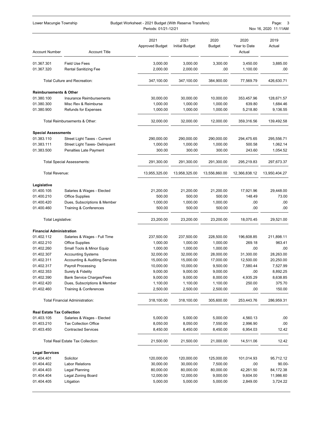| Lower Macungie Township<br>Budget Worksheet - 2021 Budget (With Reserve Transfers)<br>Periods: 01/21-12/21 |                                                                   |                                |                               |                       | Page:<br>3<br>Nov 16, 2020 11:11AM |                  |
|------------------------------------------------------------------------------------------------------------|-------------------------------------------------------------------|--------------------------------|-------------------------------|-----------------------|------------------------------------|------------------|
| <b>Account Number</b>                                                                                      | <b>Account Title</b>                                              | 2021<br><b>Approved Budget</b> | 2021<br><b>Initial Budget</b> | 2020<br><b>Budget</b> | 2020<br>Year to Date<br>Actual     | 2019<br>Actual   |
| 01.367.301                                                                                                 | <b>Field Use Fees</b>                                             | 3,000.00                       | 3,000.00                      | 3,300.00              | 3,450.00                           | 3,885.00         |
| 01.367.320                                                                                                 | <b>Rental Sanitizing Fee</b>                                      | 2,000.00                       | 2,000.00                      | .00                   | 1,100.00                           | .00              |
|                                                                                                            | <b>Total Culture and Recreation:</b>                              | 347,100.00                     | 347,100.00                    | 384,900.00            | 77,569.79                          | 426,630.71       |
| <b>Reimbursements &amp; Other</b>                                                                          |                                                                   |                                |                               |                       |                                    |                  |
| 01.380.100                                                                                                 | Insurance Reimbursements                                          | 30,000.00                      | 30,000.00                     | 10,000.00             | 353,457.96                         | 128,671.57       |
| 01.380.300                                                                                                 | Misc Rev & Reimburse                                              | 1,000.00                       | 1,000.00                      | 1,000.00              | 639.80                             | 1,684.46         |
| 01.380.900                                                                                                 | Refunds for Expenses                                              | 1,000.00                       | 1,000.00                      | 1,000.00              | 5,218.80                           | 9,136.55         |
|                                                                                                            | Total Reimbursements & Other:                                     | 32,000.00                      | 32,000.00                     | 12,000.00             | 359,316.56                         | 139,492.58       |
|                                                                                                            |                                                                   |                                |                               |                       |                                    |                  |
| <b>Special Assessments</b><br>01.383.110                                                                   | Street Light Taxes - Current                                      | 290,000.00                     | 290,000.00                    | 290,000.00            | 294,475.65                         | 295,556.71       |
| 01.383.111                                                                                                 | Street Light Taxes- Delinquent                                    | 1,000.00                       | 1,000.00                      | 1,000.00              | 500.58                             | 1,062.14         |
| 01.383.500                                                                                                 | Penalties Late Payment                                            | 300.00                         | 300.00                        | 300.00                | 243.60                             | 1,054.52         |
|                                                                                                            | <b>Total Special Assessments:</b>                                 | 291,300.00                     | 291,300.00                    | 291,300.00            | 295,219.83                         | 297,673.37       |
| <b>Total Revenue:</b>                                                                                      |                                                                   | 13,955,325.00                  | 13,958,325.00                 | 13,556,860.00         | 12,366,838.12                      | 13,950,404.27    |
| Legislative                                                                                                |                                                                   |                                |                               |                       |                                    |                  |
| 01.400.105                                                                                                 | Salaries & Wages - Elected                                        | 21,200.00                      | 21,200.00                     | 21,200.00             | 17,921.96                          | 29,448.00        |
| 01.400.210                                                                                                 | <b>Office Supplies</b>                                            | 500.00                         | 500.00                        | 500.00                | 148.49                             | 73.00            |
| 01.400.420                                                                                                 | Dues, Subscriptions & Member                                      | 1,000.00                       | 1,000.00                      | 1,000.00              | .00                                | .00              |
| 01.400.460                                                                                                 | <b>Training &amp; Conferences</b>                                 | 500.00                         | 500.00                        | 500.00                | .00                                | .00              |
| Total Legislative:                                                                                         |                                                                   | 23,200.00                      | 23,200.00                     | 23,200.00             | 18,070.45                          | 29,521.00        |
| <b>Financial Administration</b>                                                                            |                                                                   |                                |                               |                       |                                    |                  |
| 01.402.112                                                                                                 | Salaries & Wages - Full Time                                      | 237,500.00                     | 237,500.00                    | 228,500.00            | 196,608.85                         | 211,898.11       |
| 01.402.210                                                                                                 | Office Supplies                                                   | 1,000.00                       | 1,000.00                      | 1,000.00              | 269.18                             | 963.41           |
| 01.402.260                                                                                                 | Small Tools & Minor Equip                                         | 1,000.00                       | 1,000.00                      | 1,000.00              | .00                                | .00              |
| 01.402.307                                                                                                 | <b>Accounting Systems</b>                                         | 32,000.00                      | 32,000.00                     | 28,000.00             | 31,300.00                          | 28,263.00        |
| 01.402.311                                                                                                 | <b>Accounting &amp; Auditing Services</b>                         | 15,000.00                      | 15,000.00                     | 17,000.00             | 12,500.00                          | 20,250.00        |
| 01.402.317                                                                                                 | <b>Payroll Processing</b>                                         | 10,000.00                      | 10,000.00                     | 9,500.00              | 7,580.44                           | 7,527.99         |
| 01.402.353                                                                                                 | Surety & Fidelity                                                 | 9,000.00                       | 9,000.00                      | 9,000.00              | .00                                | 8,892.25         |
| 01.402.390                                                                                                 | <b>Bank Service Charges/Fees</b>                                  | 9,000.00                       | 9,000.00                      | 8,000.00              | 4,935.29                           | 8,638.85         |
| 01.402.420<br>01.402.460                                                                                   | Dues, Subscriptions & Member<br><b>Training &amp; Conferences</b> | 1,100.00<br>2,500.00           | 1,100.00<br>2,500.00          | 1,100.00<br>2,500.00  | 250.00<br>.00                      | 375.70<br>150.00 |
|                                                                                                            | <b>Total Financial Administration:</b>                            | 318,100.00                     | 318,100.00                    | 305,600.00            | 253,443.76                         | 286,959.31       |
| <b>Real Estate Tax Collection</b>                                                                          |                                                                   |                                |                               |                       |                                    |                  |
| 01.403.105                                                                                                 | Salaries & Wages - Elected                                        | 5,000.00                       | 5,000.00                      | 5,000.00              | 4,560.13                           | .00              |
| 01.403.210                                                                                                 | <b>Tax Collection Office</b>                                      | 8,050.00                       | 8,050.00                      | 7,550.00              | 2,996.90                           | .00              |
| 01.403.450                                                                                                 | <b>Contracted Services</b>                                        | 8,450.00                       | 8,450.00                      | 8,450.00              | 6,954.03                           | 12.42            |
|                                                                                                            | Total Real Estate Tax Collection:                                 | 21,500.00                      | 21,500.00                     | 21,000.00             | 14,511.06                          | 12.42            |
| <b>Legal Services</b>                                                                                      |                                                                   |                                |                               |                       |                                    |                  |
| 01.404.401                                                                                                 | Solicitor                                                         | 120,000.00                     | 120,000.00                    | 125,000.00            | 101,014.93                         | 95,712.12        |
| 01.404.402                                                                                                 | <b>Labor Relations</b>                                            | 30,000.00                      | 30,000.00                     | 7,500.00              | .00                                | $90.00 -$        |
| 01.404.403                                                                                                 | <b>Legal Planning</b>                                             | 80,000.00                      | 80,000.00                     | 80,000.00             | 42,261.50                          | 84,172.38        |
| 01.404.404                                                                                                 | Legal Zoning Board                                                | 12,000.00                      | 12,000.00                     | 9,000.00              | 9,604.00                           | 11,986.60        |
| 01.404.405                                                                                                 | Litigation                                                        | 5,000.00                       | 5,000.00                      | 5,000.00              | 2,849.00                           | 3,724.22         |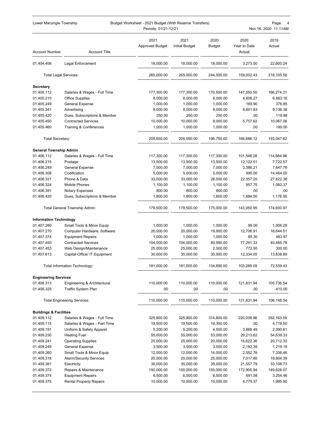| Lower Macungie Township<br>Budget Worksheet - 2021 Budget (With Reserve Transfers)<br>Periods: 01/21-12/21 |                                    |                                |                               |                       | Page:<br>$\overline{4}$<br>Nov 16, 2020 11:11AM |                |
|------------------------------------------------------------------------------------------------------------|------------------------------------|--------------------------------|-------------------------------|-----------------------|-------------------------------------------------|----------------|
| <b>Account Number</b>                                                                                      | <b>Account Title</b>               | 2021<br><b>Approved Budget</b> | 2021<br><b>Initial Budget</b> | 2020<br><b>Budget</b> | 2020<br>Year to Date<br>Actual                  | 2019<br>Actual |
| 01.404.406                                                                                                 | Legal Enforcement                  | 18,000.00                      | 18,000.00                     | 18,000.00             | 3,273.00                                        | 22,600.24      |
| <b>Total Legal Services:</b>                                                                               |                                    | 265,000.00                     | 265,000.00                    | 244,500.00            | 159,002.43                                      | 218,105.56     |
|                                                                                                            |                                    |                                |                               |                       |                                                 |                |
| <b>Secretary</b><br>01.405.112                                                                             | Salaries & Wages - Full Time       | 177,300.00                     | 177,300.00                    | 170,500.00            | 147,550.50                                      | 166,274.31     |
| 01.405.210                                                                                                 | <b>Office Supplies</b>             | 8,000.00                       | 8,000.00                      | 8,000.00              | 4,606.27                                        | 6,883.16       |
| 01.405.249                                                                                                 | General Expense                    | 1,000.00                       | 1,000.00                      | 1,000.00              | 169.90                                          | 376.85         |
| 01.405.341                                                                                                 | Advertising                        | 8,000.00                       | 8,000.00                      | 8,000.00              | 8,601.83                                        | 9,136.36       |
| 01.405.420                                                                                                 | Dues, Subscriptions & Member       | 250.00                         | 250.00                        | 250.00                | .00                                             | 119.88         |
| 01.405.450                                                                                                 | <b>Contracted Services</b>         | 10,000.00                      | 10,000.00                     | 8,000.00              | 5,757.62                                        | 10,067.06      |
| 01.405.460                                                                                                 | Training & Conferences             | 1,000.00                       | 1,000.00                      | 1,000.00              | .00                                             | 190.00         |
| Total Secretary:                                                                                           |                                    | 205,550.00                     | 205,550.00                    | 196,750.00            | 166,686.12                                      | 193,047.62     |
| <b>General Township Admin</b>                                                                              |                                    |                                |                               |                       |                                                 |                |
| 01.406.112                                                                                                 | Salaries & Wages - Full Time       | 117,300.00                     | 117,300.00                    | 117,300.00            | 101,548.28                                      | 114,684.96     |
| 01.406.215                                                                                                 | Postage                            | 13,500.00                      | 13,500.00                     | 13,500.00             | 12,122.51                                       | 7,722.57       |
| 01.406.249                                                                                                 | General Expense                    | 7,000.00                       | 7,000.00                      | 7,000.00              | 3,386.21                                        | 7,647.76       |
| 01.406.308                                                                                                 | Codification                       | 5,000.00                       | 5,000.00                      | 5,000.00              | 995.00                                          | 14,464.00      |
| 01.406.321                                                                                                 | Phone & Data                       | 33,000.00                      | 33,000.00                     | 28,500.00             | 22,357.20                                       | 27,822.36      |
| 01.406.324                                                                                                 | <b>Mobile Phones</b>               | 1,100.00                       | 1,100.00                      | 1,100.00              | 957.75                                          | 1,082.37       |
| 01.406.391                                                                                                 | Notary Expenses                    | 800.00                         | 800.00                        | 800.00                | .00                                             | .00            |
| 01.406.420                                                                                                 | Dues, Subscriptions & Member       | 1,800.00                       | 1,800.00                      | 1,800.00              | 1,684.00                                        | 1,176.95       |
|                                                                                                            | Total General Township Admin:      | 179,500.00                     | 179,500.00                    | 175,000.00            | 143,050.95                                      | 174,600.97     |
| <b>Information Technology</b>                                                                              |                                    |                                |                               |                       |                                                 |                |
| 01.407.260                                                                                                 | Small Tools & Minor Equip          | 1,000.00                       | 1,000.00                      | 1,000.00              | 99.00                                           | 1,006.28       |
| 01.407.270                                                                                                 | Computer Hardware, Software        | 20,000.00                      | 20,000.00                     | 19,900.00             | 12,706.91                                       | 16,644.51      |
| 01.407.374                                                                                                 | <b>Equipment Repairs</b>           | 1,000.00                       | 1,000.00                      | 1,000.00              | 85.30                                           | 483.97         |
| 01.407.450                                                                                                 | <b>Contracted Services</b>         | 104,000.00                     | 104,000.00                    | 80,990.00             | 77,291.33                                       | 40,465.78      |
| 01.407.453                                                                                                 | Web Design/Maintenance             | 25,000.00                      | 25,000.00                     | 2,000.00              | 772.50                                          | 300.00         |
| 01.407.613                                                                                                 | Capital-Office/ IT Equipment       | 30,000.00                      | 30,000.00                     | 30,000.00             | 12,334.05                                       | 13,638.89      |
|                                                                                                            | Total Information Technology:      | 181,000.00                     | 181,000.00                    | 134,890.00            | 103,289.09                                      | 72,539.43      |
| <b>Engineering Services</b>                                                                                |                                    |                                |                               |                       |                                                 |                |
| 01.408.313                                                                                                 | Engineering & Architectural        | 110,000.00                     | 110,000.00                    | 110,000.00            | 121,831.94                                      | 105,736.54     |
| 01.408.325                                                                                                 | Traffic System Plan                | .00                            | .00                           | .00                   | .00                                             | 410.00         |
|                                                                                                            | <b>Total Engineering Services:</b> | 110,000.00                     | 110,000.00                    | 110,000.00            | 121,831.94                                      | 106,146.54     |
| <b>Buildings &amp; Facilities</b>                                                                          |                                    |                                |                               |                       |                                                 |                |
| 01.409.112                                                                                                 | Salaries & Wages - Full Time       | 325,900.00                     | 325,900.00                    | 314,800.00            | 220,038.96                                      | 292,163.59     |
| 01.409.115                                                                                                 | Salaries & Wages - Part Time       | 19,500.00                      | 19,500.00                     | 19,300.00             | .00                                             | 4,718.50       |
| 01.409.191                                                                                                 | Uniform & Safety Apparel           | 5,200.00                       | 5,200.00                      | 4,500.00              | 3,868.49                                        | 2,090.61       |
| 01.409.230                                                                                                 | <b>Heating Fuel</b>                | 55,000.00                      | 55,000.00                     | 53,000.00             | 29,213.62                                       | 54,639.33      |
| 01.409.241                                                                                                 | <b>Operating Supplies</b>          | 25,000.00                      | 25,000.00                     | 20,000.00             | 15,622.36                                       | 20,712.33      |
| 01.409.249                                                                                                 | <b>General Expense</b>             | 3,500.00                       | 3,500.00                      | 3,500.00              | 2,182.38                                        | 1,219.19       |
| 01.409.260                                                                                                 | Small Tools & Minor Equip          | 12,000.00                      | 12,000.00                     | 14,000.00             | 2,052.76                                        | 7,336.46       |
| 01.409.318                                                                                                 | <b>Alarm/Security Services</b>     | 20,000.00                      | 20,000.00                     | 25,000.00             | 7,017.80                                        | 18,804.39      |
| 01.409.361                                                                                                 | Electricity                        | 35,000.00                      | 35,000.00                     | 35,000.00             | 21,557.79                                       | 33,108.73      |
| 01.409.372                                                                                                 | Repairs & Maintenance              | 150,000.00                     | 150,000.00                    | 150,000.00            | 172,905.94                                      | 149,828.07     |
| 01.409.374                                                                                                 | <b>Equipment Repairs</b>           | 6,500.00                       | 6,500.00                      | 6,500.00              | 691.58                                          | 3,254.46       |
| 01.409.375                                                                                                 | <b>Rental Property Repairs</b>     | 10,000.00                      | 10,000.00                     | 10,000.00             | 4,779.37                                        | 1,995.90       |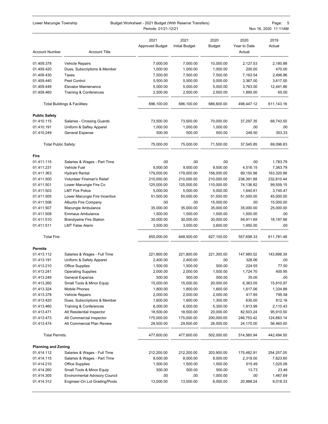|                             |                                                                   | Periods: 01/21-12/21           |                               |                         |                                | Nov 16, 2020 11:11AM |
|-----------------------------|-------------------------------------------------------------------|--------------------------------|-------------------------------|-------------------------|--------------------------------|----------------------|
| <b>Account Number</b>       | <b>Account Title</b>                                              | 2021<br><b>Approved Budget</b> | 2021<br><b>Initial Budget</b> | 2020<br><b>Budget</b>   | 2020<br>Year to Date<br>Actual | 2019<br>Actual       |
| 01.409.378                  | <b>Vehicle Repairs</b>                                            | 7,000.00                       | 7,000.00                      | 10,000.00               | 2,127.53                       | 2,180.88             |
| 01.409.420                  | Dues, Subscriptions & Member                                      | 1,000.00                       | 1,000.00                      | 1,000.00                | 200.00                         | 470.00               |
| 01.409.430                  | Taxes                                                             | 7,500.00                       | 7,500.00                      | 7,500.00                | 7,163.54                       | 2,496.86             |
| 01.409.440                  | Pest Control                                                      | 5,500.00                       | 5,500.00                      | 5,000.00                | 3,367.00                       | 3,617.00             |
| 01.409.449                  | <b>Elevator Maintenance</b>                                       | 5,000.00                       | 5,000.00                      | 5,000.00                | 3,763.00                       | 12,441.86            |
| 01.409.460                  | Training & Conferences                                            | 2,500.00                       | 2,500.00                      | 2,500.00                | 1,895.00                       | 65.00                |
|                             | Total Buildings & Facilities:                                     | 696,100.00                     | 696,100.00                    | 686,600.00              | 498,447.12                     | 611,143.16           |
| <b>Public Safety</b>        |                                                                   |                                |                               |                         |                                |                      |
| 01.410.115                  | Salaries - Crossing Guards                                        | 73,500.00                      | 73,500.00                     | 70,000.00               | 37,297.35                      | 68,743.50            |
| 01.410.191                  | Uniform & Saftey Apparel                                          | 1,000.00                       | 1,000.00                      | 1,000.00                | .00                            | .00.                 |
| 01.410.249                  | <b>General Expense</b>                                            | 500.00                         | 500.00                        | 500.00                  | 248.50                         | 353.33               |
| <b>Total Public Safety:</b> |                                                                   | 75,000.00                      | 75,000.00                     | 71,500.00               | 37,545.85                      | 69,096.83            |
| Fire                        |                                                                   |                                |                               |                         |                                |                      |
| 01.411.115                  | Salaries & Wages - Part Time                                      | .00                            | .00                           | .00                     | .00                            | 1,783.79             |
| 01.411.231                  | Vehicle Fuel                                                      | 9,500.00                       | 9,500.00                      | 9,500.00                | 4,516.15                       | 7,363.79             |
| 01.411.363                  | <b>Hydrant Rental</b>                                             | 179,000.00                     | 179,000.00                    | 156,000.00              | 89,150.98                      | 163,320.98           |
| 01.411.500                  | Volunteer Fireman's Relief                                        | 210,000.00                     | 210,000.00                    | 210,000.00              | 238,391.88                     | 232,810.44           |
| 01.411.501                  | Lower Macungie Fire Co                                            | 125,000.00                     | 125,000.00                    | 110,000.00              | 74,136.82                      | 99,559.15            |
| 01.411.503                  | <b>LMT Fire Police</b>                                            | 5,000.00                       | 5,000.00                      | 5,000.00                | 1,640.81                       | 3,745.47             |
| 01.411.505                  | Lower Macungie Fire Incentive                                     | 51,500.00                      | 50,000.00                     | 51,500.00               | 51,500.00                      | 45,000.00            |
| 01.411.506                  | <b>Alburtis Fire Company</b>                                      | .00                            | .00                           | 15,000.00               | .00                            | 15,000.00            |
| 01.411.507                  | Macungie Ambulance                                                | 35,000.00                      | 35,000.00                     | 35,000.00               | 35,000.00                      | 25,000.00            |
| 01.411.508                  | <b>Emmaus Ambulance</b>                                           | 1,500.00                       | 1,500.00                      | 1,500.00                | 1,500.00                       | .00                  |
| 01.411.510                  | <b>Brandywine Fire Station</b>                                    | 30,000.00                      | 30,000.00                     | 30,000.00               | 59,911.69                      | 18,197.86            |
| 01.411.511                  | <b>LMT False Alarm</b>                                            | 3,500.00                       | 3,500.00                      | 3,600.00                | 1,950.00                       | .00                  |
| Total Fire:                 |                                                                   | 650,000.00                     | 648,500.00                    | 627,100.00              | 557,698.33                     | 611,781.48           |
| <b>Permits</b>              |                                                                   |                                |                               |                         |                                |                      |
| 01.413.112                  | Salaries & Wages - Full Time                                      | 221,800.00                     | 221,800.00                    | 221,300.00              | 147,980.02                     | 143,898.39           |
| 01.413.191                  | Uniform & Safety Apparel                                          | 2,400.00                       | 2.400.00                      | .00                     | 328.06                         | .00                  |
| 01.413.210                  | <b>Office Supplies</b>                                            | 1,500.00                       | 1,500.00                      | 500.00                  | 224.55                         | 77.50                |
| 01.413.241                  | <b>Operating Supplies</b>                                         | 2,000.00                       | 2,000.00                      | 1,500.00                | 1,724.70                       | 400.95               |
| 01.413.249                  | <b>General Expense</b>                                            | 500.00                         | 500.00                        | 500.00                  | 35.00                          | .00                  |
| 01.413.260                  | Small Tools & Minor Equip<br>Mobile Phones                        | 15,000.00                      | 15,000.00                     | 20,000.00               | 6,363.05                       | 15,810.97            |
| 01.413.324                  |                                                                   | 1,800.00                       | 1,800.00                      | 1,600.00<br>2,000.00    | 1,617.06                       | 1,334.88             |
| 01.413.378                  | Vehicle Repairs                                                   | 2,000.00                       | 2,000.00                      |                         | 417.85                         | 795.58               |
| 01.413.420<br>01.413.460    | Dues, Subscriptions & Member<br><b>Training &amp; Conferences</b> | 1,600.00<br>6,000.00           | 1,600.00<br>6,000.00          | 1,300.00<br>5,300.00    | 630.00<br>1,813.99             | 812.16<br>2,110.43   |
| 01.413.471                  | Alt Residential Inspector                                         | 18,500.00                      | 18,500.00                     | 20,000.00               | 82,503.24                      | 95,910.50            |
| 01.413.473                  | Alt Commercial Inspector                                          |                                |                               |                         |                                | 124,883.14           |
| 01.413.474                  | Alt Commercial Plan Review                                        | 175,000.00<br>29,500.00        | 175,000.00<br>29,500.00       | 200,000.00<br>28,000.00 | 246,753.42<br>24,170.00        | 56,460.00            |
| <b>Total Permits:</b>       |                                                                   | 477,600.00                     | 477,600.00                    | 502,000.00              | 514,560.94                     | 442,494.50           |
| <b>Planning and Zoning</b>  |                                                                   |                                |                               |                         |                                |                      |
| 01.414.112                  | Salaries & Wages - Full Time                                      | 212,200.00                     | 212,200.00                    | 203,900.00              | 175,482.91                     | 254,257.05           |
| 01.414.115                  | Salaries & Wages - Part Time                                      | 8,000.00                       | 8,000.00                      | 8,000.00                | 2,318.00                       | 7,623.60             |
| 01.414.210                  | <b>Office Supplies</b>                                            | 1,500.00                       | 1,500.00                      | 1,500.00                | 515.49                         | 1,025.08             |
| 01.414.260                  | Small Tools & Minor Equip                                         | 500.00                         | 500.00                        | 500.00                  | 13.73                          | 23.46                |
| 01.414.305                  | <b>Environmental Advisory Council</b>                             | .00                            | .00                           | 1,000.00                | .00                            | 1,467.69             |
| 01.414.312                  | Engineer-On Lot Grading/Pools                                     | 13,000.00                      | 13,000.00                     | 8,000.00                | 20,988.24                      | 9,018.33             |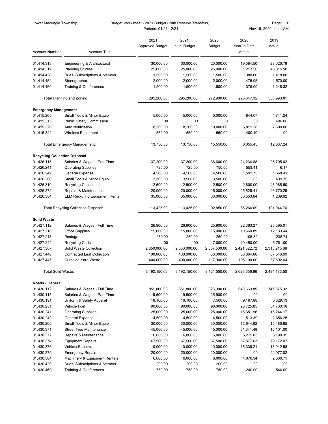| Lower Macungie Township              |                                       | Budget Worksheet - 2021 Budget (With Reserve Transfers)<br>Periods: 01/21-12/21 |                               |                       |                                | 6<br>Page:<br>Nov 16, 2020 11:11AM |
|--------------------------------------|---------------------------------------|---------------------------------------------------------------------------------|-------------------------------|-----------------------|--------------------------------|------------------------------------|
| <b>Account Number</b>                | <b>Account Title</b>                  | 2021<br><b>Approved Budget</b>                                                  | 2021<br><b>Initial Budget</b> | 2020<br><b>Budget</b> | 2020<br>Year to Date<br>Actual | 2019<br>Actual                     |
| 01.414.313                           | Engineering & Architectural           | 30,000.00                                                                       | 30,000.00                     | 20,000.00             | 19,584.50                      | 28,026.78                          |
| 01.414.319                           | <b>Planning Studies</b>               | 25,000.00                                                                       | 25,000.00                     | 25,000.00             | 1,213.50                       | 45,315.50                          |
| 01.414.420                           | Dues, Subscriptions & Member          | 1,500.00                                                                        | 1,500.00                      | 1,500.00              | 1,380.00                       | 1,418.00                           |
| 01.414.454                           | Stenographer                          | 2,000.00                                                                        | 2,000.00                      | 2,000.00              | 1,475.95                       | 1,570.00                           |
| 01.414.460                           | Training & Conferences                | 1,500.00                                                                        | 1,500.00                      | 1,500.00              | 375.00                         | 1,248.32                           |
|                                      | Total Planning and Zoning:            | 295,200.00                                                                      | 295,200.00                    | 272,900.00            | 223,347.32                     | 350,993.81                         |
| <b>Emergency Management</b>          |                                       |                                                                                 |                               |                       |                                |                                    |
| 01.415.260                           | Small Tools & Minor Equip             | 5,000.00                                                                        | 5,000.00                      | 5,000.00              | 844.07                         | 4,741.24                           |
| 01.415.315                           | <b>Public Safety Commission</b>       | .00                                                                             | .00                           | .00                   | .00                            | 496.00                             |
| 01.415.320                           | <b>Auto Notification</b>              | 8,200.00                                                                        | 8,200.00                      | 10,000.00             | 6,811.28                       | 7,600.00                           |
| 01.415.324                           | <b>Wireless Equipment</b>             | 550.00                                                                          | 550.00                        | 550.00                | 400.10                         | .00                                |
|                                      | <b>Total Emergency Management:</b>    | 13,750.00                                                                       | 13,750.00                     | 15,550.00             | 8,055.45                       | 12,837.24                          |
| <b>Recycling Collection Disposal</b> |                                       |                                                                                 |                               |                       |                                |                                    |
| 01.426.115                           | Salaries & Wages - Part Time          | 37,200.00                                                                       | 37,200.00                     | 36,600.00             | 24,234.88                      | 26,705.02                          |
| 01.426.241                           | <b>Operating Supplies</b>             | 725.00                                                                          | 725.00                        | 750.00                | 553.41                         | 6.17                               |
| 01.426.249                           | <b>General Expense</b>                | 4,500.00                                                                        | 4,500.00                      | 4,500.00              | 1,591.75                       | 1,668.41                           |
| 01.426.260                           | Small Tools & Minor Equip             | 3,500.00                                                                        | 3,500.00                      | 3,500.00              | .00                            | 439.75                             |
| 01.426.310                           | <b>Recycling Consultant</b>           | 12,500.00                                                                       | 12,500.00                     | 2,500.00              | 2,800.00                       | 45,085.50                          |
| 01.426.372                           | Repairs & Maintenance                 | 20,000.00                                                                       | 20,000.00                     | 15,000.00             | 25,526.41                      | 26,770.29                          |
| 01.426.384                           | <b>ELM Recycling Equipment Rental</b> | 35,000.00                                                                       | 35,000.00                     | 30,000.00             | 30,553.64                      | 1,269.62                           |
|                                      | Total Recycling Collection Disposal:  | 113,425.00                                                                      | 113,425.00                    | 92,850.00             | 85,260.09                      | 101,944.76                         |
| <b>Solid Waste</b>                   |                                       |                                                                                 |                               |                       |                                |                                    |
| 01.427.112                           | Salaries & Wages - Full Time          | 26,900.00                                                                       | 26,900.00                     | 25,900.00             | 22,363.27                      | 25,595.01                          |
| 01.427.210                           | <b>Office Supplies</b>                | 15,000.00                                                                       | 15,000.00                     | 15,000.00             | 10,660.89                      | 12,133.44                          |
| 01.427.215                           | Postage                               | 250.00                                                                          | 250.00                        | 250.00                | 105.32                         | 238.74                             |
| 01.427.244                           | <b>Recycling Carts</b>                | .00                                                                             | .00                           | 17,000.00             | 10,450.00                      | 5,761.00                           |
| 01.427.367                           | Solid Waste Collection                | 2,650,000.00                                                                    | 2,650,000.00                  | 2,857,500.00          | 2,421,522.72                   | 2,315,215.68                       |
| 01.427.446                           | <b>Contracted Leaf Collection</b>     | 100,000.00                                                                      | 100,000.00                    | 88,000.00             | 58,364.66                      | 87,546.99                          |
| 01.427.447                           | Curbside Yard Waste                   | 400,000.00                                                                      | 400,000.00                    | 117,900.00            | 106,190.00                     | 37,692.64                          |
| <b>Total Solid Waste:</b>            |                                       | 3, 192, 150.00                                                                  | 3,192,150.00                  | 3,121,550.00          | 2,629,656.86                   | 2,484,183.50                       |
| Roads - General                      |                                       |                                                                                 |                               |                       |                                |                                    |
| 01.430.112                           | Salaries & Wages - Full Time          | 851,800.00                                                                      | 851,800.00                    | 823,000.00            | 640,663.85                     | 747,575.02                         |
| 01.430.115                           | Salaries & Wages - Part Time          | 19,500.00                                                                       | 19,500.00                     | 25,900.00             | .00                            | .00                                |
| 01.430.191                           | Uniform & Safety Apparel              | 16,100.00                                                                       | 16,100.00                     | 7,500.00              | 9,167.88                       | 6.329.13                           |
| 01.430.231                           | Vehicle Fuel                          | 90,000.00                                                                       | 90,000.00                     | 90,000.00             | 28,725.85                      | 64,763.18                          |
| 01.430.241                           | <b>Operating Supplies</b>             | 25,000.00                                                                       | 25,000.00                     | 25,000.00             | 15,651.96                      | 15,244.17                          |
| 01.430.249                           | General Expense                       | 4,500.00                                                                        | 4,500.00                      | 4,500.00              | 1,513.39                       | 2,656.25                           |
| 01.430.260                           | Small Tools & Minor Equip             | 30,000.00                                                                       | 30,000.00                     | 30,000.00             | 12,644.62                      | 15,486.65                          |
| 01.430.371                           | <b>Street Tree Maintenance</b>        | 45,000.00                                                                       | 45,000.00                     | 45,000.00             | 31,341.48                      | 16,101.00                          |
| 01.430.372                           | Repairs & Maintenance                 | 6,000.00                                                                        | 6,000.00                      | 6,000.00              | 5,275.83                       | 3,190.35                           |
| 01.430.374                           | <b>Equipment Repairs</b>              | 67,500.00                                                                       | 67,500.00                     | 67,500.00             | 57,877.63                      | 79,172.07                          |
| 01.430.378                           | <b>Vehicle Repairs</b>                | 10,000.00                                                                       | 10,000.00                     | 10,000.00             | 15,336.21                      | 15,042.58                          |
| 01.430.379                           | <b>Emergency Repairs</b>              | 20,000.00                                                                       | 20,000.00                     | 20,000.00             | .00                            | 22,077.02                          |
| 01.430.384                           | Machinery & Equipment Rentals         | 6,000.00                                                                        | 6,000.00                      | 6,000.00              | 4,070.34                       | 2,580.71                           |
| 01.430.420                           | Dues, Subscriptions & Member          | 200.00                                                                          | 200.00                        | 200.00                | .00                            | .00                                |
| 01.430.460                           | Training & Conferences                | 750.00                                                                          | 750.00                        | 750.00                | 240.00                         | 540.00                             |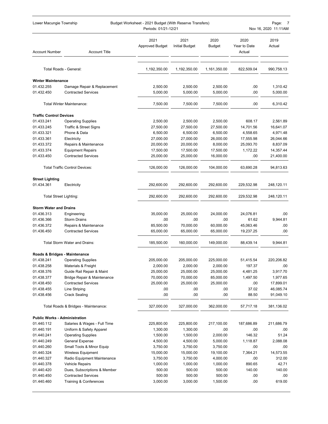| Lower Macungie Township              |                                                           | Budget Worksheet - 2021 Budget (With Reserve Transfers)<br>Periods: 01/21-12/21 |                               |                       |                                | Page:<br>7<br>Nov 16, 2020 11:11AM |
|--------------------------------------|-----------------------------------------------------------|---------------------------------------------------------------------------------|-------------------------------|-----------------------|--------------------------------|------------------------------------|
| <b>Account Number</b>                | <b>Account Title</b>                                      | 2021<br><b>Approved Budget</b>                                                  | 2021<br><b>Initial Budget</b> | 2020<br><b>Budget</b> | 2020<br>Year to Date<br>Actual | 2019<br>Actual                     |
|                                      | Total Roads - General:                                    | 1,192,350.00                                                                    | 1,192,350.00                  | 1,161,350.00          | 822,509.04                     | 990,758.13                         |
|                                      |                                                           |                                                                                 |                               |                       |                                |                                    |
| <b>Winter Maintenance</b>            |                                                           |                                                                                 |                               |                       |                                |                                    |
| 01.432.255<br>01.432.450             | Damage Repair & Replacement<br><b>Contracted Services</b> | 2,500.00<br>5,000.00                                                            | 2,500.00<br>5,000.00          | 2,500.00<br>5,000.00  | .00<br>.00                     | 1,310.42<br>5,000.00               |
|                                      |                                                           |                                                                                 |                               |                       |                                |                                    |
|                                      | <b>Total Winter Maintenance:</b>                          | 7,500.00                                                                        | 7,500.00                      | 7,500.00              | .00                            | 6,310.42                           |
| <b>Traffic Control Devices</b>       |                                                           |                                                                                 |                               |                       |                                |                                    |
| 01.433.241                           | <b>Operating Supplies</b>                                 | 2,500.00                                                                        | 2,500.00                      | 2,500.00              | 608.17                         | 2,561.89                           |
| 01.433.245                           | <b>Traffic &amp; Street Signs</b>                         | 27,500.00                                                                       | 27,500.00                     | 27,500.00             | 14,701.56                      | 16,641.07                          |
| 01.433.321                           | Phone & Data                                              | 6,500.00                                                                        | 6,500.00                      | 6,500.00              | 4,558.65                       | 4,971.48                           |
| 01.433.361                           | Electricity                                               | 27,000.00                                                                       | 27,000.00                     | 26,000.00             | 17,555.98                      | 26,044.66                          |
| 01.433.372                           | Repairs & Maintenance                                     | 20,000.00                                                                       | 20,000.00                     | 8,000.00              | 25,093.70                      | 8,837.09                           |
| 01.433.374                           | <b>Equipment Repairs</b>                                  | 17,500.00                                                                       | 17,500.00                     | 17,500.00             | 1,172.22                       | 14,357.44                          |
| 01.433.450                           | <b>Contracted Services</b>                                | 25,000.00                                                                       | 25,000.00                     | 16,000.00             | .00                            | 21,400.00                          |
|                                      | <b>Total Traffic Control Devices:</b>                     | 126,000.00                                                                      | 126,000.00                    | 104,000.00            | 63,690.28                      | 94,813.63                          |
| <b>Street Lighting</b>               |                                                           |                                                                                 |                               |                       |                                |                                    |
| 01.434.361                           | Electricity                                               | 292,600.00                                                                      | 292,600.00                    | 292,600.00            | 229,532.98                     | 248,120.11                         |
| Total Street Lighting:               |                                                           | 292,600.00                                                                      | 292,600.00                    | 292,600.00            | 229,532.98                     | 248,120.11                         |
| <b>Storm Water and Drains</b>        |                                                           |                                                                                 |                               |                       |                                |                                    |
| 01.436.313                           | Engineering                                               | 35,000.00                                                                       | 25,000.00                     | 24,000.00             | 24,076.81                      | .00                                |
| 01.436.366                           | <b>Storm Drains</b>                                       | .00                                                                             | .00                           | .00                   | 61.62                          | 9,944.81                           |
| 01.436.372                           | Repairs & Maintenance                                     | 85,500.00                                                                       | 70,000.00                     | 60,000.00             | 45,063.46                      | .00                                |
| 01.436.450                           | <b>Contracted Services</b>                                | 65,000.00                                                                       | 65,000.00                     | 65,000.00             | 19,237.25                      | .00.                               |
|                                      | Total Storm Water and Drains:                             | 185,500.00                                                                      | 160,000.00                    | 149,000.00            | 88,439.14                      | 9.944.81                           |
| Roads & Bridges - Maintenance        |                                                           |                                                                                 |                               |                       |                                |                                    |
| 01.438.241                           | <b>Operating Supplies</b>                                 | 205,000.00                                                                      | 205,000.00                    | 225,000.00            | 51,415.54                      | 220,206.82                         |
| 01.438.258                           | Materials & Freight                                       | 2,000.00                                                                        | 2,000.00                      | 2,000.00              | 197.37                         | .00                                |
| 01.438.376                           | Guide Rail Repair & Maint                                 | 25,000.00                                                                       | 25,000.00                     | 25,000.00             | 4,481.25                       | 3,917.70                           |
| 01.438.377                           | Bridge Repair & Maintenance                               | 70,000.00                                                                       | 70,000.00                     | 85,000.00             | 1,497.50                       | 1,977.65                           |
| 01.438.450                           | <b>Contracted Services</b>                                | 25,000.00                                                                       | 25,000.00                     | 25,000.00             | .00                            | 17,899.01                          |
| 01.438.455                           | Line Striping                                             | .00                                                                             | .00                           | .00                   | 37.02                          | 46,085.74                          |
| 01.438.456                           | <b>Crack Sealing</b>                                      | .00                                                                             | .00                           | .00                   | 88.50                          | 91,049.10                          |
|                                      | Total Roads & Bridges - Maintenance:                      | 327,000.00                                                                      | 327,000.00                    | 362,000.00            | 57,717.18                      | 381,136.02                         |
| <b>Public Works - Administration</b> |                                                           |                                                                                 |                               |                       |                                |                                    |
| 01.440.112                           | Salaries & Wages - Full Time                              | 225,800.00                                                                      | 225,800.00                    | 217,100.00            | 187,686.89                     | 211,686.79                         |
| 01.440.191                           | Uniform & Safety Apparel                                  | 1,300.00                                                                        | 1,300.00                      | .00                   | .00                            | .00                                |
| 01.440.241                           | <b>Operating Supplies</b>                                 | 1,500.00                                                                        | 1,500.00                      | 2,000.00              | 146.32                         | 51.24                              |
| 01.440.249                           | <b>General Expense</b>                                    | 4,500.00                                                                        | 4,500.00                      | 5,000.00              | 1,118.87                       | 2,088.08                           |
| 01.440.260                           | Small Tools & Minor Equip                                 | 3,750.00                                                                        | 3,750.00                      | 3,750.00              | .00                            | .00                                |
| 01.440.324                           | Wireless Equipment                                        | 15,000.00                                                                       | 15,000.00                     | 19,100.00             | 7,364.21                       | 14,573.55                          |
| 01.440.327                           | Radio Equipment Maintenance                               | 3,750.00                                                                        | 3,750.00                      | 4,000.00              | .00                            | 312.00                             |
| 01.440.378                           | <b>Vehicle Repairs</b>                                    | 1,000.00                                                                        | 1,000.00                      | 1,000.00              | 890.65                         | 42.71                              |
| 01.440.420                           | Dues, Subscriptions & Member                              | 500.00                                                                          | 500.00                        | 500.00                | 140.00                         | 140.00                             |
| 01.440.450                           | <b>Contracted Services</b>                                | 500.00                                                                          | 500.00                        | 500.00                | .00                            | .00                                |
| 01.440.460                           | Training & Conferences                                    | 3,000.00                                                                        | 3,000.00                      | 1,500.00              | .00                            | 619.00                             |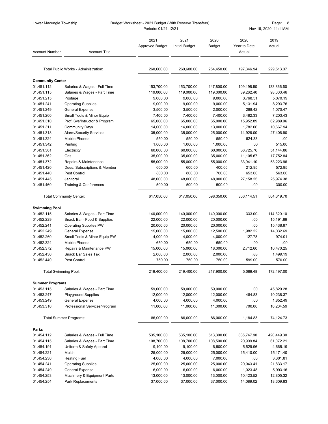|                             | Lower Macungie Township<br>Budget Worksheet - 2021 Budget (With Reserve Transfers)<br>Periods: 01/21-12/21 |                                |                               |                        |                                | Page:<br>- 8<br>Nov 16, 2020 11:11AM |  |
|-----------------------------|------------------------------------------------------------------------------------------------------------|--------------------------------|-------------------------------|------------------------|--------------------------------|--------------------------------------|--|
| <b>Account Number</b>       | <b>Account Title</b>                                                                                       | 2021<br><b>Approved Budget</b> | 2021<br><b>Initial Budget</b> | 2020<br><b>Budget</b>  | 2020<br>Year to Date<br>Actual | 2019<br>Actual                       |  |
|                             | Total Public Works - Administration:                                                                       | 260,600.00                     | 260,600.00                    | 254,450.00             | 197,346.94                     | 229,513.37                           |  |
|                             |                                                                                                            |                                |                               |                        |                                |                                      |  |
| <b>Community Center</b>     |                                                                                                            |                                |                               |                        |                                |                                      |  |
| 01.451.112<br>01.451.115    | Salaries & Wages - Full Time                                                                               | 153,700.00<br>119,000.00       | 153,700.00                    | 147,800.00             | 109,198.90<br>39,262.40        | 133,866.60                           |  |
| 01.451.215                  | Salaries & Wages - Part Time<br>Postage                                                                    | 9,000.00                       | 119,000.00<br>9,000.00        | 119,000.00<br>9,000.00 | 3,768.51                       | 98,003.46<br>5,070.19                |  |
| 01.451.241                  | <b>Operating Supplies</b>                                                                                  | 9,000.00                       | 9,000.00                      | 9,000.00               | 5,131.94                       | 8,293.76                             |  |
| 01.451.249                  | General Expense                                                                                            | 3,500.00                       | 3,500.00                      | 2,000.00               | 288.42                         | 1,070.47                             |  |
| 01.451.260                  | Small Tools & Minor Equip                                                                                  | 7,400.00                       | 7,400.00                      | 7,400.00               | 3,482.33                       | 7,203.43                             |  |
| 01.451.310                  | Prof. Svs/Intructor & Program                                                                              | 65,000.00                      | 65,000.00                     | 65,000.00              | 15,952.89                      | 62,989.96                            |  |
| 01.451.311                  | <b>Community Days</b>                                                                                      | 14,000.00                      | 14,000.00                     | 13,000.00              | 1,782.06                       | 10,667.94                            |  |
| 01.451.318                  | <b>Alarm/Security Services</b>                                                                             | 35,000.00                      | 35,000.00                     | 25,000.00              | 14,926.00                      | 27,406.90                            |  |
| 01.451.324                  | <b>Mobile Phones</b>                                                                                       | 550.00                         | 550.00                        | 550.00                 | 524.33                         | .00                                  |  |
| 01.451.342                  | Printing                                                                                                   | 1,000.00                       | 1,000.00                      | 1,000.00               | .00                            | 515.00                               |  |
| 01.451.361                  | Electricity                                                                                                | 60,000.00                      | 60,000.00                     | 60,000.00              | 38,725.76                      | 51,144.86                            |  |
| 01.451.362                  | Gas                                                                                                        | 35,000.00                      | 35,000.00                     | 35,000.00              | 11,105.67                      | 17,752.84                            |  |
| 01.451.372                  | Repairs & Maintenance                                                                                      | 55,000.00                      | 55,000.00                     | 55,000.00              | 33,941.10                      | 53,223.96                            |  |
| 01.451.420                  | Dues, Subscriptions & Member                                                                               | 600.00                         | 600.00                        | 400.00                 | 212.95                         | 572.95                               |  |
| 01.451.440                  | Pest Control                                                                                               | 800.00                         | 800.00                        | 700.00                 | 653.00                         | 563.00                               |  |
| 01.451.445                  | Janitoral                                                                                                  | 48,000.00                      | 48,000.00                     | 48,000.00              | 27,158.25                      | 25,974.38                            |  |
| 01.451.460                  | Training & Conferences                                                                                     | 500.00                         | 500.00                        | 500.00                 | .00                            | 300.00                               |  |
|                             | <b>Total Community Center:</b>                                                                             | 617,050.00                     | 617,050.00                    | 598,350.00             | 306,114.51                     | 504,619.70                           |  |
| <b>Swimming Pool</b>        |                                                                                                            |                                |                               |                        |                                |                                      |  |
| 01.452.115                  | Salaries & Wages - Part Time                                                                               | 140,000.00                     | 140,000.00                    | 140,000.00             | 333.00-                        | 114,320.10                           |  |
| 01.452.229                  | Snack Bar - Food & Supplies                                                                                | 22,000.00                      | 22,000.00                     | 20,000.00              | .00                            | 15,191.89                            |  |
| 01.452.241                  | <b>Operating Supplies PW</b>                                                                               | 20,000.00                      | 20,000.00                     | 20,000.00              | .00                            | 15,438.87                            |  |
| 01.452.249                  | General Expense                                                                                            | 15,000.00                      | 15,000.00                     | 12,500.00              | 1,982.22                       | 14,032.69                            |  |
| 01.452.260                  | Small Tools & Minor Equip PW                                                                               | 4,000.00                       | 4,000.00                      | 4,000.00               | 127.78                         | 974.01                               |  |
| 01.452.324                  | Mobile Phones                                                                                              | 650.00                         | 650.00                        | 650.00                 | .00                            | .00                                  |  |
| 01.452.372                  | Repairs & Maintenance PW                                                                                   | 15,000.00                      | 15,000.00                     | 18,000.00              | 2,712.60                       | 10,470.25                            |  |
| 01.452.430                  | <b>Snack Bar Sales Tax</b>                                                                                 | 2,000.00                       | 2.000.00                      | 2,000.00               | .88                            | 1,499.19                             |  |
| 01.452.440                  | Pest Control                                                                                               | 750.00                         | 750.00                        | 750.00                 | 599.00                         | 570.00                               |  |
| <b>Total Swimming Pool:</b> |                                                                                                            | 219,400.00                     | 219,400.00                    | 217,900.00             | 5,089.48                       | 172,497.00                           |  |
| <b>Summer Programs</b>      |                                                                                                            |                                |                               |                        |                                |                                      |  |
| 01.453.115                  | Salaries & Wages - Part Time                                                                               | 59,000.00                      | 59,000.00                     | 59,000.00              | .00                            | 45,829.28                            |  |
| 01.453.247                  | <b>Playground Supplies</b>                                                                                 | 12,000.00                      | 12,000.00                     | 12,000.00              | 484.83                         | 10,238.37                            |  |
| 01.453.249                  | General Expense                                                                                            | 4,000.00                       | 4,000.00                      | 4,000.00               | .00                            | 1,852.49                             |  |
| 01.453.310                  | Professional Services/Program                                                                              | 11,000.00                      | 11,000.00                     | 11,000.00              | 700.00                         | 16,204.59                            |  |
|                             | <b>Total Summer Programs:</b>                                                                              | 86,000.00                      | 86,000.00                     | 86,000.00              | 1,184.83                       | 74,124.73                            |  |
| Parks                       |                                                                                                            |                                |                               |                        |                                |                                      |  |
| 01.454.112                  | Salaries & Wages - Full Time                                                                               | 535,100.00                     | 535,100.00                    | 513,300.00             | 385,747.90                     | 420,449.30                           |  |
| 01.454.115                  | Salaries & Wages - Part Time                                                                               | 108,700.00                     | 108,700.00                    | 108,500.00             | 20,909.84                      | 61,072.21                            |  |
| 01.454.191                  | Uniform & Safety Apparel                                                                                   | 9,100.00                       | 9,100.00                      | 6,500.00               | 5,529.96                       | 4,665.19                             |  |
| 01.454.221                  | Mulch                                                                                                      | 25,000.00                      | 25,000.00                     | 25,000.00              | 15,410.00                      | 15,171.40                            |  |
| 01.454.230                  | <b>Heating Fuel</b>                                                                                        | 4,000.00                       | 4,000.00                      | 7,000.00               | .00                            | 3,301.81                             |  |
| 01.454.241                  | <b>Operating Supplies</b>                                                                                  | 25,000.00                      | 25,000.00                     | 25,000.00              | 20,043.41                      | 21,833.17                            |  |
| 01.454.249                  | <b>General Expense</b>                                                                                     | 6,000.00                       | 6,000.00                      | 6,000.00               | 1,023.48                       | 5,993.16                             |  |
| 01.454.253                  | Machinery & Equipment Parts                                                                                | 13,000.00                      | 13,000.00                     | 13,000.00              | 10,423.52                      | 12,805.32                            |  |
| 01.454.254                  | Park Replacements                                                                                          | 37,000.00                      | 37,000.00                     | 37,000.00              | 14,089.02                      | 18,609.83                            |  |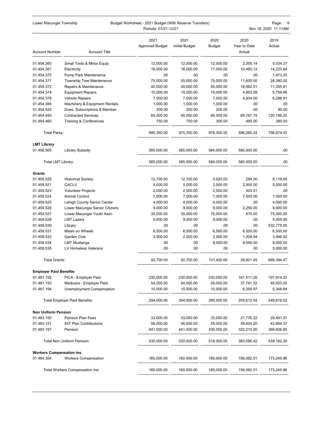| Lower Macungie Township         |                                      | Budget Worksheet - 2021 Budget (With Reserve Transfers)<br>Periods: 01/21-12/21 |                               |                       |                                | 9<br>Page:<br>Nov 16, 2020 11:11AM |
|---------------------------------|--------------------------------------|---------------------------------------------------------------------------------|-------------------------------|-----------------------|--------------------------------|------------------------------------|
| <b>Account Number</b>           | <b>Account Title</b>                 | 2021<br><b>Approved Budget</b>                                                  | 2021<br><b>Initial Budget</b> | 2020<br><b>Budget</b> | 2020<br>Year to Date<br>Actual | 2019<br>Actual                     |
| 01.454.260                      | Small Tools & Minor Equip            | 12,000.00                                                                       | 12,000.00                     | 12,000.00             | 2,005.14                       | 5,034.37                           |
| 01.454.361                      | Electricity                          | 16,000.00                                                                       | 16,000.00                     | 11,000.00             | 10,480.12                      | 14,223.64                          |
| 01.454.370                      | Pump Park Maintenance                | .00                                                                             | .00                           | .00                   | .00.                           | 1,473.20                           |
| 01.454.371                      | <b>Township Tree Maintenance</b>     | 75,000.00                                                                       | 55,000.00                     | 75,000.00             | 11,600.00                      | 28,380.00                          |
| 01.454.372                      | Repairs & Maintenance                | 40,000.00                                                                       | 40,000.00                     | 50,000.00             | 18,962.51                      | 11,355.81                          |
| 01.454.374                      | <b>Equipment Repairs</b>             | 15,000.00                                                                       | 15,000.00                     | 15,000.00             | 4,853.59                       | 5,759.86                           |
| 01.454.378                      | <b>Vehicle Repairs</b>               | 7,500.00                                                                        | 7,500.00                      | 7.500.00              | 4,934.00                       | 6,286.91                           |
| 01.454.384                      | Machinery & Equipment Rentals        | 1,000.00                                                                        | 1,000.00                      | 1,000.00              | .00                            | .00                                |
| 01.454.420                      | Dues, Subscriptions & Member         | 200.00                                                                          | 200.00                        | 200.00                | .00                            | 80.00                              |
| 01.454.450                      | <b>Contracted Services</b>           | 65,000.00                                                                       | 65,000.00                     | 65,000.00             | 69,767.75                      | 120,199.25                         |
| 01.454.460                      | <b>Training &amp; Conferences</b>    | 750.00                                                                          | 750.00                        | 300.00                | 485.00                         | 280.00                             |
| <b>Total Parks:</b>             |                                      | 995,350.00                                                                      | 975,350.00                    | 978,300.00            | 596,265.24                     | 756.974.43                         |
| <b>LMT Library</b>              |                                      |                                                                                 |                               |                       |                                |                                    |
| 01.456.500                      | Library Subsidy                      | 585,000.00                                                                      | 585,000.00                    | 584,000.00            | 580,000.00                     | .00.                               |
| Total LMT Library:              |                                      | 585,000.00                                                                      | 585,000.00                    | 584,000.00            | 580,000.00                     | .00                                |
| Grants                          |                                      |                                                                                 |                               |                       |                                |                                    |
| 01.459.520                      | <b>Historical Society</b>            | 12,700.00                                                                       | 12,700.00                     | 5,920.00              | 284.00                         | 8,116.65                           |
| 01.459.521                      | <b>CACLV</b>                         | 5,000.00                                                                        | 5,000.00                      | 2,500.00              | 2,500.00                       | 5,000.00                           |
| 01.459.523                      | <b>Volunteer Projects</b>            | 2,000.00                                                                        | 2,000.00                      | 2,000.00              | 403.51                         | .00                                |
| 01.459.524                      | <b>Animal Control</b>                | 7,000.00                                                                        | 7,000.00                      | 7,000.00              | 7,000.00                       | 7,000.00                           |
| 01.459.525                      | Lehigh County Senior Center          | 4,000.00                                                                        | 4,000.00                      | 4,000.00              | .00                            | 4,000.00                           |
| 01.459.526                      | Lower Macungie Senior Citizens       | 9,000.00                                                                        | 9,000.00                      | 9,000.00              | 2,250.00                       | 9,000.00                           |
| 01.459.527                      | Lower Macungie Youth Assn            | 35,000.00                                                                       | 35,000.00                     | 75,000.00             | 675.00                         | 75,000.00                          |
| 01.459.528                      | <b>LMT Lazers</b>                    | 9,000.00                                                                        | 9,000.00                      | 9,000.00              | .00                            | 5,005.90                           |
| 01.459.530                      | Library                              | .00                                                                             | .00                           | .00                   | .00                            | 532,775.00                         |
| 01.459.531                      | Meals on Wheels                      | 6,500.00                                                                        | 6,500.00                      | 6,500.00              | 6,500.00                       | 6,500.00                           |
| 01.459.532                      | Garden Club                          | 2,500.00                                                                        | 2,500.00                      | 2,500.00              | 1,308.94                       | 3,996.92                           |
| 01.459.534                      | <b>LMT Mustangs</b>                  | .00                                                                             | .00                           | 8,000.00              | 8,000.00                       | 8,000.00                           |
| 01.459.535                      | LV Homeless Veterans                 | .00                                                                             | .00                           | .00                   | .00                            | 5,000.00                           |
| <b>Total Grants:</b>            |                                      | 92,700.00                                                                       | 92,700.00                     | 131,420.00            | 28,921.45                      | 669,394.47                         |
| <b>Employer Paid Beneftis</b>   |                                      |                                                                                 |                               |                       |                                |                                    |
| 01.481.192                      | FICA - Employer Paid                 | 230,000.00                                                                      | 230,000.00                    | 230,000.00            | 161,511.25                     | 197,914.33                         |
| 01.481.193                      | Medicare - Employer Paid             | 54,000.00                                                                       | 54,000.00                     | 55,000.00             | 37,741.32                      | 46,553.05                          |
| 01.481.194                      | Unemployment Compensation            | 10,000.00                                                                       | 10,000.00                     | 10,000.00             | 6,359.97                       | 5,348.64                           |
|                                 | <b>Total Employer Paid Beneftis:</b> | 294,000.00                                                                      | 294,000.00                    | 295,000.00            | 205,612.54                     | 249,816.02                         |
| <b>Non Uniform Pension</b>      |                                      |                                                                                 |                               |                       |                                |                                    |
| 01.483.150                      | Pension Plan Fees                    | 33,000.00                                                                       | 33,000.00                     | 33,000.00             | 21,776.22                      | 29,491.07                          |
| 01.483.151                      | 457 Plan Contributions               | 56,000.00                                                                       | 56,000.00                     | 55,000.00             | 39,604.20                      | 42,864.37                          |
| 01.483.197                      | Pension                              | 441,000.00                                                                      | 441,000.00                    | 430,000.00            | 322,210.00                     | 366,826.85                         |
|                                 | Total Non Uniform Pension:           | 530,000.00                                                                      | 530,000.00                    | 518,000.00            | 383,590.42                     | 439,182.29                         |
| <b>Workers Compensation Ins</b> |                                      |                                                                                 |                               |                       |                                |                                    |
| 01.484.354                      | <b>Workers Compensation</b>          | 160,000.00                                                                      | 160,000.00                    | 185,000.00            | 156,062.01                     | 173,245.96                         |
|                                 | Total Workers Compensation Ins:      | 160,000.00                                                                      | 160,000.00                    | 185,000.00            | 156,062.01                     | 173,245.96                         |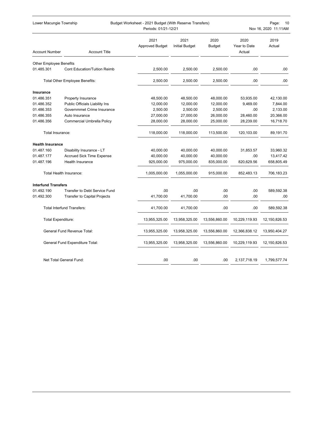| Lower Macungie Township        |                                     | Budget Worksheet - 2021 Budget (With Reserve Transfers)<br>Periods: 01/21-12/21 |                               |                       |                                | Page:<br>10<br>Nov 16, 2020 11:11AM |
|--------------------------------|-------------------------------------|---------------------------------------------------------------------------------|-------------------------------|-----------------------|--------------------------------|-------------------------------------|
| <b>Account Number</b>          | <b>Account Title</b>                | 2021<br><b>Approved Budget</b>                                                  | 2021<br><b>Initial Budget</b> | 2020<br><b>Budget</b> | 2020<br>Year to Date<br>Actual | 2019<br>Actual                      |
| <b>Other Employee Benefits</b> |                                     |                                                                                 |                               |                       |                                |                                     |
| 01.485.301                     | <b>Cont Education/Tuition Reimb</b> | 2,500.00                                                                        | 2,500.00                      | 2,500.00              | .00                            | .00                                 |
|                                | Total Other Employee Benefits:      | 2,500.00                                                                        | 2,500.00                      | 2,500.00              | .00                            | .00.                                |
| Insurance                      |                                     |                                                                                 |                               |                       |                                |                                     |
| 01.486.351                     | Property Insurance                  | 48,500.00                                                                       | 48,500.00                     | 48,000.00             | 53,935.00                      | 42,130.00                           |
| 01.486.352                     | Public Officials Liability Ins      | 12,000.00                                                                       | 12,000.00                     | 12,000.00             | 9,469.00                       | 7,844.00                            |
| 01.486.353                     | Governmmet Crime Insurance          | 2,500.00                                                                        | 2,500.00                      | 2,500.00              | .00                            | 2,133.00                            |
| 01.486.355                     | Auto Insurance                      | 27,000.00                                                                       | 27,000.00                     | 26,000.00             | 28,460.00                      | 20,366.00                           |
| 01.486.356                     | Commercial Umbrella Policy          | 28,000.00                                                                       | 28,000.00                     | 25,000.00             | 28,239.00                      | 16,718.70                           |
| Total Insurance:               |                                     | 118,000.00                                                                      | 118,000.00                    | 113,500.00            | 120,103.00                     | 89,191.70                           |
| <b>Health Insurance</b>        |                                     |                                                                                 |                               |                       |                                |                                     |
| 01.487.160                     | Disability Insurance - LT           | 40,000.00                                                                       | 40,000.00                     | 40,000.00             | 31,853.57                      | 33,960.32                           |
| 01.487.177                     | <b>Accrued Sick Time Expense</b>    | 40,000.00                                                                       | 40,000.00                     | 40,000.00             | .00.                           | 13,417.42                           |
| 01.487.196                     | <b>Health Insurance</b>             | 925,000.00                                                                      | 975,000.00                    | 835,000.00            | 820,629.56                     | 658,805.49                          |
|                                | Total Health Insurance:             | 1,005,000.00                                                                    | 1,055,000.00                  | 915,000.00            | 852,483.13                     | 706,183.23                          |
| <b>Interfund Transfers</b>     |                                     |                                                                                 |                               |                       |                                |                                     |
| 01.492.190                     | Transfer to Debt Service Fund       | .00                                                                             | .00                           | .00                   | .00                            | 589,592.38                          |
| 01.492.300                     | <b>Transfer to Capital Projects</b> | 41,700.00                                                                       | 41,700.00                     | .00                   | .00                            | .00                                 |
|                                | <b>Total Interfund Transfers:</b>   | 41,700.00                                                                       | 41,700.00                     | .00                   | .00                            | 589,592.38                          |
| <b>Total Expenditure:</b>      |                                     | 13,955,325.00                                                                   | 13,958,325.00                 | 13,556,860.00         | 10,229,119.93                  | 12,150,826.53                       |
|                                | General Fund Revenue Total:         | 13,955,325.00                                                                   | 13,958,325.00                 | 13,556,860.00         | 12,366,838.12                  | 13,950,404.27                       |
|                                | General Fund Expenditure Total:     | 13,955,325.00                                                                   | 13,958,325.00                 | 13,556,860.00         | 10,229,119.93                  | 12, 150, 826.53                     |
|                                | Net Total General Fund:             | .00                                                                             | .00                           | .00                   | 2,137,718.19                   | 1,799,577.74                        |
|                                |                                     |                                                                                 |                               |                       |                                |                                     |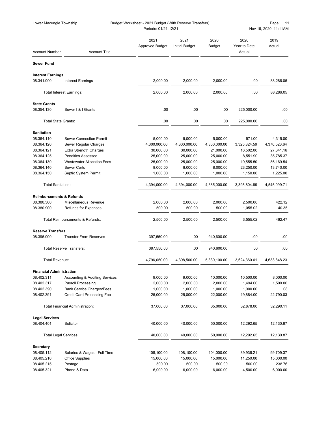| Lower Macungie Township             |                                           | Budget Worksheet - 2021 Budget (With Reserve Transfers)<br>Periods: 01/21-12/21 |                               |                |                                | Page:<br>-11<br>Nov 16, 2020 11:11AM |
|-------------------------------------|-------------------------------------------|---------------------------------------------------------------------------------|-------------------------------|----------------|--------------------------------|--------------------------------------|
| <b>Account Number</b>               | <b>Account Title</b>                      | 2021<br><b>Approved Budget</b>                                                  | 2021<br><b>Initial Budget</b> | 2020<br>Budget | 2020<br>Year to Date<br>Actual | 2019<br>Actual                       |
| <b>Sewer Fund</b>                   |                                           |                                                                                 |                               |                |                                |                                      |
| <b>Interest Earnings</b>            |                                           |                                                                                 |                               |                |                                |                                      |
| 08.341.000                          | <b>Interest Earnings</b>                  | 2,000.00                                                                        | 2,000.00                      | 2,000.00       | .00                            | 88,286.05                            |
|                                     | <b>Total Interest Earnings:</b>           | 2,000.00                                                                        | 2,000.00                      | 2,000.00       | .00                            | 88,286.05                            |
| <b>State Grants</b>                 |                                           |                                                                                 |                               |                |                                |                                      |
| 08.354.130                          | Sewer   &   Grants                        | .00                                                                             | .00                           | .00            | 225,000.00                     | .00                                  |
| <b>Total State Grants:</b>          |                                           | .00                                                                             | .00                           | .00            | 225,000.00                     | .00                                  |
| <b>Sanitation</b>                   |                                           |                                                                                 |                               |                |                                |                                      |
| 08.364.110                          | <b>Sewer Connection Permit</b>            | 5,000.00                                                                        | 5,000.00                      | 5,000.00       | 971.00                         | 4,315.00                             |
| 08.364.120                          | Sewer Regular Charges                     | 4,300,000.00                                                                    | 4,300,000.00                  | 4,300,000.00   | 3,325,824.59                   | 4,376,523.64                         |
| 08.364.121                          | <b>Extra Strength Charges</b>             | 30,000.00                                                                       | 30,000.00                     | 21,000.00      | 16,502.00                      | 27,341.16                            |
| 08.364.125                          | <b>Penalties Assessed</b>                 | 25,000.00                                                                       | 25,000.00                     | 25,000.00      | 8,551.90                       | 35,785.37                            |
| 08.364.130                          | <b>Wastewater Allocation Fees</b>         | 25,000.00                                                                       | 25,000.00                     | 25,000.00      | 19,555.50                      | 86,169.54                            |
| 08.364.140                          | <b>Sewer Certs</b>                        | 8,000.00                                                                        | 8,000.00                      | 8,000.00       | 23,250.00                      | 13,740.00                            |
| 08.364.150                          | Septic System Permit                      | 1,000.00                                                                        | 1,000.00                      | 1,000.00       | 1,150.00                       | 1,225.00                             |
| <b>Total Sanitation:</b>            |                                           | 4,394,000.00                                                                    | 4,394,000.00                  | 4,385,000.00   | 3,395,804.99                   | 4,545,099.71                         |
| <b>Reimbursements &amp; Refunds</b> |                                           |                                                                                 |                               |                |                                |                                      |
| 08.380.300                          | Miscellaneous Revenue                     | 2,000.00                                                                        | 2,000.00                      | 2,000.00       | 2,500.00                       | 422.12                               |
| 08.380.900                          | <b>Refunds for Expenses</b>               | 500.00                                                                          | 500.00                        | 500.00         | 1,055.02                       | 40.35                                |
|                                     | Total Reimbursements & Refunds:           | 2,500.00                                                                        | 2,500.00                      | 2,500.00       | 3,555.02                       | 462.47                               |
| <b>Reserve Transfers</b>            |                                           |                                                                                 |                               |                |                                |                                      |
| 08.396.000                          | <b>Transfer From Reserves</b>             | 397,550.00                                                                      | .00                           | 940,600.00     | .00                            | .00                                  |
|                                     | <b>Total Reserve Transfers:</b>           | 397,550.00                                                                      | .00                           | 940,600.00     | .00                            | .00                                  |
| Total Revenue:                      |                                           | 4,796,050.00                                                                    | 4,398,500.00                  | 5,330,100.00   | 3,624,360.01                   | 4,633,848.23                         |
| <b>Financial Administration</b>     |                                           |                                                                                 |                               |                |                                |                                      |
| 08.402.311                          | <b>Accounting &amp; Auditing Services</b> | 9,000.00                                                                        | 9,000.00                      | 10,000.00      | 10,500.00                      | 8,000.00                             |
| 08.402.317                          | Payroll Processing                        | 2,000.00                                                                        | 2,000.00                      | 2,000.00       | 1,494.00                       | 1,500.00                             |
| 08.402.390                          | <b>Bank Service Charges/Fees</b>          | 1,000.00                                                                        | 1,000.00                      | 1,000.00       | 1,000.00                       | .08                                  |
| 08.402.391                          | <b>Credit Card Processing Fee</b>         | 25,000.00                                                                       | 25,000.00                     | 22,000.00      | 19,884.00                      | 22,790.03                            |
|                                     | <b>Total Financial Administration:</b>    | 37,000.00                                                                       | 37,000.00                     | 35,000.00      | 32,878.00                      | 32,290.11                            |
| <b>Legal Services</b>               |                                           |                                                                                 |                               |                |                                |                                      |
| 08.404.401                          | Solicitor                                 | 40,000.00                                                                       | 40,000.00                     | 50,000.00      | 12,292.65                      | 12,130.87                            |
| <b>Total Legal Services:</b>        |                                           | 40,000.00                                                                       | 40,000.00                     | 50,000.00      | 12,292.65                      | 12,130.87                            |
| <b>Secretary</b>                    |                                           |                                                                                 |                               |                |                                |                                      |
| 08.405.112                          | Salaries & Wages - Full Time              | 108,100.00                                                                      | 108,100.00                    | 104,000.00     | 89,936.21                      | 99,709.37                            |
| 08.405.210                          | Office Supplies                           | 15,000.00                                                                       | 15,000.00                     | 15,000.00      | 11,250.00                      | 15,000.00                            |
| 08.405.215                          | Postage                                   | 500.00                                                                          | 500.00                        | 500.00         | 500.00                         | 238.76                               |
| 08.405.321                          | Phone & Data                              | 6,000.00                                                                        | 6,000.00                      | 6,000.00       | 4,500.00                       | 6,000.00                             |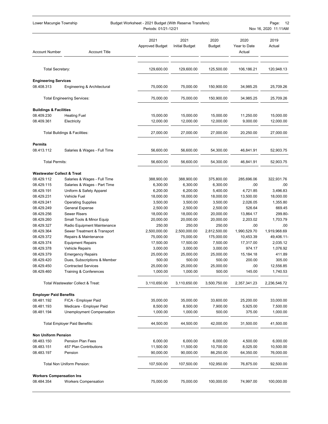| Lower Macungie Township               |                                                          | Budget Worksheet - 2021 Budget (With Reserve Transfers)<br>Periods: 01/21-12/21 |                               |                       |                                | Page:<br>12<br>Nov 16, 2020 11:11AM |
|---------------------------------------|----------------------------------------------------------|---------------------------------------------------------------------------------|-------------------------------|-----------------------|--------------------------------|-------------------------------------|
| <b>Account Number</b>                 | <b>Account Title</b>                                     | 2021<br><b>Approved Budget</b>                                                  | 2021<br><b>Initial Budget</b> | 2020<br><b>Budget</b> | 2020<br>Year to Date<br>Actual | 2019<br>Actual                      |
| <b>Total Secretary:</b>               |                                                          | 129,600.00                                                                      | 129,600.00                    | 125,500.00            | 106,186.21                     | 120,948.13                          |
| <b>Engineering Services</b>           |                                                          |                                                                                 |                               |                       |                                |                                     |
| 08.408.313                            | Engineering & Architectural                              | 75,000.00                                                                       | 75,000.00                     | 150,900.00            | 34,985.25                      | 25,709.26                           |
|                                       | <b>Total Engineering Services:</b>                       | 75,000.00                                                                       | 75,000.00                     | 150,900.00            | 34,985.25                      | 25,709.26                           |
| <b>Buildings &amp; Facilities</b>     |                                                          |                                                                                 |                               |                       |                                |                                     |
| 08.409.230                            | <b>Heating Fuel</b>                                      | 15,000.00                                                                       | 15,000.00                     | 15,000.00             | 11,250.00                      | 15,000.00                           |
| 08.409.361                            | Electricity                                              | 12,000.00                                                                       | 12,000.00                     | 12,000.00             | 9,000.00                       | 12,000.00                           |
|                                       | Total Buildings & Facilities:                            | 27,000.00                                                                       | 27,000.00                     | 27,000.00             | 20,250.00                      | 27,000.00                           |
| <b>Permits</b>                        |                                                          |                                                                                 |                               |                       |                                |                                     |
| 08.413.112                            | Salaries & Wages - Full Time                             | 56,600.00                                                                       | 56,600.00                     | 54,300.00             | 46,841.91                      | 52,903.75                           |
| <b>Total Permits:</b>                 |                                                          | 56,600.00                                                                       | 56,600.00                     | 54,300.00             | 46,841.91                      | 52,903.75                           |
| <b>Wastewater Collect &amp; Treat</b> |                                                          |                                                                                 |                               |                       |                                |                                     |
| 08.429.112                            | Salaries & Wages - Full Time                             | 388,900.00                                                                      | 388,900.00                    | 375,800.00            | 285,696.06                     | 322,931.76                          |
| 08.429.115                            | Salaries & Wages - Part Time                             | 6,300.00                                                                        | 6,300.00                      | 6,300.00              | .00                            | .00                                 |
| 08.429.191                            | Uniform & Safety Apparel                                 | 6,200.00                                                                        | 6,200.00                      | 5,400.00              | 4,721.85                       | 3,496.83                            |
| 08.429.231                            | Vehicle Fuel                                             | 18,000.00                                                                       | 18,000.00                     | 18,000.00             | 13,500.00                      | 18,000.00                           |
| 08.429.241                            | <b>Operating Supplies</b>                                | 3,500.00                                                                        | 3,500.00                      | 3,500.00              | 2,026.05                       | 1,355.80                            |
| 08.429.249                            | <b>General Expense</b>                                   | 2,500.00                                                                        | 2,500.00                      | 2,500.00              | 526.64                         | 669.45                              |
| 08.429.256                            | <b>Sewer Risers</b>                                      | 18,000.00                                                                       | 18,000.00                     | 20,000.00             | 13,864.17                      | 299.80-                             |
| 08.429.260                            | Small Tools & Minor Equip                                | 20,000.00                                                                       | 20,000.00                     | 20,000.00             | 2,203.02                       | 1,703.79                            |
| 08.429.327                            | Radio Equipment Maintenance                              | 250.00                                                                          | 250.00                        | 250.00                | .00                            | .00                                 |
| 08.429.364                            | Sewer Treatment & Transport                              | 2,500,000.00                                                                    | 2,500,000.00                  | 2,812,500.00          | 1,990,529.70                   | 1,919,968.69                        |
| 08.429.372                            | Repairs & Maintenance                                    | 75,000.00                                                                       | 75,000.00                     | 175,000.00            | 10,453.39                      | 49,406.11-                          |
| 08.429.374                            | <b>Equipment Repairs</b>                                 | 17,500.00                                                                       | 17,500.00                     | 7,500.00              | 17,317.00                      | 2,035.12                            |
| 08.429.378<br>08.429.379              | <b>Vehicle Repairs</b>                                   | 3,000.00                                                                        | 3,000.00                      | 3,000.00              | 974.17                         | 1,076.92<br>411.89                  |
| 08.429.420                            | <b>Emergency Repairs</b><br>Dues, Subscriptions & Member | 25,000.00<br>500.00                                                             | 25,000.00<br>500.00           | 25,000.00<br>500.00   | 15,184.18<br>200.00            | 305.00                              |
| 08.429.450                            | <b>Contracted Services</b>                               | 25,000.00                                                                       | 25,000.00                     | 25,000.00             | .00                            | 12,556.85                           |
| 08.429.460                            | Training & Conferences                                   | 1,000.00                                                                        | 1,000.00                      | 500.00                | 145.00                         | 1,740.53                            |
|                                       | Total Wastewater Collect & Treat:                        | 3,110,650.00                                                                    | 3,110,650.00                  | 3,500,750.00          | 2,357,341.23                   | 2,236,546.72                        |
| <b>Employer Paid Benefits</b>         |                                                          |                                                                                 |                               |                       |                                |                                     |
| 08.481.192                            | FICA - Employer Paid                                     | 35,000.00                                                                       | 35,000.00                     | 33,600.00             | 25,200.00                      | 33,000.00                           |
| 08.481.193                            | Medicare - Employer Paid                                 | 8,500.00                                                                        | 8,500.00                      | 7,900.00              | 5,925.00                       | 7,500.00                            |
| 08.481.194                            | Unemployment Compensation                                | 1,000.00                                                                        | 1,000.00                      | 500.00                | 375.00                         | 1,000.00                            |
|                                       | <b>Total Employer Paid Benefits:</b>                     | 44,500.00                                                                       | 44,500.00                     | 42,000.00             | 31,500.00                      | 41,500.00                           |
| <b>Non Uniform Pension</b>            |                                                          |                                                                                 |                               |                       |                                |                                     |
| 08.483.150                            | <b>Pension Plan Fees</b>                                 | 6,000.00                                                                        | 6,000.00                      | 6,000.00              | 4,500.00                       | 6,000.00                            |
| 08.483.151                            | 457 Plan Contributions                                   | 11,500.00                                                                       | 11,500.00                     | 10,700.00             | 8,025.00                       | 10,500.00                           |
| 08.483.197                            | Pension                                                  | 90,000.00                                                                       | 90,000.00                     | 86,250.00             | 64,350.00                      | 76,000.00                           |
|                                       | Total Non Uniform Pension:                               | 107,500.00                                                                      | 107,500.00                    | 102,950.00            | 76,875.00                      | 92,500.00                           |
| <b>Workers Compensation Ins</b>       |                                                          |                                                                                 |                               |                       |                                |                                     |
| 08.484.354                            | <b>Workers Compensation</b>                              | 75,000.00                                                                       | 75,000.00                     | 100,000.00            | 74,997.00                      | 100,000.00                          |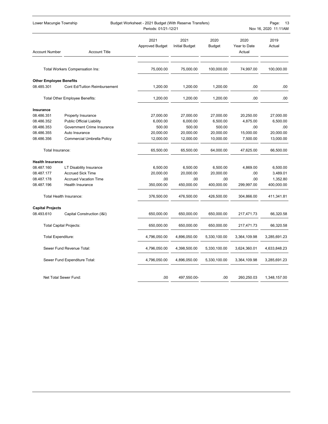| Lower Macungie Township        |                                  | Budget Worksheet - 2021 Budget (With Reserve Transfers)<br>Periods: 01/21-12/21 |                               |                       |                                | Page:<br>13<br>Nov 16, 2020 11:11AM |
|--------------------------------|----------------------------------|---------------------------------------------------------------------------------|-------------------------------|-----------------------|--------------------------------|-------------------------------------|
| <b>Account Number</b>          | <b>Account Title</b>             | 2021<br><b>Approved Budget</b>                                                  | 2021<br><b>Initial Budget</b> | 2020<br><b>Budget</b> | 2020<br>Year to Date<br>Actual | 2019<br>Actual                      |
|                                | Total Workers Compensation Ins:  | 75,000.00                                                                       | 75,000.00                     | 100,000.00            | 74,997.00                      | 100,000.00                          |
| <b>Other Employee Benefits</b> |                                  |                                                                                 |                               |                       |                                |                                     |
| 08.485.301                     | Cont Ed/Tuition Reimbursement    | 1,200.00                                                                        | 1,200.00                      | 1,200.00              | .00                            | .00                                 |
|                                | Total Other Employee Benefits:   | 1,200.00                                                                        | 1,200.00                      | 1,200.00              | .00                            | .00                                 |
| Insurance                      |                                  |                                                                                 |                               |                       |                                |                                     |
| 08.486.351                     | Property Insurance               | 27,000.00                                                                       | 27,000.00                     | 27,000.00             | 20,250.00                      | 27,000.00                           |
| 08.486.352                     | <b>Public Official Liability</b> | 6,000.00                                                                        | 6,000.00                      | 6,500.00              | 4,875.00                       | 6,500.00                            |
| 08.486.353                     | Government Crime Insurance       | 500.00                                                                          | 500.00                        | 500.00                | .00                            | .00                                 |
| 08.486.355                     | Auto Insurance                   | 20,000.00                                                                       | 20,000.00                     | 20,000.00             | 15,000.00                      | 20,000.00                           |
| 08.486.356                     | Commercial Umbrella Policy       | 12,000.00                                                                       | 12,000.00                     | 10,000.00             | 7,500.00                       | 13,000.00                           |
|                                | Total Insurance:                 | 65,500.00                                                                       | 65,500.00                     | 64,000.00             | 47,625.00                      | 66,500.00                           |
| <b>Health Insurance</b>        |                                  |                                                                                 |                               |                       |                                |                                     |
| 08.487.160                     | LT Disability Insurance          | 6,500.00                                                                        | 6,500.00                      | 6,500.00              | 4,869.00                       | 6,500.00                            |
| 08.487.177                     | <b>Accrued Sick Time</b>         | 20,000.00                                                                       | 20,000.00                     | 20,000.00             | .00                            | 3,489.01                            |
| 08.487.178                     | <b>Accrued Vacation Time</b>     | .00                                                                             | .00                           | .00                   | .00                            | 1,352.80                            |
| 08.487.196                     | Health Insurance                 | 350,000.00                                                                      | 450,000.00                    | 400,000.00            | 299,997.00                     | 400,000.00                          |
|                                | Total Health Insurance:          | 376,500.00                                                                      | 476,500.00                    | 426,500.00            | 304,866.00                     | 411,341.81                          |
| <b>Capital Projects</b>        |                                  |                                                                                 |                               |                       |                                |                                     |
| 08.493.610                     | Capital Construction (I&I)       | 650,000.00                                                                      | 650,000.00                    | 650,000.00            | 217,471.73                     | 66,320.58                           |
|                                | <b>Total Capital Projects:</b>   | 650,000.00                                                                      | 650,000.00                    | 650,000.00            | 217,471.73                     | 66,320.58                           |
|                                | Total Expenditure:               | 4,796,050.00                                                                    | 4,896,050.00                  | 5,330,100.00          | 3,364,109.98                   | 3,285,691.23                        |
|                                | Sewer Fund Revenue Total:        | 4,796,050.00                                                                    | 4,398,500.00                  | 5,330,100.00          | 3,624,360.01                   | 4,633,848.23                        |
|                                | Sewer Fund Expenditure Total:    | 4,796,050.00                                                                    | 4,896,050.00                  | 5,330,100.00          | 3,364,109.98                   | 3,285,691.23                        |
|                                |                                  |                                                                                 |                               |                       |                                |                                     |
|                                | Net Total Sewer Fund:            | .00.                                                                            | 497,550.00-                   | .00                   | 260,250.03                     | 1,348,157.00                        |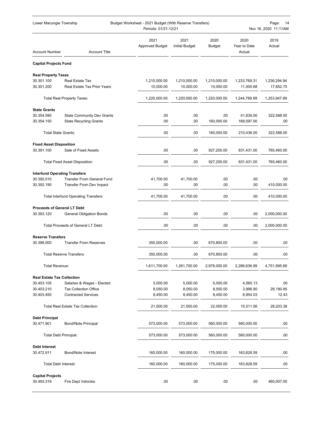| Lower Macungie Township<br>Budget Worksheet - 2021 Budget (With Reserve Transfers)<br>Periods: 01/21-12/21 |                                                                    |                                |                               |                           |                                | Page:<br>14<br>Nov 16, 2020 11:11AM |  |
|------------------------------------------------------------------------------------------------------------|--------------------------------------------------------------------|--------------------------------|-------------------------------|---------------------------|--------------------------------|-------------------------------------|--|
| <b>Account Number</b>                                                                                      | <b>Account Title</b>                                               | 2021<br><b>Approved Budget</b> | 2021<br><b>Initial Budget</b> | 2020<br><b>Budget</b>     | 2020<br>Year to Date<br>Actual | 2019<br>Actual                      |  |
| <b>Capital Projects Fund</b>                                                                               |                                                                    |                                |                               |                           |                                |                                     |  |
| <b>Real Property Taxes</b>                                                                                 |                                                                    |                                |                               |                           |                                |                                     |  |
| 30.301.100<br>30.301.200                                                                                   | Real Estate Tax<br>Real Estate Tax Prior Years                     | 1,210,000.00<br>10,000.00      | 1,210,000.00<br>10,000.00     | 1,210,000.00<br>10,000.00 | 1,233,769.31<br>11,000.68      | 1,236,294.94<br>17,652.75           |  |
|                                                                                                            | <b>Total Real Property Taxes:</b>                                  | 1,220,000.00                   | 1,220,000.00                  | 1,220,000.00              | 1,244,769.99                   | 1,253,947.69                        |  |
| <b>State Grants</b>                                                                                        |                                                                    |                                |                               |                           |                                |                                     |  |
| 30.354.090<br>30.354.150                                                                                   | <b>State Community Dev Grants</b><br><b>State Recycling Grants</b> | .00<br>.00                     | .00<br>.00                    | .00<br>160,000.00         | 41,839.00<br>168,597.00        | 322,588.00<br>.00                   |  |
| Total State Grants:                                                                                        |                                                                    | .00                            | .00                           | 160,000.00                | 210,436.00                     | 322,588.00                          |  |
| <b>Fixed Asset Disposition</b>                                                                             |                                                                    |                                |                               |                           |                                |                                     |  |
| 30.391.100                                                                                                 | Sale of Fixed Assets                                               | .00                            | .00                           | 927,200.00                | 831,431.00                     | 765,460.00                          |  |
|                                                                                                            | <b>Total Fixed Asset Disposition:</b>                              | .00                            | .00                           | 927,200.00                | 831,431.00                     | 765,460.00                          |  |
| <b>Interfund Operating Transfers</b>                                                                       |                                                                    |                                |                               |                           |                                |                                     |  |
| 30.392.010<br>30.392.190                                                                                   | <b>Transfer From General Fund</b><br>Transfer From Dev Impact      | 41,700.00<br>.00               | 41,700.00<br>.00              | .00<br>.00                | .00<br>.00                     | .00<br>410,000.00                   |  |
|                                                                                                            | <b>Total Interfund Operating Transfers:</b>                        | 41,700.00                      | 41,700.00                     | .00                       | .00                            | 410,000.00                          |  |
| <b>Proceeds of General LT Debt</b>                                                                         |                                                                    |                                |                               |                           |                                |                                     |  |
| 30.393.120                                                                                                 | <b>General Obligation Bonds</b>                                    | .00                            | .00                           | .00                       | .00                            | 2,000,000.00                        |  |
|                                                                                                            | Total Proceeds of General LT Debt:                                 | .00                            | .00                           | .00                       | .00                            | 2,000,000.00                        |  |
| <b>Reserve Transfers</b>                                                                                   |                                                                    |                                |                               |                           |                                |                                     |  |
| 30.396.000                                                                                                 | <b>Transfer From Reserves</b>                                      | 350,000.00                     | .00                           | 670,800.00                | .00                            | .00                                 |  |
|                                                                                                            | <b>Total Reserve Transfers:</b>                                    | 350,000.00                     | .00                           | 670,800.00                | .00                            | .00                                 |  |
| <b>Total Revenue:</b>                                                                                      |                                                                    | 1,611,700.00                   | 1,261,700.00                  | 2,978,000.00              | 2,286,636.99                   | 4,751,995.69                        |  |
| <b>Real Estate Tax Collection</b>                                                                          |                                                                    |                                |                               |                           |                                |                                     |  |
| 30.403.105                                                                                                 | Salaries & Wages - Elected                                         | 5,000.00                       | 5,000.00                      | 5,000.00                  | 4,560.13                       | .00                                 |  |
| 30.403.210<br>30.403.450                                                                                   | <b>Tax Collection Office</b><br><b>Contracted Services</b>         | 8,050.00<br>8,450.00           | 8,050.00<br>8,450.00          | 8,550.00<br>8,450.00      | 3,996.90<br>6,954.03           | 28,190.95<br>12.43                  |  |
|                                                                                                            | <b>Total Real Estate Tax Collection:</b>                           | 21,500.00                      | 21,500.00                     | 22,000.00                 | 15,511.06                      | 28,203.38                           |  |
| <b>Debt Principal</b>                                                                                      |                                                                    |                                |                               |                           |                                |                                     |  |
| 30.471.901                                                                                                 | <b>Bond/Note Principal</b>                                         | 573,000.00                     | 573,000.00                    | 560,000.00                | 560,000.00                     | .00                                 |  |
| <b>Total Debt Principal:</b>                                                                               |                                                                    | 573,000.00                     | 573,000.00                    | 560,000.00                | 560,000.00                     | .00                                 |  |
| <b>Debt Interest</b>                                                                                       |                                                                    |                                |                               |                           |                                |                                     |  |
| 30.472.911                                                                                                 | <b>Bond/Note Interest</b>                                          | 160,000.00                     | 160,000.00                    | 175,000.00                | 163,828.59                     | .00                                 |  |
| <b>Total Debt Interest:</b>                                                                                |                                                                    | 160,000.00                     | 160,000.00                    | 175,000.00                | 163,828.59                     | .00                                 |  |
| <b>Capital Projects</b><br>30.493.319                                                                      | <b>Fire Dept Vehicles</b>                                          | .00                            | .00                           | .00                       | .00                            | 460,007.00                          |  |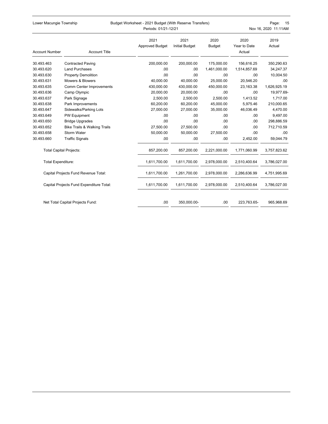| Lower Macungie Township |  |
|-------------------------|--|
|-------------------------|--|

### Budget Worksheet - 2021 Budget (With Reserve Transfers) Page: 15 Periods: 01/21-12/21 Nov 16, 2020 11:11AM

| <b>Account Number</b>          | <b>Account Title</b>                     | 2021<br><b>Approved Budget</b> | 2021<br><b>Initial Budget</b> | 2020<br><b>Budget</b> | 2020<br>Year to Date<br>Actual | 2019<br>Actual |
|--------------------------------|------------------------------------------|--------------------------------|-------------------------------|-----------------------|--------------------------------|----------------|
| 30.493.463                     | <b>Contracted Paving</b>                 | 200,000.00                     | 200,000.00                    | 175,000.00            | 156,616.25                     | 350,290.63     |
| 30.493.620                     | <b>Land Purchases</b>                    | .00.                           | .00                           | 1,461,000.00          | 1,514,857.69                   | 34,247.37      |
| 30.493.630                     | <b>Property Demolition</b>               | .00.                           | .00.                          | .00                   | .00                            | 10,004.50      |
| 30.493.631                     | Mowers & Blowers                         | 40,000.00                      | 40.000.00                     | 25.000.00             | 20.546.20                      | .00            |
| 30.493.635                     | Comm Center Improvements                 | 430,000.00                     | 430,000.00                    | 450,000.00            | 23,163.38                      | 1,626,925.19   |
| 30.493.636                     | Camp Olympic                             | 20,000.00                      | 20,000.00                     | .00                   | .00                            | 19,977.69-     |
| 30.493.637                     | Park Signage                             | 2,500.00                       | 2,500.00                      | 2,500.00              | 1,413.52                       | 1,717.00       |
| 30.493.638                     | Park Improvements                        | 60,200.00                      | 60,200.00                     | 45,000.00             | 5,975.46                       | 210,000.65     |
| 30.493.647                     | Sidewalks/Parking Lots                   | 27,000.00                      | 27,000.00                     | 35,000.00             | 46.036.49                      | 4,470.00       |
| 30.493.649                     | PW Equipment                             | .00.                           | .00                           | .00                   | .00                            | 9,497.00       |
| 30.493.650                     | <b>Bridge Upgrades</b>                   | .00.                           | .00                           | .00                   | .00                            | 298,886.59     |
| 30.493.652                     | <b>Bike Trails &amp; Walking Trails</b>  | 27.500.00                      | 27,500.00                     | .00                   | .00                            | 712,710.59     |
| 30.493.658                     | Storm Water                              | 50,000.00                      | 50,000.00                     | 27,500.00             | .00                            | .00            |
| 30.493.660                     | <b>Traffic Signals</b>                   | .00                            | .00                           | .00                   | 2,452.00                       | 59,044.79      |
| <b>Total Capital Projects:</b> |                                          | 857,200.00                     | 857,200.00                    | 2,221,000.00          | 1,771,060.99                   | 3,757,823.62   |
| <b>Total Expenditure:</b>      |                                          | 1,611,700.00                   | 1,611,700.00                  | 2,978,000.00          | 2,510,400.64                   | 3,786,027.00   |
|                                | Capital Projects Fund Revenue Total:     | 1,611,700.00                   | 1,261,700.00                  | 2,978,000.00          | 2,286,636.99                   | 4,751,995.69   |
|                                | Capital Projects Fund Expenditure Total: | 1,611,700.00                   | 1,611,700.00                  | 2,978,000.00          | 2,510,400.64                   | 3,786,027.00   |
|                                | Net Total Capital Projects Fund:         | .00.                           | 350,000.00-                   | .00                   | 223,763.65-                    | 965,968.69     |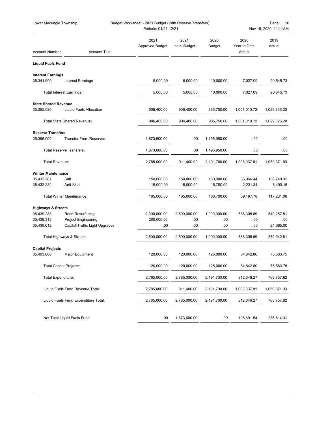| Budget Worksheet - 2021 Budget (With Reserve Transfers)<br>Lower Macungie Township<br>Periods: 01/21-12/21 |                                      |                                |                               |                | Page:<br>16<br>Nov 16, 2020 11:11AM |                |
|------------------------------------------------------------------------------------------------------------|--------------------------------------|--------------------------------|-------------------------------|----------------|-------------------------------------|----------------|
| <b>Account Number</b>                                                                                      | <b>Account Title</b>                 | 2021<br><b>Approved Budget</b> | 2021<br><b>Initial Budget</b> | 2020<br>Budget | 2020<br>Year to Date<br>Actual      | 2019<br>Actual |
| <b>Liquid Fuels Fund</b>                                                                                   |                                      |                                |                               |                |                                     |                |
| <b>Interest Earnings</b><br>35.341.000                                                                     | <b>Interest Earnings</b>             | 5,000.00                       | 5,000.00                      | 10,000.00      | 7,027.09                            | 20,545.73      |
|                                                                                                            | <b>Total Interest Earnings:</b>      | 5,000.00                       | 5,000.00                      | 10,000.00      | 7,027.09                            | 20,545.73      |
|                                                                                                            |                                      |                                |                               |                |                                     |                |
| <b>State Shared Revenue</b><br>35.355.020                                                                  | <b>Liquid Fuels Allocation</b>       | 906,400.00                     | 906,400.00                    | 985,750.00     | 1,001,010.72                        | 1,029,826.20   |
|                                                                                                            | Total State Shared Revenue:          | 906,400.00                     | 906,400.00                    | 985,750.00     | 1,001,010.72                        | 1,029,826.20   |
| <b>Reserve Transfers</b>                                                                                   |                                      |                                |                               |                |                                     |                |
| 35.396.000                                                                                                 | <b>Transfer From Reserves</b>        | 1,873,600.00                   | .00                           | 1,195,950.00   | .00                                 | .00            |
|                                                                                                            | <b>Total Reserve Transfers:</b>      | 1,873,600.00                   | .00                           | 1,195,950.00   | .00                                 | .00            |
| Total Revenue:                                                                                             |                                      | 2,785,000.00                   | 911,400.00                    | 2,191,700.00   | 1,008,037.81                        | 1,050,371.93   |
| <b>Winter Maintenance</b>                                                                                  |                                      |                                |                               |                |                                     |                |
| 35.432.281                                                                                                 | Salt                                 | 150,000.00                     | 150,000.00                    | 150,000.00     | 36,966.44                           | 108,740.91     |
| 35.432.282                                                                                                 | Anti-Skid                            | 15,000.00                      | 15,000.00                     | 16,700.00      | 2,231.34                            | 8,490.15       |
|                                                                                                            | <b>Total Winter Maintenance:</b>     | 165,000.00                     | 165,000.00                    | 166,700.00     | 39,197.78                           | 117,231.06     |
| <b>Highways &amp; Streets</b>                                                                              |                                      |                                |                               |                |                                     |                |
| 35.439.283                                                                                                 | Road Resurfacing                     | 2,300,000.00                   | 2,500,000.00                  | 1,900,000.00   | 688,305.69                          | 549,257.81     |
| 35.439.313                                                                                                 | <b>Project Engineering</b>           | 200,000.00                     | .00                           | .00            | .00                                 | .00            |
| 35.439.612                                                                                                 | Capital-Traffic Light Upgrades       | .00                            | .00                           | .00            | .00                                 | 21,685.00      |
|                                                                                                            | Total Highways & Streets:            | 2,500,000.00                   | 2,500,000.00                  | 1,900,000.00   | 688,305.69                          | 570,942.81     |
| <b>Capital Projects</b>                                                                                    |                                      |                                |                               |                |                                     |                |
| 35.493.680                                                                                                 | Major Equipment                      | 120,000.00                     | 120,000.00                    | 125,000.00     | 84,842.80                           | 75,583.75      |
|                                                                                                            | <b>Total Capital Projects:</b>       | 120,000.00                     | 120,000.00                    | 125,000.00     | 84,842.80                           | 75,583.75      |
|                                                                                                            | Total Expenditure:                   | 2,785,000.00                   | 2,785,000.00                  | 2,191,700.00   | 812,346.27                          | 763,757.62     |
|                                                                                                            | Liquid Fuels Fund Revenue Total:     | 2,785,000.00                   | 911,400.00                    | 2,191,700.00   | 1,008,037.81                        | 1,050,371.93   |
|                                                                                                            | Liquid Fuels Fund Expenditure Total: | 2,785,000.00                   | 2,785,000.00                  | 2,191,700.00   | 812,346.27                          | 763,757.62     |
|                                                                                                            | Net Total Liquid Fuels Fund:         | .00                            | 1,873,600.00-                 | .00            | 195,691.54                          | 286,614.31     |
|                                                                                                            |                                      |                                |                               |                |                                     |                |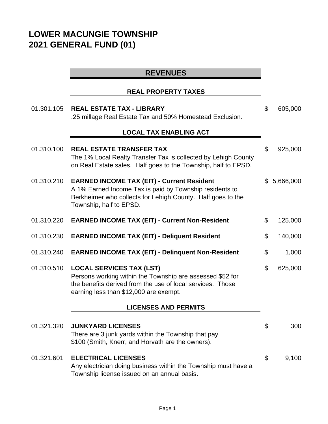# **LOWER MACUNGIE TOWNSHIP 2021 GENERAL FUND (01)**

# **REVENUES**

## **REAL PROPERTY TAXES**

| 01.301.105 | <b>REAL ESTATE TAX - LIBRARY</b><br>.25 millage Real Estate Tax and 50% Homestead Exclusion.                                                                                                           | \$             | 605,000   |
|------------|--------------------------------------------------------------------------------------------------------------------------------------------------------------------------------------------------------|----------------|-----------|
|            | <b>LOCAL TAX ENABLING ACT</b>                                                                                                                                                                          |                |           |
| 01.310.100 | <b>REAL ESTATE TRANSFER TAX</b><br>The 1% Local Realty Transfer Tax is collected by Lehigh County<br>on Real Estate sales. Half goes to the Township, half to EPSD.                                    | \$             | 925,000   |
| 01.310.210 | <b>EARNED INCOME TAX (EIT) - Current Resident</b><br>A 1% Earned Income Tax is paid by Township residents to<br>Berkheimer who collects for Lehigh County. Half goes to the<br>Township, half to EPSD. | $\mathbb{S}$   | 5,666,000 |
| 01.310.220 | <b>EARNED INCOME TAX (EIT) - Current Non-Resident</b>                                                                                                                                                  | \$             | 125,000   |
| 01.310.230 | <b>EARNED INCOME TAX (EIT) - Deliquent Resident</b>                                                                                                                                                    | \$             | 140,000   |
| 01.310.240 | <b>EARNED INCOME TAX (EIT) - Delinquent Non-Resident</b>                                                                                                                                               | \$             | 1,000     |
| 01.310.510 | <b>LOCAL SERVICES TAX (LST)</b><br>Persons working within the Township are assessed \$52 for<br>the benefits derived from the use of local services. Those<br>earning less than \$12,000 are exempt.   | \$             | 625,000   |
|            | <b>LICENSES AND PERMITS</b>                                                                                                                                                                            |                |           |
| 01.321.320 | <b>JUNKYARD LICENSES</b><br>There are 3 junk yards within the Township that pay<br>\$100 (Smith, Knerr, and Horvath are the owners).                                                                   | \$             | 300       |
| 01.321.601 | <b>ELECTRICAL LICENSES</b><br>Any electrician doing business within the Township must have a<br>Township license issued on an annual basis.                                                            | $\mathfrak{S}$ | 9,100     |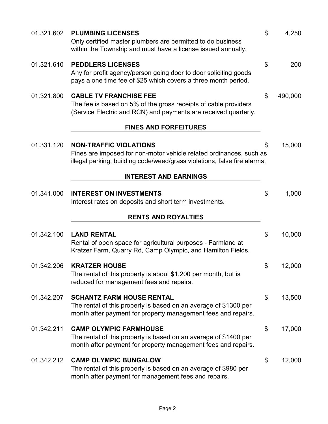| 01.321.602 | <b>PLUMBING LICENSES</b><br>Only certified master plumbers are permitted to do business<br>within the Township and must have a license issued annually.                          | \$<br>4,250   |
|------------|----------------------------------------------------------------------------------------------------------------------------------------------------------------------------------|---------------|
| 01.321.610 | <b>PEDDLERS LICENSES</b><br>Any for profit agency/person going door to door soliciting goods<br>pays a one time fee of \$25 which covers a three month period.                   | \$<br>200     |
| 01.321.800 | <b>CABLE TV FRANCHISE FEE</b><br>The fee is based on 5% of the gross receipts of cable providers<br>(Service Electric and RCN) and payments are received quarterly.              | \$<br>490,000 |
|            | <b>FINES AND FORFEITURES</b>                                                                                                                                                     |               |
| 01.331.120 | <b>NON-TRAFFIC VIOLATIONS</b><br>Fines are imposed for non-motor vehicle related ordinances, such as<br>illegal parking, building code/weed/grass violations, false fire alarms. | \$<br>15,000  |
|            | <b>INTEREST AND EARNINGS</b>                                                                                                                                                     |               |
| 01.341.000 | <b>INTEREST ON INVESTMENTS</b><br>Interest rates on deposits and short term investments.                                                                                         | \$<br>1,000   |
|            | <b>RENTS AND ROYALTIES</b>                                                                                                                                                       |               |
| 01.342.100 | <b>LAND RENTAL</b><br>Rental of open space for agricultural purposes - Farmland at<br>Kratzer Farm, Quarry Rd, Camp Olympic, and Hamilton Fields.                                | \$<br>10,000  |
| 01.342.206 | <b>KRATZER HOUSE</b><br>The rental of this property is about \$1,200 per month, but is<br>reduced for management fees and repairs.                                               | \$<br>12,000  |
| 01.342.207 | <b>SCHANTZ FARM HOUSE RENTAL</b><br>The rental of this property is based on an average of \$1300 per<br>month after payment for property management fees and repairs.            | \$<br>13,500  |
| 01.342.211 | <b>CAMP OLYMPIC FARMHOUSE</b><br>The rental of this property is based on an average of \$1400 per<br>month after payment for property management fees and repairs.               | \$<br>17,000  |
| 01.342.212 | <b>CAMP OLYMPIC BUNGALOW</b><br>The rental of this property is based on an average of \$980 per<br>month after payment for management fees and repairs.                          | \$<br>12,000  |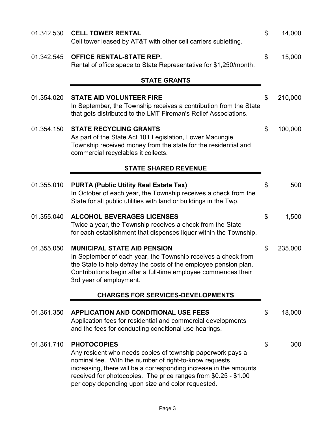| 01.342.530 | <b>CELL TOWER RENTAL</b><br>Cell tower leased by AT&T with other cell carriers subletting.                                                                                                                                                                                                                                              | \$<br>14,000  |
|------------|-----------------------------------------------------------------------------------------------------------------------------------------------------------------------------------------------------------------------------------------------------------------------------------------------------------------------------------------|---------------|
| 01.342.545 | <b>OFFICE RENTAL-STATE REP.</b><br>Rental of office space to State Representative for \$1,250/month.                                                                                                                                                                                                                                    | \$<br>15,000  |
|            | <b>STATE GRANTS</b>                                                                                                                                                                                                                                                                                                                     |               |
| 01.354.020 | <b>STATE AID VOLUNTEER FIRE</b><br>In September, the Township receives a contribution from the State<br>that gets distributed to the LMT Fireman's Relief Associations.                                                                                                                                                                 | \$<br>210,000 |
| 01.354.150 | <b>STATE RECYCLING GRANTS</b><br>As part of the State Act 101 Legislation, Lower Macungie<br>Township received money from the state for the residential and<br>commercial recyclables it collects.                                                                                                                                      | \$<br>100,000 |
|            | <b>STATE SHARED REVENUE</b>                                                                                                                                                                                                                                                                                                             |               |
| 01.355.010 | <b>PURTA (Public Utility Real Estate Tax)</b><br>In October of each year, the Township receives a check from the<br>State for all public utilities with land or buildings in the Twp.                                                                                                                                                   | \$<br>500     |
| 01.355.040 | <b>ALCOHOL BEVERAGES LICENSES</b><br>Twice a year, the Township receives a check from the State<br>for each establishment that dispenses liquor within the Township.                                                                                                                                                                    | \$<br>1,500   |
| 01.355.050 | <b>MUNICIPAL STATE AID PENSION</b><br>In September of each year, the Township receives a check from<br>the State to help defray the costs of the employee pension plan.<br>Contributions begin after a full-time employee commences their<br>3rd year of employment.                                                                    | \$<br>235,000 |
|            | <b>CHARGES FOR SERVICES-DEVELOPMENTS</b>                                                                                                                                                                                                                                                                                                |               |
| 01.361.350 | <b>APPLICATION AND CONDITIONAL USE FEES</b><br>Application fees for residential and commercial developments<br>and the fees for conducting conditional use hearings.                                                                                                                                                                    | \$<br>18,000  |
| 01.361.710 | <b>PHOTOCOPIES</b><br>Any resident who needs copies of township paperwork pays a<br>nominal fee. With the number of right-to-know requests<br>increasing, there will be a corresponding increase in the amounts<br>received for photocopies. The price ranges from \$0.25 - \$1.00<br>per copy depending upon size and color requested. | \$<br>300     |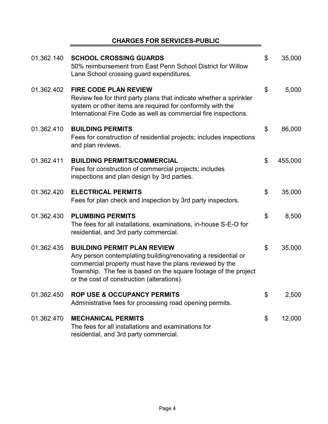# **CHARGES FOR SERVICES-PUBLIC**

 $\blacksquare$ 

| 01.362.140 | <b>SCHOOL CROSSING GUARDS</b><br>50% reimbursement from East Penn School District for Willow<br>Lane School crossing guard expenditures.                                                                                                                                        | \$<br>35,000  |
|------------|---------------------------------------------------------------------------------------------------------------------------------------------------------------------------------------------------------------------------------------------------------------------------------|---------------|
| 01.362.402 | <b>FIRE CODE PLAN REVIEW</b><br>Review fee for third party plans that indicate whether a sprinkler<br>system or other items are required for conformity with the<br>International Fire Code as well as commercial fire inspections.                                             | \$<br>5,000   |
| 01.362.410 | <b>BUILDING PERMITS</b><br>Fees for construction of residential projects; includes inspections<br>and plan reviews.                                                                                                                                                             | \$<br>86,000  |
| 01.362.411 | <b>BUILDING PERMITS/COMMERCIAL</b><br>Fees for construction of commercial projects; includes<br>inspections and plan design by 3rd parties.                                                                                                                                     | \$<br>455,000 |
| 01.362.420 | <b>ELECTRICAL PERMITS</b><br>Fees for plan check and inspection by 3rd party inspectors.                                                                                                                                                                                        | \$<br>35,000  |
| 01.362.430 | <b>PLUMBING PERMITS</b><br>The fees for all installations, examinations, in-house S-E-O for<br>residential, and 3rd party commercial.                                                                                                                                           | \$<br>8,500   |
| 01.362.435 | <b>BUILDING PERMIT PLAN REVIEW</b><br>Any person contemplating building/renovating a residential or<br>commercial property must have the plans reviewed by the<br>Township. The fee is based on the square footage of the project<br>or the cost of construction (alterations). | \$<br>35,000  |
| 01.362.450 | <b>ROP USE &amp; OCCUPANCY PERMITS</b><br>Administrative fees for processing road opening permits.                                                                                                                                                                              | \$<br>2,500   |
| 01.362.470 | <b>MECHANICAL PERMITS</b><br>The fees for all installations and examinations for<br>residential, and 3rd party commercial.                                                                                                                                                      | \$<br>12,000  |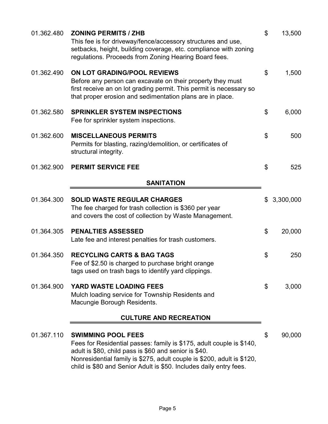| 01.362.480 | <b>ZONING PERMITS / ZHB</b><br>This fee is for driveway/fence/accessory structures and use,<br>setbacks, height, building coverage, etc. compliance with zoning<br>regulations. Proceeds from Zoning Hearing Board fees.                                                                                   | \$<br>13,500    |
|------------|------------------------------------------------------------------------------------------------------------------------------------------------------------------------------------------------------------------------------------------------------------------------------------------------------------|-----------------|
| 01.362.490 | ON LOT GRADING/POOL REVIEWS<br>Before any person can excavate on their property they must<br>first receive an on lot grading permit. This permit is necessary so<br>that proper erosion and sedimentation plans are in place.                                                                              | \$<br>1,500     |
| 01.362.580 | <b>SPRINKLER SYSTEM INSPECTIONS</b><br>Fee for sprinkler system inspections.                                                                                                                                                                                                                               | \$<br>6,000     |
| 01.362.600 | <b>MISCELLANEOUS PERMITS</b><br>Permits for blasting, razing/demolition, or certificates of<br>structural integrity.                                                                                                                                                                                       | \$<br>500       |
| 01.362.900 | <b>PERMIT SERVICE FEE</b>                                                                                                                                                                                                                                                                                  | \$<br>525       |
|            | <b>SANITATION</b>                                                                                                                                                                                                                                                                                          |                 |
| 01.364.300 | <b>SOLID WASTE REGULAR CHARGES</b><br>The fee charged for trash collection is \$360 per year<br>and covers the cost of collection by Waste Management.                                                                                                                                                     | \$<br>3,300,000 |
| 01.364.305 | <b>PENALTIES ASSESSED</b><br>Late fee and interest penalties for trash customers.                                                                                                                                                                                                                          | \$<br>20,000    |
| 01.364.350 | <b>RECYCLING CARTS &amp; BAG TAGS</b><br>Fee of \$2.50 is charged to purchase bright orange<br>tags used on trash bags to identify yard clippings.                                                                                                                                                         | \$<br>250       |
| 01.364.900 | YARD WASTE LOADING FEES<br>Mulch loading service for Township Residents and<br>Macungie Borough Residents.                                                                                                                                                                                                 | \$<br>3,000     |
|            | <b>CULTURE AND RECREATION</b>                                                                                                                                                                                                                                                                              |                 |
| 01.367.110 | <b>SWIMMING POOL FEES</b><br>Fees for Residential passes: family is \$175, adult couple is \$140,<br>adult is \$80, child pass is \$60 and senior is \$40.<br>Nonresidential family is \$275, adult couple is \$200, adult is \$120,<br>child is \$80 and Senior Adult is \$50. Includes daily entry fees. | \$<br>90,000    |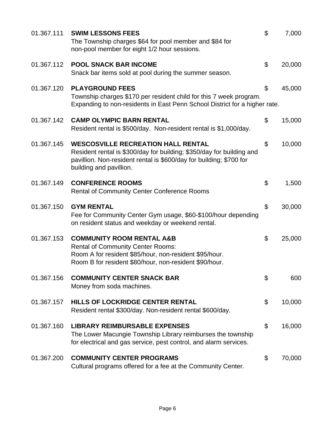| 01.367.111 | <b>SWIM LESSONS FEES</b><br>The Township charges \$64 for pool member and \$84 for<br>non-pool member for eight 1/2 hour sessions.                                                                                   | $\mathfrak{L}$ | 7,000  |
|------------|----------------------------------------------------------------------------------------------------------------------------------------------------------------------------------------------------------------------|----------------|--------|
| 01.367.112 | <b>POOL SNACK BAR INCOME</b><br>Snack bar items sold at pool during the summer season.                                                                                                                               | \$             | 20,000 |
| 01.367.120 | <b>PLAYGROUND FEES</b><br>Township charges \$170 per resident child for this 7 week program.<br>Expanding to non-residents in East Penn School District for a higher rate.                                           | \$             | 45,000 |
| 01.367.142 | <b>CAMP OLYMPIC BARN RENTAL</b><br>Resident rental is \$500/day. Non-resident rental is \$1,000/day.                                                                                                                 | \$             | 15,000 |
| 01.367.145 | <b>WESCOSVILLE RECREATION HALL RENTAL</b><br>Resident rental is \$300/day for building; \$350/day for building and<br>pavillion. Non-resident rental is \$600/day for building; \$700 for<br>building and pavillion. | \$             | 10,000 |
| 01.367.149 | <b>CONFERENCE ROOMS</b><br><b>Rental of Community Center Conference Rooms</b>                                                                                                                                        | \$             | 1,500  |
| 01.367.150 | <b>GYM RENTAL</b><br>Fee for Community Center Gym usage, \$60-\$100/hour depending<br>on resident status and weekday or weekend rental.                                                                              | \$             | 30,000 |
| 01.367.153 | <b>COMMUNITY ROOM RENTAL A&amp;B</b><br><b>Rental of Community Center Rooms:</b><br>Room A for resident \$85/hour, non-resident \$95/hour.<br>Room B for resident \$80/hour, non-resident \$90/hour.                 | \$             | 25,000 |
| 01.367.156 | <b>COMMUNITY CENTER SNACK BAR</b><br>Money from soda machines.                                                                                                                                                       | \$             | 600    |
| 01.367.157 | HILLS OF LOCKRIDGE CENTER RENTAL<br>Resident rental \$300/day. Non-resident rental \$600/day.                                                                                                                        | \$             | 10,000 |
| 01.367.160 | <b>LIBRARY REIMBURSABLE EXPENSES</b><br>The Lower Macungie Township Library reimburses the township<br>for electrical and gas service, pest control, and alarm services.                                             | \$             | 16,000 |
| 01.367.200 | <b>COMMUNITY CENTER PROGRAMS</b><br>Cultural programs offered for a fee at the Community Center.                                                                                                                     | \$             | 70,000 |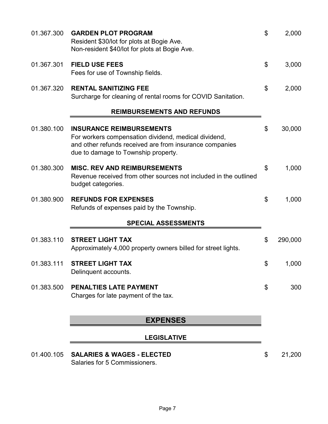| 01.367.300 | <b>GARDEN PLOT PROGRAM</b><br>Resident \$30/lot for plots at Bogie Ave.<br>Non-resident \$40/lot for plots at Bogie Ave.                                                                  | \$<br>2,000   |
|------------|-------------------------------------------------------------------------------------------------------------------------------------------------------------------------------------------|---------------|
| 01.367.301 | <b>FIELD USE FEES</b><br>Fees for use of Township fields.                                                                                                                                 | \$<br>3,000   |
| 01.367.320 | <b>RENTAL SANITIZING FEE</b><br>Surcharge for cleaning of rental rooms for COVID Sanitation.                                                                                              | \$<br>2,000   |
|            | <b>REIMBURSEMENTS AND REFUNDS</b>                                                                                                                                                         |               |
| 01.380.100 | <b>INSURANCE REIMBURSEMENTS</b><br>For workers compensation dividend, medical dividend,<br>and other refunds received are from insurance companies<br>due to damage to Township property. | \$<br>30,000  |
| 01.380.300 | <b>MISC. REV AND REIMBURSEMENTS</b><br>Revenue received from other sources not included in the outlined<br>budget categories.                                                             | \$<br>1,000   |
| 01.380.900 | <b>REFUNDS FOR EXPENSES</b><br>Refunds of expenses paid by the Township.                                                                                                                  | \$<br>1,000   |
|            | <b>SPECIAL ASSESSMENTS</b>                                                                                                                                                                |               |
| 01.383.110 | <b>STREET LIGHT TAX</b><br>Approximately 4,000 property owners billed for street lights.                                                                                                  | \$<br>290,000 |
| 01.383.111 | <b>STREET LIGHT TAX</b><br>Delinquent accounts.                                                                                                                                           | \$<br>1,000   |
| 01.383.500 | <b>PENALTIES LATE PAYMENT</b><br>Charges for late payment of the tax.                                                                                                                     | \$<br>300     |
|            | <b>EXPENSES</b>                                                                                                                                                                           |               |
|            | <b>LEGISLATIVE</b>                                                                                                                                                                        |               |
| 01.400.105 | <b>SALARIES &amp; WAGES - ELECTED</b><br>Salaries for 5 Commissioners.                                                                                                                    | \$<br>21,200  |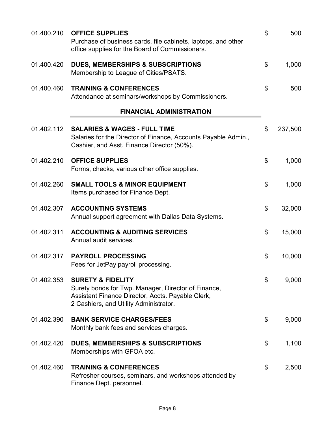| 01.400.210 | <b>OFFICE SUPPLIES</b><br>Purchase of business cards, file cabinets, laptops, and other<br>office supplies for the Board of Commissioners.                                         | \$<br>500     |
|------------|------------------------------------------------------------------------------------------------------------------------------------------------------------------------------------|---------------|
| 01.400.420 | DUES, MEMBERSHIPS & SUBSCRIPTIONS<br>Membership to League of Cities/PSATS.                                                                                                         | \$<br>1,000   |
| 01.400.460 | <b>TRAINING &amp; CONFERENCES</b><br>Attendance at seminars/workshops by Commissioners.                                                                                            | \$<br>500     |
|            | <b>FINANCIAL ADMINISTRATION</b>                                                                                                                                                    |               |
| 01.402.112 | <b>SALARIES &amp; WAGES - FULL TIME</b><br>Salaries for the Director of Finance, Accounts Payable Admin.,<br>Cashier, and Asst. Finance Director (50%).                            | \$<br>237,500 |
| 01.402.210 | <b>OFFICE SUPPLIES</b><br>Forms, checks, various other office supplies.                                                                                                            | \$<br>1,000   |
| 01.402.260 | <b>SMALL TOOLS &amp; MINOR EQUIPMENT</b><br>Items purchased for Finance Dept.                                                                                                      | \$<br>1,000   |
| 01.402.307 | <b>ACCOUNTING SYSTEMS</b><br>Annual support agreement with Dallas Data Systems.                                                                                                    | \$<br>32,000  |
| 01.402.311 | <b>ACCOUNTING &amp; AUDITING SERVICES</b><br>Annual audit services.                                                                                                                | \$<br>15,000  |
| 01.402.317 | <b>PAYROLL PROCESSING</b><br>Fees for JetPay payroll processing.                                                                                                                   | \$<br>10,000  |
| 01.402.353 | <b>SURETY &amp; FIDELITY</b><br>Surety bonds for Twp. Manager, Director of Finance,<br>Assistant Finance Director, Accts. Payable Clerk,<br>2 Cashiers, and Utility Administrator. | \$<br>9,000   |
| 01.402.390 | <b>BANK SERVICE CHARGES/FEES</b><br>Monthly bank fees and services charges.                                                                                                        | \$<br>9,000   |
| 01.402.420 | DUES, MEMBERSHIPS & SUBSCRIPTIONS<br>Memberships with GFOA etc.                                                                                                                    | \$<br>1,100   |
| 01.402.460 | <b>TRAINING &amp; CONFERENCES</b><br>Refresher courses, seminars, and workshops attended by<br>Finance Dept. personnel.                                                            | \$<br>2,500   |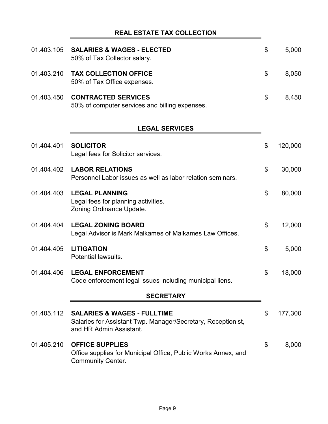# **REAL ESTATE TAX COLLECTION**

|            | 01.403.105 SALARIES & WAGES - ELECTED<br>50% of Tax Collector salary.        | \$. | 5,000 |
|------------|------------------------------------------------------------------------------|-----|-------|
|            | 01.403.210 TAX COLLECTION OFFICE<br>50% of Tax Office expenses.              | \$. | 8,050 |
| 01.403.450 | <b>CONTRACTED SERVICES</b><br>50% of computer services and billing expenses. | \$. | 8,450 |

# **LEGAL SERVICES**

| 01.404.401 | <b>SOLICITOR</b><br>Legal fees for Solicitor services.                                                                            | \$<br>120,000 |
|------------|-----------------------------------------------------------------------------------------------------------------------------------|---------------|
| 01.404.402 | <b>LABOR RELATIONS</b><br>Personnel Labor issues as well as labor relation seminars.                                              | \$<br>30,000  |
| 01.404.403 | <b>LEGAL PLANNING</b><br>Legal fees for planning activities.<br>Zoning Ordinance Update.                                          | \$<br>80,000  |
| 01.404.404 | <b>LEGAL ZONING BOARD</b><br>Legal Advisor is Mark Malkames of Malkames Law Offices.                                              | \$<br>12,000  |
| 01.404.405 | <b>LITIGATION</b><br>Potential lawsuits.                                                                                          | \$<br>5,000   |
| 01.404.406 | <b>LEGAL ENFORCEMENT</b><br>Code enforcement legal issues including municipal liens.                                              | \$<br>18,000  |
|            | <b>SECRETARY</b>                                                                                                                  |               |
| 01.405.112 | <b>SALARIES &amp; WAGES - FULLTIME</b><br>Salaries for Assistant Twp. Manager/Secretary, Receptionist,<br>and HR Admin Assistant. | \$<br>177,300 |
| 01.405.210 | <b>OFFICE SUPPLIES</b><br>Office supplies for Municipal Office, Public Works Annex, and<br><b>Community Center.</b>               | \$<br>8,000   |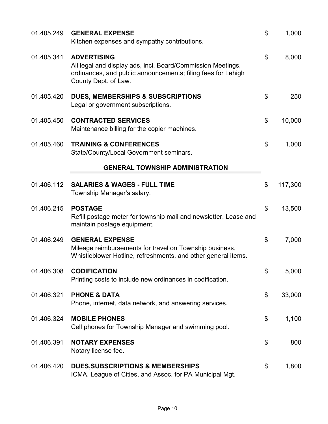| 01.405.249 | <b>GENERAL EXPENSE</b><br>Kitchen expenses and sympathy contributions.                                                                                                    | \$<br>1,000   |
|------------|---------------------------------------------------------------------------------------------------------------------------------------------------------------------------|---------------|
| 01.405.341 | <b>ADVERTISING</b><br>All legal and display ads, incl. Board/Commission Meetings,<br>ordinances, and public announcements; filing fees for Lehigh<br>County Dept. of Law. | \$<br>8,000   |
| 01.405.420 | <b>DUES, MEMBERSHIPS &amp; SUBSCRIPTIONS</b><br>Legal or government subscriptions.                                                                                        | \$<br>250     |
| 01.405.450 | <b>CONTRACTED SERVICES</b><br>Maintenance billing for the copier machines.                                                                                                | \$<br>10,000  |
| 01.405.460 | <b>TRAINING &amp; CONFERENCES</b><br>State/County/Local Government seminars.                                                                                              | \$<br>1,000   |
|            | <b>GENERAL TOWNSHIP ADMINISTRATION</b>                                                                                                                                    |               |
| 01.406.112 | <b>SALARIES &amp; WAGES - FULL TIME</b><br>Township Manager's salary.                                                                                                     | \$<br>117,300 |
| 01.406.215 | <b>POSTAGE</b><br>Refill postage meter for township mail and newsletter. Lease and<br>maintain postage equipment.                                                         | \$<br>13,500  |
| 01.406.249 | <b>GENERAL EXPENSE</b><br>Mileage reimbursements for travel on Township business,<br>Whistleblower Hotline, refreshments, and other general items.                        | \$<br>7,000   |
| 01.406.308 | <b>CODIFICATION</b><br>Printing costs to include new ordinances in codification.                                                                                          | \$<br>5,000   |
| 01.406.321 | <b>PHONE &amp; DATA</b><br>Phone, internet, data network, and answering services.                                                                                         | \$<br>33,000  |
| 01.406.324 | <b>MOBILE PHONES</b><br>Cell phones for Township Manager and swimming pool.                                                                                               | \$<br>1,100   |
| 01.406.391 | <b>NOTARY EXPENSES</b><br>Notary license fee.                                                                                                                             | \$<br>800     |
| 01.406.420 | <b>DUES, SUBSCRIPTIONS &amp; MEMBERSHIPS</b><br>ICMA, League of Cities, and Assoc. for PA Municipal Mgt.                                                                  | \$<br>1,800   |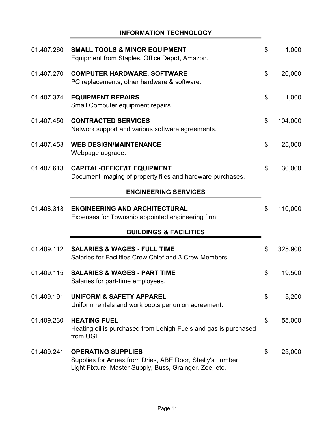# **INFORMATION TECHNOLOGY**

| 01.407.260 | <b>SMALL TOOLS &amp; MINOR EQUIPMENT</b><br>Equipment from Staples, Office Depot, Amazon.                                                         | \$<br>1,000   |
|------------|---------------------------------------------------------------------------------------------------------------------------------------------------|---------------|
| 01.407.270 | <b>COMPUTER HARDWARE, SOFTWARE</b><br>PC replacements, other hardware & software.                                                                 | \$<br>20,000  |
| 01.407.374 | <b>EQUIPMENT REPAIRS</b><br>Small Computer equipment repairs.                                                                                     | \$<br>1,000   |
| 01.407.450 | <b>CONTRACTED SERVICES</b><br>Network support and various software agreements.                                                                    | \$<br>104,000 |
| 01.407.453 | <b>WEB DESIGN/MAINTENANCE</b><br>Webpage upgrade.                                                                                                 | \$<br>25,000  |
| 01.407.613 | <b>CAPITAL-OFFICE/IT EQUIPMENT</b><br>Document imaging of property files and hardware purchases.                                                  | \$<br>30,000  |
|            | <b>ENGINEERING SERVICES</b>                                                                                                                       |               |
| 01.408.313 | <b>ENGINEERING AND ARCHITECTURAL</b><br>Expenses for Township appointed engineering firm.                                                         | \$<br>110,000 |
|            | <b>BUILDINGS &amp; FACILITIES</b>                                                                                                                 |               |
| 01.409.112 | <b>SALARIES &amp; WAGES - FULL TIME</b><br>Salaries for Facilities Crew Chief and 3 Crew Members.                                                 | \$<br>325,900 |
| 01.409.115 | <b>SALARIES &amp; WAGES - PART TIME</b><br>Salaries for part-time employees                                                                       | \$<br>19,500  |
| 01.409.191 | <b>UNIFORM &amp; SAFETY APPAREL</b><br>Uniform rentals and work boots per union agreement.                                                        | \$<br>5,200   |
| 01.409.230 | <b>HEATING FUEL</b><br>Heating oil is purchased from Lehigh Fuels and gas is purchased<br>from UGI.                                               | \$<br>55,000  |
| 01.409.241 | <b>OPERATING SUPPLIES</b><br>Supplies for Annex from Dries, ABE Door, Shelly's Lumber,<br>Light Fixture, Master Supply, Buss, Grainger, Zee, etc. | \$<br>25,000  |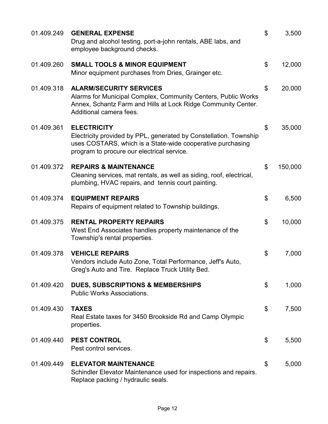| 01.409.249 | <b>GENERAL EXPENSE</b><br>Drug and alcohol testing, port-a-john rentals, ABE labs, and<br>employee background checks.                                                                               | \$<br>3,500   |
|------------|-----------------------------------------------------------------------------------------------------------------------------------------------------------------------------------------------------|---------------|
| 01.409.260 | <b>SMALL TOOLS &amp; MINOR EQUIPMENT</b><br>Minor equipment purchases from Dries, Grainger etc.                                                                                                     | \$<br>12,000  |
| 01.409.318 | <b>ALARM/SECURITY SERVICES</b><br>Alarms for Municipal Complex, Community Centers, Public Works<br>Annex, Schantz Farm and Hills at Lock Ridge Community Center.<br>Additional camera fees.         | \$<br>20,000  |
| 01.409.361 | <b>ELECTRICITY</b><br>Electricity provided by PPL, generated by Constellation. Township<br>uses COSTARS, which is a State-wide cooperative purchasing<br>program to procure our electrical service. | \$<br>35,000  |
| 01.409.372 | <b>REPAIRS &amp; MAINTENANCE</b><br>Cleaning services, mat rentals, as well as siding, roof, electrical,<br>plumbing, HVAC repairs, and tennis court painting.                                      | \$<br>150,000 |
| 01.409.374 | <b>EQUIPMENT REPAIRS</b><br>Repairs of equipment related to Township buildings.                                                                                                                     | \$<br>6,500   |
| 01.409.375 | <b>RENTAL PROPERTY REPAIRS</b><br>West End Associates handles property maintenance of the<br>Township's rental properties.                                                                          | \$<br>10,000  |
| 01.409.378 | <b>VEHICLE REPAIRS</b><br>Vendors include Auto Zone, Total Performance, Jeff's Auto,<br>Greg's Auto and Tire. Replace Truck Utility Bed.                                                            | \$<br>7,000   |
| 01.409.420 | <b>DUES, SUBSCRIPTIONS &amp; MEMBERSHIPS</b><br><b>Public Works Associations.</b>                                                                                                                   | \$<br>1,000   |
| 01.409.430 | <b>TAXES</b><br>Real Estate taxes for 3450 Brookside Rd and Camp Olympic<br>properties.                                                                                                             | \$<br>7,500   |
| 01.409.440 | <b>PEST CONTROL</b><br>Pest control services.                                                                                                                                                       | \$<br>5,500   |
| 01.409.449 | <b>ELEVATOR MAINTENANCE</b><br>Schindler Elevator Maintenance used for inspections and repairs.<br>Replace packing / hydraulic seals.                                                               | \$<br>5,000   |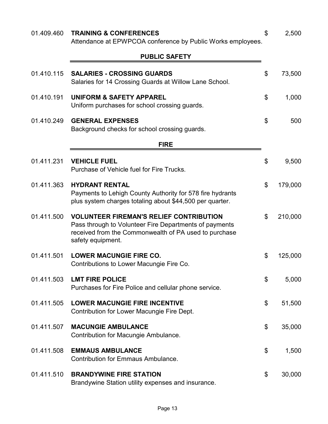| 01.409.460 | <b>TRAINING &amp; CONFERENCES</b><br>Attendance at EPWPCOA conference by Public Works employees.                                                                                       | \$<br>2,500   |
|------------|----------------------------------------------------------------------------------------------------------------------------------------------------------------------------------------|---------------|
|            | <b>PUBLIC SAFETY</b>                                                                                                                                                                   |               |
| 01.410.115 | <b>SALARIES - CROSSING GUARDS</b><br>Salaries for 14 Crossing Guards at Willow Lane School.                                                                                            | \$<br>73,500  |
| 01.410.191 | <b>UNIFORM &amp; SAFETY APPAREL</b><br>Uniform purchases for school crossing guards.                                                                                                   | \$<br>1,000   |
| 01.410.249 | <b>GENERAL EXPENSES</b><br>Background checks for school crossing guards.                                                                                                               | \$<br>500     |
|            | <b>FIRE</b>                                                                                                                                                                            |               |
| 01.411.231 | <b>VEHICLE FUEL</b><br>Purchase of Vehicle fuel for Fire Trucks.                                                                                                                       | \$<br>9,500   |
| 01.411.363 | <b>HYDRANT RENTAL</b><br>Payments to Lehigh County Authority for 578 fire hydrants<br>plus system charges totaling about \$44,500 per quarter.                                         | \$<br>179,000 |
| 01.411.500 | <b>VOLUNTEER FIREMAN'S RELIEF CONTRIBUTION</b><br>Pass through to Volunteer Fire Departments of payments<br>received from the Commonwealth of PA used to purchase<br>safety equipment. | \$<br>210,000 |
| 01.411.501 | <b>LOWER MACUNGIE FIRE CO.</b><br>Contributions to Lower Macungie Fire Co.                                                                                                             | \$<br>125,000 |
| 01.411.503 | <b>LMT FIRE POLICE</b><br>Purchases for Fire Police and cellular phone service.                                                                                                        | \$<br>5,000   |
| 01.411.505 | <b>LOWER MACUNGIE FIRE INCENTIVE</b><br>Contribution for Lower Macungie Fire Dept.                                                                                                     | \$<br>51,500  |
| 01.411.507 | <b>MACUNGIE AMBULANCE</b><br>Contribution for Macungie Ambulance.                                                                                                                      | \$<br>35,000  |
| 01.411.508 | <b>EMMAUS AMBULANCE</b><br><b>Contribution for Emmaus Ambulance.</b>                                                                                                                   | \$<br>1,500   |
| 01.411.510 | <b>BRANDYWINE FIRE STATION</b><br>Brandywine Station utility expenses and insurance.                                                                                                   | \$<br>30,000  |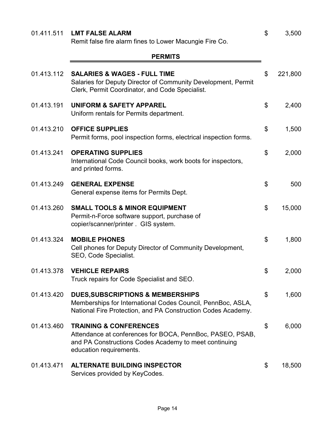|            | Remit false fire alarm fines to Lower Macungie Fire Co.                                                                                                                            |               |
|------------|------------------------------------------------------------------------------------------------------------------------------------------------------------------------------------|---------------|
|            | <b>PERMITS</b>                                                                                                                                                                     |               |
| 01.413.112 | <b>SALARIES &amp; WAGES - FULL TIME</b><br>Salaries for Deputy Director of Community Development, Permit<br>Clerk, Permit Coordinator, and Code Specialist.                        | \$<br>221,800 |
| 01.413.191 | <b>UNIFORM &amp; SAFETY APPAREL</b><br>Uniform rentals for Permits department.                                                                                                     | \$<br>2,400   |
| 01.413.210 | <b>OFFICE SUPPLIES</b><br>Permit forms, pool inspection forms, electrical inspection forms.                                                                                        | \$<br>1,500   |
| 01.413.241 | <b>OPERATING SUPPLIES</b><br>International Code Council books, work boots for inspectors,<br>and printed forms.                                                                    | \$<br>2,000   |
| 01.413.249 | <b>GENERAL EXPENSE</b><br>General expense items for Permits Dept.                                                                                                                  | \$<br>500     |
| 01.413.260 | <b>SMALL TOOLS &amp; MINOR EQUIPMENT</b><br>Permit-n-Force software support, purchase of<br>copier/scanner/printer . GIS system.                                                   | \$<br>15,000  |
| 01.413.324 | <b>MOBILE PHONES</b><br>Cell phones for Deputy Director of Community Development,<br>SEO, Code Specialist.                                                                         | \$<br>1,800   |
| 01.413.378 | <b>VEHICLE REPAIRS</b><br>Truck repairs for Code Specialist and SEO.                                                                                                               | \$<br>2,000   |
| 01.413.420 | <b>DUES, SUBSCRIPTIONS &amp; MEMBERSHIPS</b><br>Memberships for International Codes Council, PennBoc, ASLA,<br>National Fire Protection, and PA Construction Codes Academy.        | \$<br>1,600   |
| 01.413.460 | <b>TRAINING &amp; CONFERENCES</b><br>Attendance at conferences for BOCA, PennBoc, PASEO, PSAB,<br>and PA Constructions Codes Academy to meet continuing<br>education requirements. | \$<br>6,000   |
| 01.413.471 | <b>ALTERNATE BUILDING INSPECTOR</b><br>Services provided by KeyCodes.                                                                                                              | \$<br>18,500  |

01.411.511 **LMT FALSE ALARM**  $$3,500$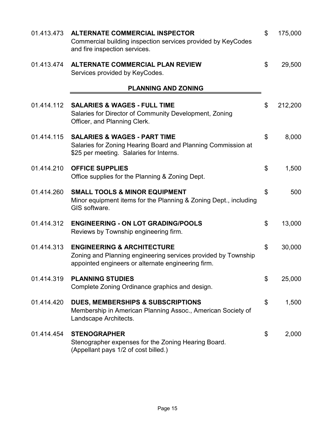| 01.413.473 | <b>ALTERNATE COMMERCIAL INSPECTOR</b><br>Commercial building inspection services provided by KeyCodes<br>and fire inspection services.                       | \$                        | 175,000 |
|------------|--------------------------------------------------------------------------------------------------------------------------------------------------------------|---------------------------|---------|
| 01.413.474 | <b>ALTERNATE COMMERCIAL PLAN REVIEW</b><br>Services provided by KeyCodes.                                                                                    | \$                        | 29,500  |
|            | <b>PLANNING AND ZONING</b>                                                                                                                                   |                           |         |
| 01.414.112 | <b>SALARIES &amp; WAGES - FULL TIME</b><br>Salaries for Director of Community Development, Zoning<br>Officer, and Planning Clerk.                            | \$                        | 212,200 |
| 01.414.115 | <b>SALARIES &amp; WAGES - PART TIME</b><br>Salaries for Zoning Hearing Board and Planning Commission at<br>\$25 per meeting. Salaries for Interns.           | \$                        | 8,000   |
| 01.414.210 | <b>OFFICE SUPPLIES</b><br>Office supplies for the Planning & Zoning Dept.                                                                                    | \$                        | 1,500   |
| 01.414.260 | <b>SMALL TOOLS &amp; MINOR EQUIPMENT</b><br>Minor equipment items for the Planning & Zoning Dept., including<br>GIS software.                                | \$                        | 500     |
| 01.414.312 | <b>ENGINEERING - ON LOT GRADING/POOLS</b><br>Reviews by Township engineering firm.                                                                           | \$                        | 13,000  |
| 01.414.313 | <b>ENGINEERING &amp; ARCHITECTURE</b><br>Zoning and Planning engineering services provided by Township<br>appointed engineers or alternate engineering firm. | $\boldsymbol{\mathsf{S}}$ | 30,000  |
| 01.414.319 | <b>PLANNING STUDIES</b><br>Complete Zoning Ordinance graphics and design.                                                                                    | \$                        | 25,000  |
| 01.414.420 | <b>DUES, MEMBERSHIPS &amp; SUBSCRIPTIONS</b><br>Membership in American Planning Assoc., American Society of<br>Landscape Architects.                         | \$                        | 1,500   |
| 01.414.454 | <b>STENOGRAPHER</b><br>Stenographer expenses for the Zoning Hearing Board.<br>(Appellant pays 1/2 of cost billed.)                                           | \$                        | 2,000   |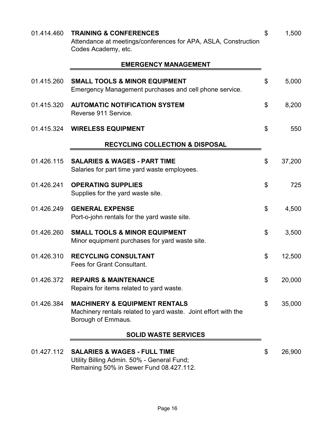| 01.414.460 | <b>TRAINING &amp; CONFERENCES</b><br>Attendance at meetings/conferences for APA, ASLA, Construction<br>Codes Academy, etc.       | \$<br>1,500  |
|------------|----------------------------------------------------------------------------------------------------------------------------------|--------------|
|            | <b>EMERGENCY MANAGEMENT</b>                                                                                                      |              |
| 01.415.260 | <b>SMALL TOOLS &amp; MINOR EQUIPMENT</b><br>Emergency Management purchases and cell phone service.                               | \$<br>5,000  |
| 01.415.320 | <b>AUTOMATIC NOTIFICATION SYSTEM</b><br>Reverse 911 Service.                                                                     | \$<br>8,200  |
| 01.415.324 | <b>WIRELESS EQUIPMENT</b>                                                                                                        | \$<br>550    |
|            | <b>RECYCLING COLLECTION &amp; DISPOSAL</b>                                                                                       |              |
| 01.426.115 | <b>SALARIES &amp; WAGES - PART TIME</b><br>Salaries for part time yard waste employees.                                          | \$<br>37,200 |
| 01.426.241 | <b>OPERATING SUPPLIES</b><br>Supplies for the yard waste site.                                                                   | \$<br>725    |
| 01.426.249 | <b>GENERAL EXPENSE</b><br>Port-o-john rentals for the yard waste site.                                                           | \$<br>4,500  |
| 01.426.260 | <b>SMALL TOOLS &amp; MINOR EQUIPMENT</b><br>Minor equipment purchases for yard waste site.                                       | \$<br>3,500  |
| 01.426.310 | <b>RECYCLING CONSULTANT</b><br>Fees for Grant Consultant.                                                                        | \$<br>12,500 |
| 01.426.372 | <b>REPAIRS &amp; MAINTENANCE</b><br>Repairs for items related to yard waste.                                                     | \$<br>20,000 |
| 01.426.384 | <b>MACHINERY &amp; EQUIPMENT RENTALS</b><br>Machinery rentals related to yard waste. Joint effort with the<br>Borough of Emmaus. | \$<br>35,000 |
|            | <b>SOLID WASTE SERVICES</b>                                                                                                      |              |
| 01.427.112 | <b>SALARIES &amp; WAGES - FULL TIME</b><br>Utility Billing Admin. 50% - General Fund;<br>Remaining 50% in Sewer Fund 08.427.112. | \$<br>26,900 |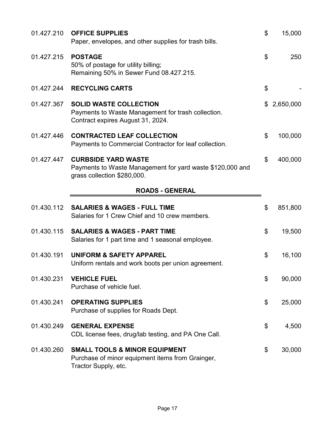| 01.427.210 | <b>OFFICE SUPPLIES</b><br>Paper, envelopes, and other supplies for trash bills.                                          | \$<br>15,000    |
|------------|--------------------------------------------------------------------------------------------------------------------------|-----------------|
| 01.427.215 | <b>POSTAGE</b><br>50% of postage for utility billing;<br>Remaining 50% in Sewer Fund 08.427.215.                         | \$<br>250       |
| 01.427.244 | <b>RECYCLING CARTS</b>                                                                                                   | \$              |
| 01.427.367 | <b>SOLID WASTE COLLECTION</b><br>Payments to Waste Management for trash collection.<br>Contract expires August 31, 2024. | \$<br>2,650,000 |
| 01.427.446 | <b>CONTRACTED LEAF COLLECTION</b><br>Payments to Commercial Contractor for leaf collection.                              | \$<br>100,000   |
| 01.427.447 | <b>CURBSIDE YARD WASTE</b><br>Payments to Waste Management for yard waste \$120,000 and<br>grass collection \$280,000.   | \$<br>400,000   |
|            | <b>ROADS - GENERAL</b>                                                                                                   |                 |
| 01.430.112 | <b>SALARIES &amp; WAGES - FULL TIME</b><br>Salaries for 1 Crew Chief and 10 crew members.                                | \$<br>851,800   |
| 01.430.115 | <b>SALARIES &amp; WAGES - PART TIME</b><br>Salaries for 1 part time and 1 seasonal employee.                             | \$<br>19,500    |
| 01.430.191 | <b>UNIFORM &amp; SAFETY APPAREL</b><br>Uniform rentals and work boots per union agreement.                               | \$<br>16,100    |
| 01.430.231 | <b>VEHICLE FUEL</b><br>Purchase of vehicle fuel.                                                                         | \$<br>90,000    |
| 01.430.241 | <b>OPERATING SUPPLIES</b><br>Purchase of supplies for Roads Dept.                                                        | \$<br>25,000    |
| 01.430.249 | <b>GENERAL EXPENSE</b><br>CDL license fees, drug/lab testing, and PA One Call.                                           | \$<br>4,500     |
| 01.430.260 | <b>SMALL TOOLS &amp; MINOR EQUIPMENT</b><br>Purchase of minor equipment items from Grainger,<br>Tractor Supply, etc.     | \$<br>30,000    |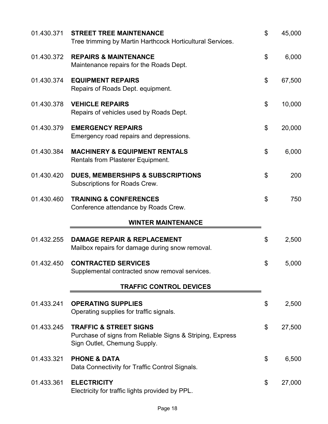| 01.430.371 | <b>STREET TREE MAINTENANCE</b><br>Tree trimming by Martin Harthcock Horticultural Services.                                    | \$<br>45,000 |
|------------|--------------------------------------------------------------------------------------------------------------------------------|--------------|
| 01.430.372 | <b>REPAIRS &amp; MAINTENANCE</b><br>Maintenance repairs for the Roads Dept.                                                    | \$<br>6,000  |
| 01.430.374 | <b>EQUIPMENT REPAIRS</b><br>Repairs of Roads Dept. equipment.                                                                  | \$<br>67,500 |
| 01.430.378 | <b>VEHICLE REPAIRS</b><br>Repairs of vehicles used by Roads Dept.                                                              | \$<br>10,000 |
| 01.430.379 | <b>EMERGENCY REPAIRS</b><br>Emergency road repairs and depressions.                                                            | \$<br>20,000 |
| 01.430.384 | <b>MACHINERY &amp; EQUIPMENT RENTALS</b><br><b>Rentals from Plasterer Equipment.</b>                                           | \$<br>6,000  |
| 01.430.420 | <b>DUES, MEMBERSHIPS &amp; SUBSCRIPTIONS</b><br>Subscriptions for Roads Crew.                                                  | \$<br>200    |
| 01.430.460 | <b>TRAINING &amp; CONFERENCES</b><br>Conference attendance by Roads Crew.                                                      | \$<br>750    |
|            | <b>WINTER MAINTENANCE</b>                                                                                                      |              |
|            |                                                                                                                                |              |
| 01.432.255 | <b>DAMAGE REPAIR &amp; REPLACEMENT</b><br>Mailbox repairs for damage during snow removal.                                      | \$<br>2,500  |
| 01.432.450 | <b>CONTRACTED SERVICES</b><br>Supplemental contracted snow removal services.                                                   | \$<br>5,000  |
|            | <b>TRAFFIC CONTROL DEVICES</b>                                                                                                 |              |
| 01.433.241 | <b>OPERATING SUPPLIES</b><br>Operating supplies for traffic signals.                                                           | \$<br>2,500  |
| 01.433.245 | <b>TRAFFIC &amp; STREET SIGNS</b><br>Purchase of signs from Reliable Signs & Striping, Express<br>Sign Outlet, Chemung Supply. | \$<br>27,500 |
| 01.433.321 | <b>PHONE &amp; DATA</b><br>Data Connectivity for Traffic Control Signals.                                                      | \$<br>6,500  |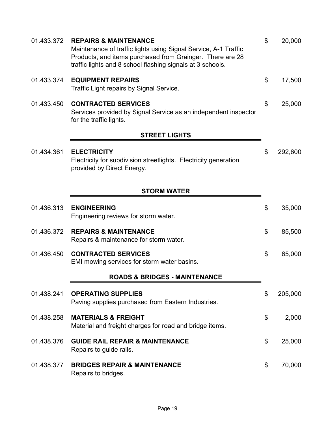| 01.433.372 | <b>REPAIRS &amp; MAINTENANCE</b><br>Maintenance of traffic lights using Signal Service, A-1 Traffic<br>Products, and items purchased from Grainger. There are 28<br>traffic lights and 8 school flashing signals at 3 schools. | \$<br>20,000  |
|------------|--------------------------------------------------------------------------------------------------------------------------------------------------------------------------------------------------------------------------------|---------------|
| 01.433.374 | <b>EQUIPMENT REPAIRS</b><br>Traffic Light repairs by Signal Service.                                                                                                                                                           | \$<br>17,500  |
| 01.433.450 | <b>CONTRACTED SERVICES</b><br>Services provided by Signal Service as an independent inspector<br>for the traffic lights.                                                                                                       | \$<br>25,000  |
|            | <b>STREET LIGHTS</b>                                                                                                                                                                                                           |               |
| 01.434.361 | <b>ELECTRICITY</b><br>Electricity for subdivision streetlights. Electricity generation<br>provided by Direct Energy.                                                                                                           | \$<br>292,600 |
|            | <b>STORM WATER</b>                                                                                                                                                                                                             |               |
| 01.436.313 | <b>ENGINEERING</b><br>Engineering reviews for storm water.                                                                                                                                                                     | \$<br>35,000  |
| 01.436.372 | <b>REPAIRS &amp; MAINTENANCE</b><br>Repairs & maintenance for storm water.                                                                                                                                                     | \$<br>85,500  |
| 01.436.450 | <b>CONTRACTED SERVICES</b><br>EMI mowing services for storm water basins.                                                                                                                                                      | \$<br>65,000  |
|            | <b>ROADS &amp; BRIDGES - MAINTENANCE</b>                                                                                                                                                                                       |               |
| 01.438.241 | <b>OPERATING SUPPLIES</b><br>Paving supplies purchased from Eastern Industries.                                                                                                                                                | \$<br>205,000 |
| 01.438.258 | <b>MATERIALS &amp; FREIGHT</b><br>Material and freight charges for road and bridge items.                                                                                                                                      | \$<br>2,000   |
| 01.438.376 | <b>GUIDE RAIL REPAIR &amp; MAINTENANCE</b><br>Repairs to guide rails.                                                                                                                                                          | \$<br>25,000  |
| 01.438.377 | <b>BRIDGES REPAIR &amp; MAINTENANCE</b><br>Repairs to bridges.                                                                                                                                                                 | \$<br>70,000  |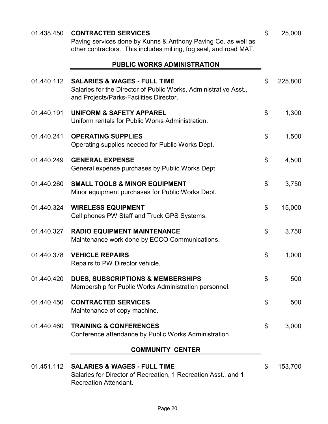| 01.438.450 | <b>CONTRACTED SERVICES</b><br>Paving services done by Kuhns & Anthony Paving Co. as well as<br>other contractors. This includes milling, fog seal, and road MAT. | \$<br>25,000  |
|------------|------------------------------------------------------------------------------------------------------------------------------------------------------------------|---------------|
|            | <b>PUBLIC WORKS ADMINISTRATION</b>                                                                                                                               |               |
| 01.440.112 | <b>SALARIES &amp; WAGES - FULL TIME</b><br>Salaries for the Director of Public Works, Administrative Asst.,<br>and Projects/Parks-Facilities Director.           | \$<br>225,800 |
| 01.440.191 | <b>UNIFORM &amp; SAFETY APPAREL</b><br>Uniform rentals for Public Works Administration.                                                                          | \$<br>1,300   |
| 01.440.241 | <b>OPERATING SUPPLIES</b><br>Operating supplies needed for Public Works Dept.                                                                                    | \$<br>1,500   |
| 01.440.249 | <b>GENERAL EXPENSE</b><br>General expense purchases by Public Works Dept.                                                                                        | \$<br>4,500   |
| 01.440.260 | <b>SMALL TOOLS &amp; MINOR EQUIPMENT</b><br>Minor equipment purchases for Public Works Dept.                                                                     | \$<br>3,750   |
| 01.440.324 | <b>WIRELESS EQUIPMENT</b><br>Cell phones PW Staff and Truck GPS Systems.                                                                                         | \$<br>15,000  |
| 01.440.327 | <b>RADIO EQUIPMENT MAINTENANCE</b><br>Maintenance work done by ECCO Communications.                                                                              | \$<br>3,750   |
| 01.440.378 | <b>VEHICLE REPAIRS</b><br>Repairs to PW Director vehicle.                                                                                                        | \$<br>1,000   |
| 01.440.420 | <b>DUES, SUBSCRIPTIONS &amp; MEMBERSHIPS</b><br>Membership for Public Works Administration personnel.                                                            | \$<br>500     |
| 01.440.450 | <b>CONTRACTED SERVICES</b><br>Maintenance of copy machine.                                                                                                       | \$<br>500     |
| 01.440.460 | <b>TRAINING &amp; CONFERENCES</b><br>Conference attendance by Public Works Administration.                                                                       | \$<br>3,000   |
|            | <b>COMMUNITY CENTER</b>                                                                                                                                          |               |
| 01.451.112 | <b>SALARIES &amp; WAGES - FULL TIME</b><br>Salaries for Director of Recreation, 1 Recreation Asst., and 1<br><b>Recreation Attendant.</b>                        | \$<br>153,700 |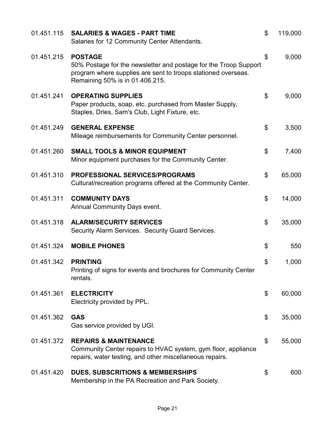| 01.451.115 | <b>SALARIES &amp; WAGES - PART TIME</b><br>Salaries for 12 Community Center Attendants.                                                                                                | \$<br>119,000 |
|------------|----------------------------------------------------------------------------------------------------------------------------------------------------------------------------------------|---------------|
| 01.451.215 | <b>POSTAGE</b><br>50% Postage for the newsletter and postage for the Troop Support<br>program where supplies are sent to troops stationed overseas.<br>Remaining 50% is in 01.406.215. | \$<br>9,000   |
| 01.451.241 | <b>OPERATING SUPPLIES</b><br>Paper products, soap, etc. purchased from Master Supply,<br>Staples, Dries, Sam's Club, Light Fixture, etc.                                               | \$<br>9,000   |
| 01.451.249 | <b>GENERAL EXPENSE</b><br>Mileage reimbursements for Community Center personnel.                                                                                                       | \$<br>3,500   |
| 01.451.260 | <b>SMALL TOOLS &amp; MINOR EQUIPMENT</b><br>Minor equipment purchases for the Community Center.                                                                                        | \$<br>7,400   |
| 01.451.310 | <b>PROFESSIONAL SERVICES/PROGRAMS</b><br>Cultural/recreation programs offered at the Community Center.                                                                                 | \$<br>65,000  |
| 01.451.311 | <b>COMMUNITY DAYS</b><br><b>Annual Community Days event.</b>                                                                                                                           | \$<br>14,000  |
| 01.451.318 | <b>ALARM/SECURITY SERVICES</b><br>Security Alarm Services. Security Guard Services.                                                                                                    | \$<br>35,000  |
| 01.451.324 | <b>MOBILE PHONES</b>                                                                                                                                                                   | \$<br>550     |
| 01.451.342 | <b>PRINTING</b><br>Printing of signs for events and brochures for Community Center<br>rentals.                                                                                         | \$<br>1,000   |
| 01.451.361 | <b>ELECTRICITY</b><br>Electricity provided by PPL.                                                                                                                                     | \$<br>60,000  |
| 01.451.362 | <b>GAS</b><br>Gas service provided by UGI.                                                                                                                                             | \$<br>35,000  |
| 01.451.372 | <b>REPAIRS &amp; MAINTENANCE</b><br>Community Center repairs to HVAC system, gym floor, appliance<br>repairs, water testing, and other miscellaneous repairs.                          | \$<br>55,000  |
| 01.451.420 | <b>DUES, SUBSCRITIONS &amp; MEMBERSHIPS</b><br>Membership in the PA Recreation and Park Society.                                                                                       | \$<br>600     |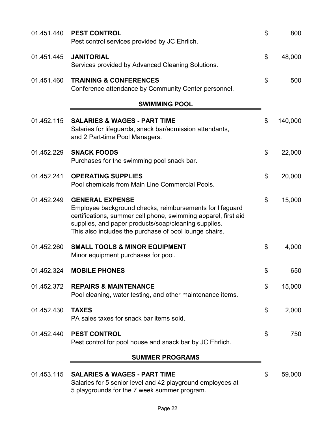| 01.451.440 | <b>PEST CONTROL</b><br>Pest control services provided by JC Ehrlich.                                                                                                                                                                                                   | \$<br>800     |
|------------|------------------------------------------------------------------------------------------------------------------------------------------------------------------------------------------------------------------------------------------------------------------------|---------------|
| 01.451.445 | <b>JANITORIAL</b><br>Services provided by Advanced Cleaning Solutions.                                                                                                                                                                                                 | \$<br>48,000  |
| 01.451.460 | <b>TRAINING &amp; CONFERENCES</b><br>Conference attendance by Community Center personnel.                                                                                                                                                                              | \$<br>500     |
|            | <b>SWIMMING POOL</b>                                                                                                                                                                                                                                                   |               |
| 01.452.115 | <b>SALARIES &amp; WAGES - PART TIME</b><br>Salaries for lifeguards, snack bar/admission attendants,<br>and 2 Part-time Pool Managers.                                                                                                                                  | \$<br>140,000 |
| 01.452.229 | <b>SNACK FOODS</b><br>Purchases for the swimming pool snack bar.                                                                                                                                                                                                       | \$<br>22,000  |
| 01.452.241 | <b>OPERATING SUPPLIES</b><br>Pool chemicals from Main Line Commercial Pools.                                                                                                                                                                                           | \$<br>20,000  |
| 01.452.249 | <b>GENERAL EXPENSE</b><br>Employee background checks, reimbursements for lifeguard<br>certifications, summer cell phone, swimming apparel, first aid<br>supplies, and paper products/soap/cleaning supplies.<br>This also includes the purchase of pool lounge chairs. | \$<br>15,000  |
| 01.452.260 | <b>SMALL TOOLS &amp; MINOR EQUIPMENT</b><br>Minor equipment purchases for pool.                                                                                                                                                                                        | \$<br>4,000   |
| 01.452.324 | <b>MOBILE PHONES</b>                                                                                                                                                                                                                                                   | \$<br>650     |
| 01.452.372 | <b>REPAIRS &amp; MAINTENANCE</b><br>Pool cleaning, water testing, and other maintenance items.                                                                                                                                                                         | \$<br>15,000  |
| 01.452.430 | <b>TAXES</b><br>PA sales taxes for snack bar items sold.                                                                                                                                                                                                               | \$<br>2,000   |
| 01.452.440 | <b>PEST CONTROL</b><br>Pest control for pool house and snack bar by JC Ehrlich.                                                                                                                                                                                        | \$<br>750     |
|            | <b>SUMMER PROGRAMS</b>                                                                                                                                                                                                                                                 |               |
| 01.453.115 | <b>SALARIES &amp; WAGES - PART TIME</b><br>Salaries for 5 senior level and 42 playground employees at<br>5 playgrounds for the 7 week summer program.                                                                                                                  | \$<br>59,000  |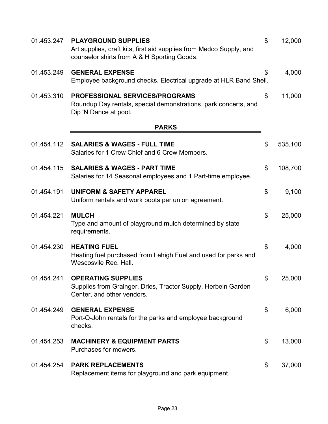| 01.453.247 | <b>PLAYGROUND SUPPLIES</b><br>Art supplies, craft kits, first aid supplies from Medco Supply, and<br>counselor shirts from A & H Sporting Goods. | \$<br>12,000  |
|------------|--------------------------------------------------------------------------------------------------------------------------------------------------|---------------|
| 01.453.249 | <b>GENERAL EXPENSE</b><br>Employee background checks. Electrical upgrade at HLR Band Shell.                                                      | \$<br>4,000   |
| 01.453.310 | <b>PROFESSIONAL SERVICES/PROGRAMS</b><br>Roundup Day rentals, special demonstrations, park concerts, and<br>Dip 'N Dance at pool.                | \$<br>11,000  |
|            | <b>PARKS</b>                                                                                                                                     |               |
| 01.454.112 | <b>SALARIES &amp; WAGES - FULL TIME</b><br>Salaries for 1 Crew Chief and 6 Crew Members.                                                         | \$<br>535,100 |
| 01.454.115 | <b>SALARIES &amp; WAGES - PART TIME</b><br>Salaries for 14 Seasonal employees and 1 Part-time employee.                                          | \$<br>108,700 |
| 01.454.191 | <b>UNIFORM &amp; SAFETY APPAREL</b><br>Uniform rentals and work boots per union agreement.                                                       | \$<br>9,100   |
| 01.454.221 | <b>MULCH</b><br>Type and amount of playground mulch determined by state<br>requirements.                                                         | \$<br>25,000  |
| 01.454.230 | <b>HEATING FUEL</b><br>Heating fuel purchased from Lehigh Fuel and used for parks and<br>Wescosvile Rec. Hall.                                   | \$<br>4,000   |
| 01.454.241 | <b>OPERATING SUPPLIES</b><br>Supplies from Grainger, Dries, Tractor Supply, Herbein Garden<br>Center, and other vendors.                         | \$<br>25,000  |
| 01.454.249 | <b>GENERAL EXPENSE</b><br>Port-O-John rentals for the parks and employee background<br>checks.                                                   | \$<br>6,000   |
| 01.454.253 | <b>MACHINERY &amp; EQUIPMENT PARTS</b><br>Purchases for mowers.                                                                                  | \$<br>13,000  |
| 01.454.254 | <b>PARK REPLACEMENTS</b><br>Replacement items for playground and park equipment.                                                                 | \$<br>37,000  |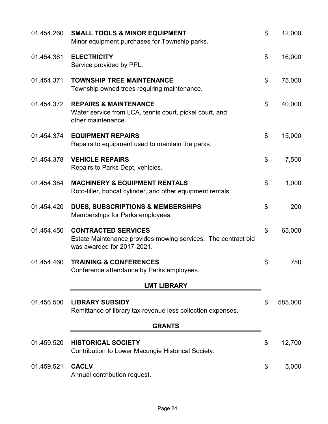| 01.454.260 | <b>SMALL TOOLS &amp; MINOR EQUIPMENT</b><br>Minor equipment purchases for Township parks.                                 | \$<br>12,000  |
|------------|---------------------------------------------------------------------------------------------------------------------------|---------------|
| 01.454.361 | <b>ELECTRICITY</b><br>Service provided by PPL.                                                                            | \$<br>16,000  |
| 01.454.371 | <b>TOWNSHIP TREE MAINTENANCE</b><br>Township owned trees requiring maintenance.                                           | \$<br>75,000  |
| 01.454.372 | <b>REPAIRS &amp; MAINTENANCE</b><br>Water service from LCA, tennis court, pickel court, and<br>other maintenance.         | \$<br>40,000  |
| 01.454.374 | <b>EQUIPMENT REPAIRS</b><br>Repairs to equipment used to maintain the parks.                                              | \$<br>15,000  |
| 01.454.378 | <b>VEHICLE REPAIRS</b><br>Repairs to Parks Dept. vehicles.                                                                | \$<br>7,500   |
| 01.454.384 | <b>MACHINERY &amp; EQUIPMENT RENTALS</b><br>Roto-tiller, bobcat cylinder, and other equipment rentals.                    | \$<br>1,000   |
| 01.454.420 | <b>DUES, SUBSCRIPTIONS &amp; MEMBERSHIPS</b><br>Memberships for Parks employees.                                          | \$<br>200     |
| 01.454.450 | <b>CONTRACTED SERVICES</b><br>Estate Maintenance provides mowing services. The contract bid<br>was awarded for 2017-2021. | \$<br>65,000  |
| 01.454.460 | <b>TRAINING &amp; CONFERENCES</b><br>Conference attendance by Parks employees.                                            | \$<br>750     |
|            | <b>LMT LIBRARY</b>                                                                                                        |               |
| 01.456.500 | <b>LIBRARY SUBSIDY</b><br>Remittance of library tax revenue less collection expenses.                                     | \$<br>585,000 |
|            | <b>GRANTS</b>                                                                                                             |               |
| 01.459.520 | <b>HISTORICAL SOCIETY</b><br>Contribution to Lower Macungie Historical Society.                                           | \$<br>12,700  |
| 01.459.521 | <b>CACLV</b><br>Annual contribution request.                                                                              | \$<br>5,000   |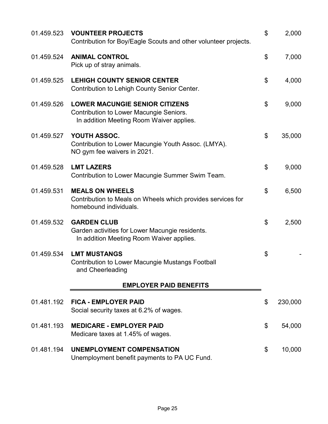| 01.459.523 | <b>VOUNTEER PROJECTS</b><br>Contribution for Boy/Eagle Scouts and other volunteer projects.                                  | \$<br>2,000   |
|------------|------------------------------------------------------------------------------------------------------------------------------|---------------|
| 01.459.524 | <b>ANIMAL CONTROL</b><br>Pick up of stray animals.                                                                           | \$<br>7,000   |
| 01.459.525 | <b>LEHIGH COUNTY SENIOR CENTER</b><br>Contribution to Lehigh County Senior Center.                                           | \$<br>4,000   |
| 01.459.526 | <b>LOWER MACUNGIE SENIOR CITIZENS</b><br>Contribution to Lower Macungie Seniors.<br>In addition Meeting Room Waiver applies. | \$<br>9,000   |
| 01.459.527 | YOUTH ASSOC.<br>Contribution to Lower Macungie Youth Assoc. (LMYA).<br>NO gym fee waivers in 2021.                           | \$<br>35,000  |
| 01.459.528 | <b>LMT LAZERS</b><br>Contribution to Lower Macungie Summer Swim Team.                                                        | \$<br>9,000   |
| 01.459.531 | <b>MEALS ON WHEELS</b><br>Contribution to Meals on Wheels which provides services for<br>homebound individuals.              | \$<br>6,500   |
| 01.459.532 | <b>GARDEN CLUB</b><br>Garden activities for Lower Macungie residents.<br>In addition Meeting Room Waiver applies.            | \$<br>2,500   |
| 01.459.534 | <b>LMT MUSTANGS</b><br><b>Contribution to Lower Macungie Mustangs Football</b><br>and Cheerleading                           | \$            |
|            | <b>EMPLOYER PAID BENEFITS</b>                                                                                                |               |
| 01.481.192 | <b>FICA - EMPLOYER PAID</b><br>Social security taxes at 6.2% of wages.                                                       | \$<br>230,000 |
| 01.481.193 | <b>MEDICARE - EMPLOYER PAID</b><br>Medicare taxes at 1.45% of wages.                                                         | \$<br>54,000  |
| 01.481.194 | <b>UNEMPLOYMENT COMPENSATION</b><br>Unemployment benefit payments to PA UC Fund.                                             | \$<br>10,000  |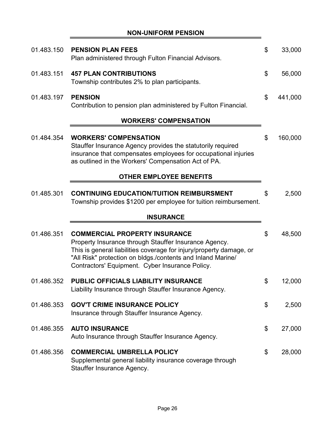**NON-UNIFORM PENSION**

Ė

| 01.483.150 | <b>PENSION PLAN FEES</b><br>Plan administered through Fulton Financial Advisors.                                                                                                                                                                                                       | \$<br>33,000  |
|------------|----------------------------------------------------------------------------------------------------------------------------------------------------------------------------------------------------------------------------------------------------------------------------------------|---------------|
| 01.483.151 | <b>457 PLAN CONTRIBUTIONS</b><br>Township contributes 2% to plan participants.                                                                                                                                                                                                         | \$<br>56,000  |
| 01.483.197 | <b>PENSION</b><br>Contribution to pension plan administered by Fulton Financial.                                                                                                                                                                                                       | \$<br>441,000 |
|            | <b>WORKERS' COMPENSATION</b>                                                                                                                                                                                                                                                           |               |
| 01.484.354 | <b>WORKERS' COMPENSATION</b><br>Stauffer Insurance Agency provides the statutorily required<br>insurance that compensates employees for occupational injuries<br>as outlined in the Workers' Compensation Act of PA.                                                                   | \$<br>160,000 |
|            | <b>OTHER EMPLOYEE BENEFITS</b>                                                                                                                                                                                                                                                         |               |
| 01.485.301 | <b>CONTINUING EDUCATION/TUITION REIMBURSMENT</b><br>Township provides \$1200 per employee for tuition reimbursement.                                                                                                                                                                   | \$<br>2,500   |
|            | <b>INSURANCE</b>                                                                                                                                                                                                                                                                       |               |
| 01.486.351 | <b>COMMERCIAL PROPERTY INSURANCE</b><br>Property Insurance through Stauffer Insurance Agency.<br>This is general liabilities coverage for injury/property damage, or<br>"All Risk" protection on bldgs./contents and Inland Marine/<br>Contractors' Equipment. Cyber Insurance Policy. | \$<br>48,500  |
| 01.486.352 | PUBLIC OFFICIALS LIABILITY INSURANCE<br>Liability Insurance through Stauffer Insurance Agency.                                                                                                                                                                                         | \$<br>12,000  |
| 01.486.353 | <b>GOV'T CRIME INSURANCE POLICY</b><br>Insurance through Stauffer Insurance Agency.                                                                                                                                                                                                    | \$<br>2,500   |
| 01.486.355 | <b>AUTO INSURANCE</b><br>Auto Insurance through Stauffer Insurance Agency.                                                                                                                                                                                                             | \$<br>27,000  |
| 01.486.356 | <b>COMMERCIAL UMBRELLA POLICY</b><br>Supplemental general liability insurance coverage through<br>Stauffer Insurance Agency.                                                                                                                                                           | \$<br>28,000  |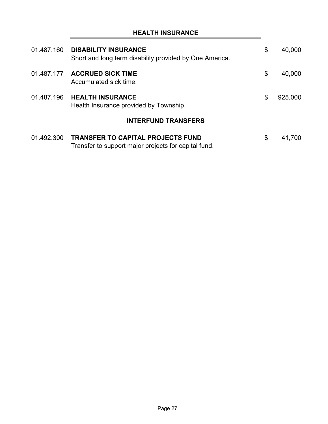|            | 01.487.160 DISABILITY INSURANCE<br>Short and long term disability provided by One America.       | \$ | 40,000  |
|------------|--------------------------------------------------------------------------------------------------|----|---------|
| 01.487.177 | <b>ACCRUED SICK TIME</b><br>Accumulated sick time.                                               | \$ | 40,000  |
| 01.487.196 | <b>HEALTH INSURANCE</b><br>Health Insurance provided by Township.                                | \$ | 925,000 |
|            | <b>INTERFUND TRANSFERS</b>                                                                       |    |         |
| 01.492.300 | <b>TRANSFER TO CAPITAL PROJECTS FUND</b><br>Transfer to support major projects for capital fund. | \$ | 41,700  |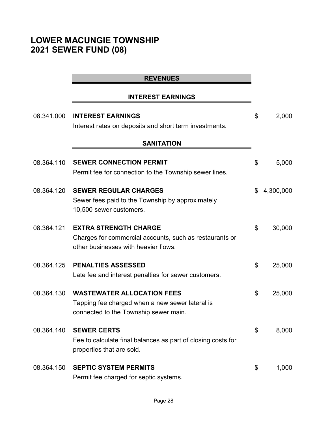# **LOWER MACUNGIE TOWNSHIP 2021 SEWER FUND (08)**

## **INTEREST EARNINGS**

| 08.341.000 | <b>INTEREST EARNINGS</b>                                                                                                        | \$<br>2,000     |
|------------|---------------------------------------------------------------------------------------------------------------------------------|-----------------|
|            | Interest rates on deposits and short term investments.<br><b>SANITATION</b>                                                     |                 |
| 08.364.110 | <b>SEWER CONNECTION PERMIT</b><br>Permit fee for connection to the Township sewer lines.                                        | \$<br>5,000     |
| 08.364.120 | <b>SEWER REGULAR CHARGES</b><br>Sewer fees paid to the Township by approximately<br>10,500 sewer customers.                     | \$<br>4,300,000 |
| 08.364.121 | <b>EXTRA STRENGTH CHARGE</b><br>Charges for commercial accounts, such as restaurants or<br>other businesses with heavier flows. | \$<br>30,000    |
| 08.364.125 | <b>PENALTIES ASSESSED</b><br>Late fee and interest penalties for sewer customers.                                               | \$<br>25,000    |
| 08.364.130 | <b>WASTEWATER ALLOCATION FEES</b><br>Tapping fee charged when a new sewer lateral is<br>connected to the Township sewer main.   | \$<br>25,000    |
| 08.364.140 | <b>SEWER CERTS</b><br>Fee to calculate final balances as part of closing costs for<br>properties that are sold.                 | \$<br>8,000     |
| 08.364.150 | <b>SEPTIC SYSTEM PERMITS</b><br>Permit fee charged for septic systems.                                                          | \$<br>1,000     |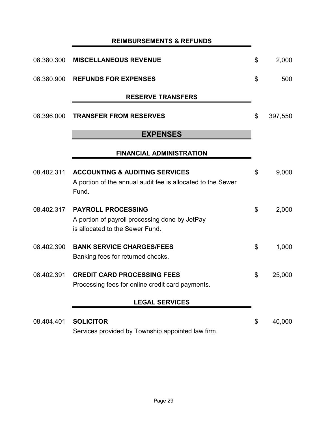# **REIMBURSEMENTS & REFUNDS**

| 08.380.300 | <b>MISCELLANEOUS REVENUE</b>                                                                                      | \$<br>2,000   |
|------------|-------------------------------------------------------------------------------------------------------------------|---------------|
| 08.380.900 | <b>REFUNDS FOR EXPENSES</b>                                                                                       | \$<br>500     |
|            | <b>RESERVE TRANSFERS</b>                                                                                          |               |
| 08.396.000 | <b>TRANSFER FROM RESERVES</b>                                                                                     | \$<br>397,550 |
|            | <b>EXPENSES</b>                                                                                                   |               |
|            | <b>FINANCIAL ADMINISTRATION</b>                                                                                   |               |
| 08.402.311 | <b>ACCOUNTING &amp; AUDITING SERVICES</b><br>A portion of the annual audit fee is allocated to the Sewer<br>Fund. | \$<br>9,000   |
| 08.402.317 | <b>PAYROLL PROCESSING</b><br>A portion of payroll processing done by JetPay<br>is allocated to the Sewer Fund.    | \$<br>2,000   |
| 08.402.390 | <b>BANK SERVICE CHARGES/FEES</b><br>Banking fees for returned checks.                                             | \$<br>1,000   |
| 08.402.391 | <b>CREDIT CARD PROCESSING FEES</b><br>Processing fees for online credit card payments.                            | \$<br>25,000  |
|            | <b>LEGAL SERVICES</b>                                                                                             |               |
| 08.404.401 | <b>SOLICITOR</b><br>Services provided by Township appointed law firm.                                             | \$<br>40,000  |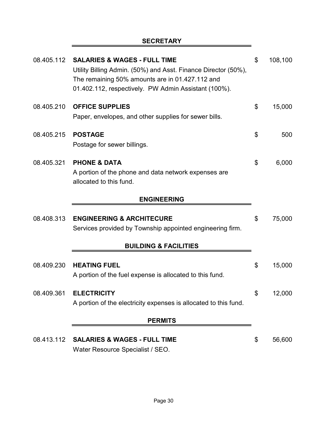# **SECRETARY**

| 08.405.112 | <b>SALARIES &amp; WAGES - FULL TIME</b><br>Utility Billing Admin. (50%) and Asst. Finance Director (50%),<br>The remaining 50% amounts are in 01.427.112 and<br>01.402.112, respectively. PW Admin Assistant (100%). | \$<br>108,100 |
|------------|----------------------------------------------------------------------------------------------------------------------------------------------------------------------------------------------------------------------|---------------|
| 08.405.210 | <b>OFFICE SUPPLIES</b><br>Paper, envelopes, and other supplies for sewer bills.                                                                                                                                      | \$<br>15,000  |
| 08.405.215 | <b>POSTAGE</b><br>Postage for sewer billings.                                                                                                                                                                        | \$<br>500     |
| 08.405.321 | <b>PHONE &amp; DATA</b><br>A portion of the phone and data network expenses are<br>allocated to this fund.                                                                                                           | \$<br>6,000   |
|            | <b>ENGINEERING</b>                                                                                                                                                                                                   |               |
| 08.408.313 | <b>ENGINEERING &amp; ARCHITECURE</b><br>Services provided by Township appointed engineering firm.                                                                                                                    | \$<br>75,000  |
|            | <b>BUILDING &amp; FACILITIES</b>                                                                                                                                                                                     |               |
| 08.409.230 | <b>HEATING FUEL</b><br>A portion of the fuel expense is allocated to this fund.                                                                                                                                      | \$<br>15,000  |
| 08.409.361 | <b>ELECTRICITY</b><br>A portion of the electricity expenses is allocated to this fund.                                                                                                                               | \$<br>12,000  |
|            | <b>PERMITS</b>                                                                                                                                                                                                       |               |
| 08.413.112 | <b>SALARIES &amp; WAGES - FULL TIME</b><br>Water Resource Specialist / SEO.                                                                                                                                          | \$<br>56,600  |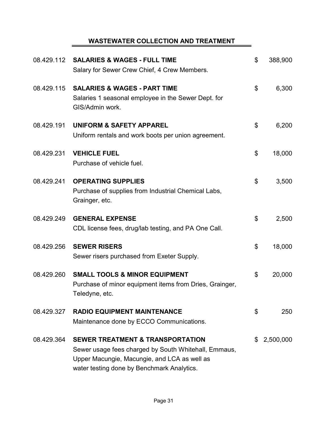# **WASTEWATER COLLECTION AND TREATMENT**

| 08.429.112 | <b>SALARIES &amp; WAGES - FULL TIME</b><br>Salary for Sewer Crew Chief, 4 Crew Members.                                                                                                           | \$<br>388,900   |
|------------|---------------------------------------------------------------------------------------------------------------------------------------------------------------------------------------------------|-----------------|
| 08.429.115 | <b>SALARIES &amp; WAGES - PART TIME</b><br>Salaries 1 seasonal employee in the Sewer Dept. for<br>GIS/Admin work.                                                                                 | \$<br>6,300     |
| 08.429.191 | <b>UNIFORM &amp; SAFETY APPAREL</b><br>Uniform rentals and work boots per union agreement.                                                                                                        | \$<br>6,200     |
| 08.429.231 | <b>VEHICLE FUEL</b><br>Purchase of vehicle fuel.                                                                                                                                                  | \$<br>18,000    |
| 08.429.241 | <b>OPERATING SUPPLIES</b><br>Purchase of supplies from Industrial Chemical Labs,<br>Grainger, etc.                                                                                                | \$<br>3,500     |
| 08.429.249 | <b>GENERAL EXPENSE</b><br>CDL license fees, drug/lab testing, and PA One Call.                                                                                                                    | \$<br>2,500     |
| 08.429.256 | <b>SEWER RISERS</b><br>Sewer risers purchased from Exeter Supply.                                                                                                                                 | \$<br>18,000    |
| 08.429.260 | <b>SMALL TOOLS &amp; MINOR EQUIPMENT</b><br>Purchase of minor equipment items from Dries, Grainger,<br>Teledyne, etc.                                                                             | \$<br>20,000    |
| 08.429.327 | <b>RADIO EQUIPMENT MAINTENANCE</b><br>Maintenance done by ECCO Communications.                                                                                                                    | \$<br>250       |
| 08.429.364 | <b>SEWER TREATMENT &amp; TRANSPORTATION</b><br>Sewer usage fees charged by South Whitehall, Emmaus,<br>Upper Macungie, Macungie, and LCA as well as<br>water testing done by Benchmark Analytics. | \$<br>2,500,000 |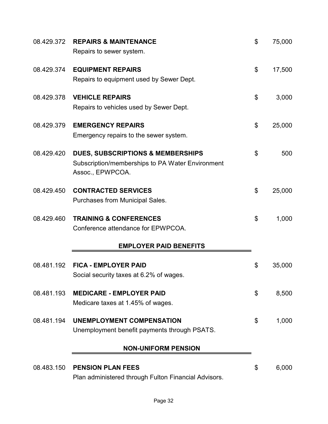| 08.429.372 | <b>REPAIRS &amp; MAINTENANCE</b><br>Repairs to sewer system.                                                         | \$<br>75,000 |
|------------|----------------------------------------------------------------------------------------------------------------------|--------------|
| 08.429.374 | <b>EQUIPMENT REPAIRS</b><br>Repairs to equipment used by Sewer Dept.                                                 | \$<br>17,500 |
| 08.429.378 | <b>VEHICLE REPAIRS</b><br>Repairs to vehicles used by Sewer Dept.                                                    | \$<br>3,000  |
| 08.429.379 | <b>EMERGENCY REPAIRS</b><br>Emergency repairs to the sewer system.                                                   | \$<br>25,000 |
| 08.429.420 | <b>DUES, SUBSCRIPTIONS &amp; MEMBERSHIPS</b><br>Subscription/memberships to PA Water Environment<br>Assoc., EPWPCOA. | \$<br>500    |
| 08.429.450 | <b>CONTRACTED SERVICES</b><br>Purchases from Municipal Sales.                                                        | \$<br>25,000 |
| 08.429.460 | <b>TRAINING &amp; CONFERENCES</b><br>Conference attendance for EPWPCOA.                                              | \$<br>1,000  |
|            | <b>EMPLOYER PAID BENEFITS</b>                                                                                        |              |
| 08.481.192 | <b>FICA - EMPLOYER PAID</b><br>Social security taxes at 6.2% of wages.                                               | \$<br>35,000 |
| 08.481.193 | <b>MEDICARE - EMPLOYER PAID</b><br>Medicare taxes at 1.45% of wages.                                                 | \$<br>8,500  |
| 08.481.194 | <b>UNEMPLOYMENT COMPENSATION</b><br>Unemployment benefit payments through PSATS.                                     | \$<br>1,000  |
|            | <b>NON-UNIFORM PENSION</b>                                                                                           |              |
| 08.483.150 | <b>PENSION PLAN FEES</b><br>Plan administered through Fulton Financial Advisors.                                     | \$<br>6,000  |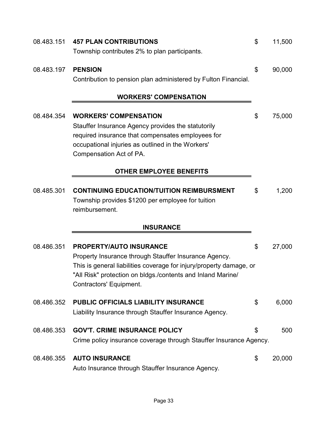| 08.483.151 | <b>457 PLAN CONTRIBUTIONS</b>                                                                  | \$<br>11,500 |
|------------|------------------------------------------------------------------------------------------------|--------------|
|            | Township contributes 2% to plan participants.                                                  |              |
| 08.483.197 | <b>PENSION</b>                                                                                 | \$<br>90,000 |
|            | Contribution to pension plan administered by Fulton Financial.                                 |              |
|            | <b>WORKERS' COMPENSATION</b>                                                                   |              |
| 08.484.354 | <b>WORKERS' COMPENSATION</b>                                                                   | \$<br>75,000 |
|            | Stauffer Insurance Agency provides the statutorily                                             |              |
|            | required insurance that compensates employees for                                              |              |
|            | occupational injuries as outlined in the Workers'                                              |              |
|            | Compensation Act of PA.                                                                        |              |
|            | <b>OTHER EMPLOYEE BENEFITS</b>                                                                 |              |
| 08.485.301 | <b>CONTINUING EDUCATION/TUITION REIMBURSMENT</b>                                               | \$<br>1,200  |
|            | Township provides \$1200 per employee for tuition                                              |              |
|            | reimbursement.                                                                                 |              |
|            | <b>INSURANCE</b>                                                                               |              |
| 08.486.351 | <b>PROPERTY/AUTO INSURANCE</b>                                                                 | \$<br>27,000 |
|            | Property Insurance through Stauffer Insurance Agency.                                          |              |
|            | This is general liabilities coverage for injury/property damage, or                            |              |
|            | "All Risk" protection on bldgs./contents and Inland Marine/<br>Contractors' Equipment.         |              |
|            |                                                                                                |              |
| 08.486.352 | PUBLIC OFFICIALS LIABILITY INSURANCE<br>Liability Insurance through Stauffer Insurance Agency. | \$<br>6,000  |
|            |                                                                                                |              |
| 08.486.353 | <b>GOV'T. CRIME INSURANCE POLICY</b>                                                           | \$<br>500    |
|            | Crime policy insurance coverage through Stauffer Insurance Agency.                             |              |
| 08.486.355 | <b>AUTO INSURANCE</b>                                                                          | \$<br>20,000 |
|            | Auto Insurance through Stauffer Insurance Agency.                                              |              |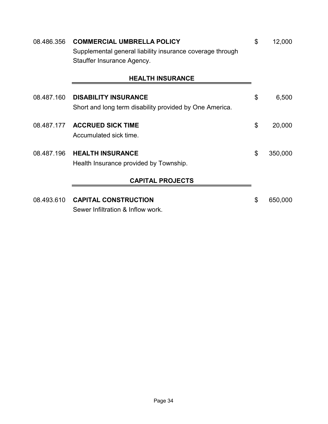| 08.486.356 | <b>COMMERCIAL UMBRELLA POLICY</b>                         | \$<br>12,000  |
|------------|-----------------------------------------------------------|---------------|
|            | Supplemental general liability insurance coverage through |               |
|            | Stauffer Insurance Agency.                                |               |
|            | <b>HEALTH INSURANCE</b>                                   |               |
|            |                                                           |               |
| 08.487.160 | <b>DISABILITY INSURANCE</b>                               | \$<br>6,500   |
|            | Short and long term disability provided by One America.   |               |
| 08.487.177 | <b>ACCRUED SICK TIME</b>                                  | \$<br>20,000  |
|            | Accumulated sick time.                                    |               |
| 08.487.196 | <b>HEALTH INSURANCE</b>                                   | \$<br>350,000 |
|            | Health Insurance provided by Township.                    |               |
|            | <b>CAPITAL PROJECTS</b>                                   |               |
|            |                                                           |               |
| 08.493.610 | <b>CAPITAL CONSTRUCTION</b>                               | \$<br>650,000 |
|            | Sewer Infiltration & Inflow work.                         |               |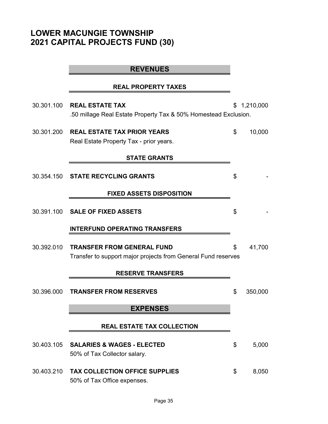# **LOWER MACUNGIE TOWNSHIP 2021 CAPITAL PROJECTS FUND (30)**

|            | <b>REVENUES</b>                                                                                    |               |
|------------|----------------------------------------------------------------------------------------------------|---------------|
|            | <b>REAL PROPERTY TAXES</b>                                                                         |               |
| 30.301.100 | <b>REAL ESTATE TAX</b><br>.50 millage Real Estate Property Tax & 50% Homestead Exclusion.          | \$1,210,000   |
| 30.301.200 | <b>REAL ESTATE TAX PRIOR YEARS</b><br>Real Estate Property Tax - prior years.                      | \$<br>10,000  |
|            | <b>STATE GRANTS</b>                                                                                |               |
|            | 30.354.150 STATE RECYCLING GRANTS                                                                  | \$            |
|            | <b>FIXED ASSETS DISPOSITION</b>                                                                    |               |
|            | 30.391.100 SALE OF FIXED ASSETS                                                                    | \$            |
|            | <b>INTERFUND OPERATING TRANSFERS</b>                                                               |               |
| 30.392.010 | <b>TRANSFER FROM GENERAL FUND</b><br>Transfer to support major projects from General Fund reserves | \$<br>41,700  |
|            | <b>RESERVE TRANSFERS</b>                                                                           |               |
|            | 30.396.000 TRANSFER FROM RESERVES                                                                  | \$<br>350,000 |
|            | <b>EXPENSES</b>                                                                                    |               |
|            | <b>REAL ESTATE TAX COLLECTION</b>                                                                  |               |
| 30.403.105 | <b>SALARIES &amp; WAGES - ELECTED</b><br>50% of Tax Collector salary.                              | \$<br>5,000   |
| 30.403.210 | <b>TAX COLLECTION OFFICE SUPPLIES</b><br>50% of Tax Office expenses.                               | \$<br>8,050   |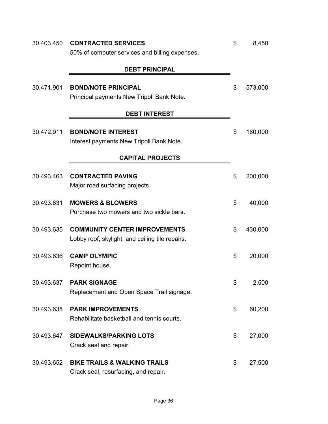| 30.403.450 | <b>CONTRACTED SERVICES</b>                      | \$<br>8,450   |
|------------|-------------------------------------------------|---------------|
|            | 50% of computer services and billing expenses.  |               |
|            |                                                 |               |
|            | <b>DEBT PRINCIPAL</b>                           |               |
| 30.471.901 | <b>BOND/NOTE PRINCIPAL</b>                      | \$<br>573,000 |
|            | Principal payments New Tripoli Bank Note.       |               |
|            |                                                 |               |
|            | <b>DEBT INTEREST</b>                            |               |
|            |                                                 |               |
| 30.472.911 | <b>BOND/NOTE INTEREST</b>                       | \$<br>160,000 |
|            | Interest payments New Tripoli Bank Note.        |               |
|            | <b>CAPITAL PROJECTS</b>                         |               |
|            |                                                 |               |
| 30.493.463 | <b>CONTRACTED PAVING</b>                        | \$<br>200,000 |
|            | Major road surfacing projects.                  |               |
| 30.493.631 | <b>MOWERS &amp; BLOWERS</b>                     | \$<br>40,000  |
|            | Purchase two mowers and two sickle bars.        |               |
|            |                                                 |               |
| 30.493.635 | <b>COMMUNITY CENTER IMPROVEMENTS</b>            | \$<br>430,000 |
|            | Lobby roof, skylight, and ceiling tile repairs. |               |
|            |                                                 |               |
| 30.493.636 | <b>CAMP OLYMPIC</b>                             | \$<br>20,000  |
|            | Repoint house.                                  |               |
| 30.493.637 | <b>PARK SIGNAGE</b>                             | \$<br>2,500   |
|            | Replacement and Open Space Trail signage.       |               |
|            |                                                 |               |
| 30.493.638 | <b>PARK IMPROVEMENTS</b>                        | \$<br>60,200  |
|            | Rehabilitate basketball and tennis courts.      |               |
| 30.493.647 | <b>SIDEWALKS/PARKING LOTS</b>                   | \$<br>27,000  |
|            | Crack seal and repair.                          |               |
|            |                                                 |               |
| 30.493.652 | <b>BIKE TRAILS &amp; WALKING TRAILS</b>         | \$<br>27,500  |
|            | Crack seal, resurfacing, and repair.            |               |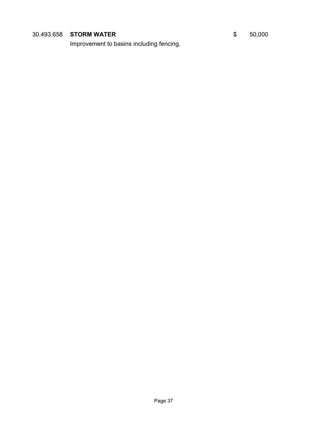# **30.493.658 STORM WATER** \$ 50,000

Improvement to basins including fencing.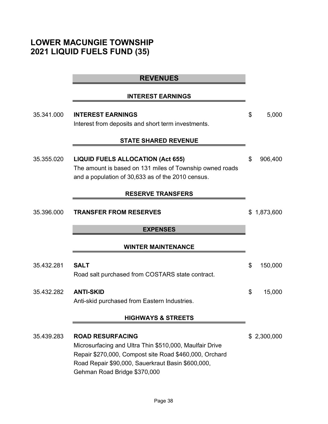# **LOWER MACUNGIE TOWNSHIP 2021 LIQUID FUELS FUND (35)**

|            | <b>REVENUES</b>                                                                                                                                                                                                                   |               |
|------------|-----------------------------------------------------------------------------------------------------------------------------------------------------------------------------------------------------------------------------------|---------------|
|            | <b>INTEREST EARNINGS</b>                                                                                                                                                                                                          |               |
| 35.341.000 | <b>INTEREST EARNINGS</b><br>Interest from deposits and short term investments.                                                                                                                                                    | \$<br>5,000   |
|            | <b>STATE SHARED REVENUE</b>                                                                                                                                                                                                       |               |
| 35.355.020 | <b>LIQUID FUELS ALLOCATION (Act 655)</b><br>The amount is based on 131 miles of Township owned roads<br>and a population of 30,633 as of the 2010 census.                                                                         | \$<br>906,400 |
|            | <b>RESERVE TRANSFERS</b>                                                                                                                                                                                                          |               |
| 35.396.000 | <b>TRANSFER FROM RESERVES</b>                                                                                                                                                                                                     | \$1,873,600   |
|            | <b>EXPENSES</b>                                                                                                                                                                                                                   |               |
|            | <b>WINTER MAINTENANCE</b>                                                                                                                                                                                                         |               |
| 35.432.281 | <b>SALT</b><br>Road salt purchased from COSTARS state contract.                                                                                                                                                                   | \$<br>150,000 |
| 35.432.282 | <b>ANTI-SKID</b><br>Anti-skid purchased from Eastern Industries.                                                                                                                                                                  | \$<br>15,000  |
|            | <b>HIGHWAYS &amp; STREETS</b>                                                                                                                                                                                                     |               |
| 35.439.283 | <b>ROAD RESURFACING</b><br>Microsurfacing and Ultra Thin \$510,000, Maulfair Drive<br>Repair \$270,000, Compost site Road \$460,000, Orchard<br>Road Repair \$90,000, Sauerkraut Basin \$600,000,<br>Gehman Road Bridge \$370,000 | \$2,300,000   |